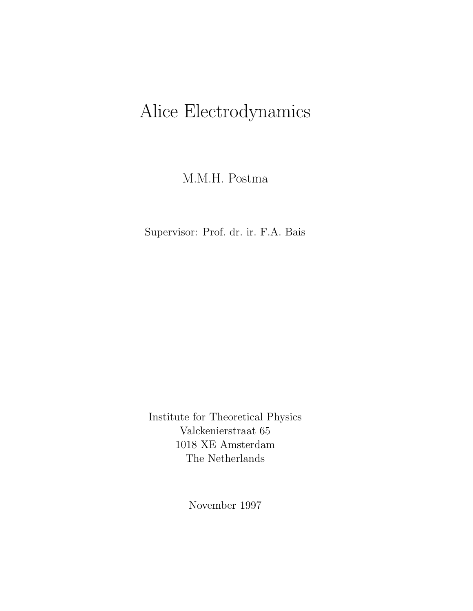# Alice Electrodynamics

M.M.H. Postma

Supervisor: Prof. dr. ir. F.A. Bais

Institute for Theoretical Physics Valckenierstraat 65 1018 XE Amsterdam The Netherlands

November 1997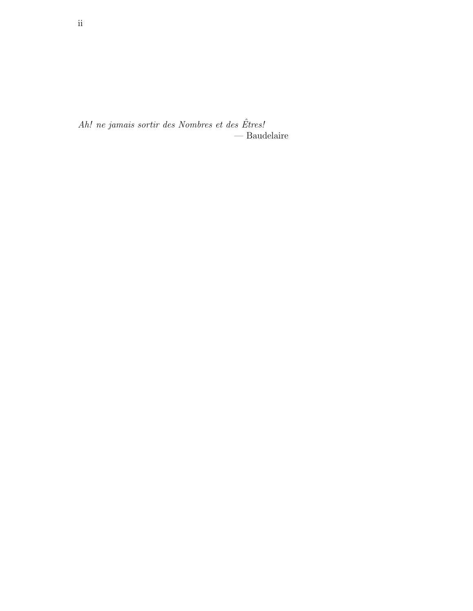$Ah!$  ne jamais sortir des Nombres et des Êtres! — Baudelaire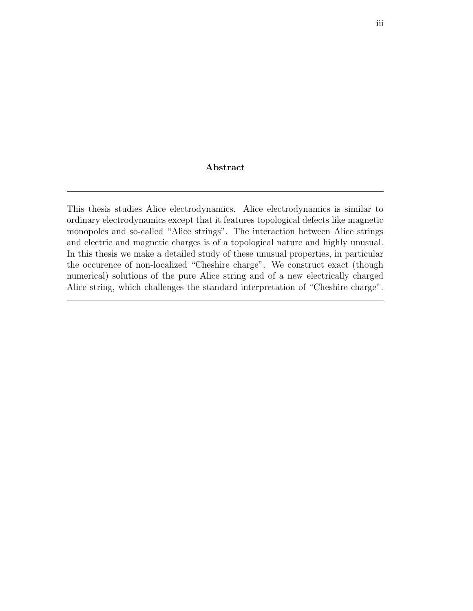#### Abstract

This thesis studies Alice electrodynamics. Alice electrodynamics is similar to ordinary electrodynamics except that it features topological defects like magnetic monopoles and so-called "Alice strings". The interaction between Alice strings and electric and magnetic charges is of a topological nature and highly unusual. In this thesis we make a detailed study of these unusual properties, in particular the occurence of non-localized "Cheshire charge". We construct exact (though numerical) solutions of the pure Alice string and of a new electrically charged Alice string, which challenges the standard interpretation of "Cheshire charge".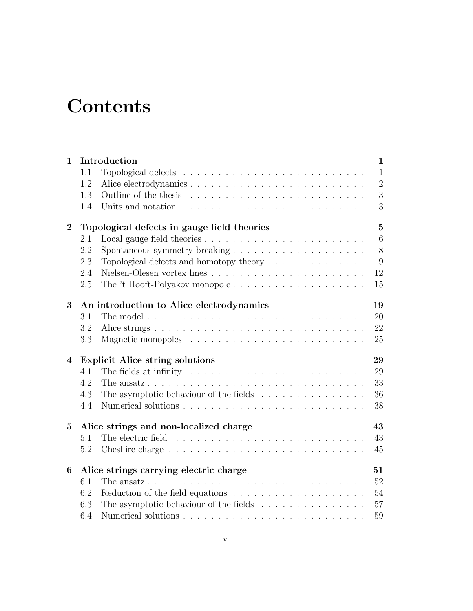## **Contents**

| $\mathbf{1}$   |                                              | Introduction                                                                          | $\mathbf{1}$   |  |  |
|----------------|----------------------------------------------|---------------------------------------------------------------------------------------|----------------|--|--|
|                | $1.1\,$                                      |                                                                                       | $\mathbf{1}$   |  |  |
|                | 1.2                                          |                                                                                       | $\overline{2}$ |  |  |
|                | 1.3                                          |                                                                                       | 3              |  |  |
|                | 1.4                                          |                                                                                       | 3              |  |  |
| $\bf{2}$       |                                              | Topological defects in gauge field theories                                           | $\mathbf{5}$   |  |  |
|                | 2.1                                          |                                                                                       | $\,6\,$        |  |  |
|                | 2.2                                          |                                                                                       | 8              |  |  |
|                | 2.3                                          | Topological defects and homotopy theory $\ldots \ldots \ldots \ldots \ldots$          | 9              |  |  |
|                | 2.4                                          | Nielsen-Olesen vortex lines $\ldots \ldots \ldots \ldots \ldots \ldots \ldots \ldots$ | 12             |  |  |
|                | 2.5                                          | The 't Hooft-Polyakov monopole                                                        | 15             |  |  |
| 3              |                                              | An introduction to Alice electrodynamics                                              | 19             |  |  |
|                | 3.1                                          |                                                                                       | 20             |  |  |
|                | 3.2                                          |                                                                                       | 22             |  |  |
|                | 3.3                                          |                                                                                       | 25             |  |  |
| $\overline{4}$ | <b>Explicit Alice string solutions</b><br>29 |                                                                                       |                |  |  |
|                | 4.1                                          | The fields at infinity $\dots \dots \dots \dots \dots \dots \dots \dots \dots \dots$  | 29             |  |  |
|                | 4.2                                          |                                                                                       | 33             |  |  |
|                | 4.3                                          | The asymptotic behaviour of the fields $\ldots \ldots \ldots \ldots \ldots$           | 36             |  |  |
|                | 4.4                                          |                                                                                       | 38             |  |  |
| $\overline{5}$ | Alice strings and non-localized charge<br>43 |                                                                                       |                |  |  |
|                | 5.1                                          |                                                                                       | 43             |  |  |
|                | 5.2                                          |                                                                                       | 45             |  |  |
| 6              | Alice strings carrying electric charge       |                                                                                       |                |  |  |
|                | 6.1                                          |                                                                                       | 52             |  |  |
|                | 6.2                                          |                                                                                       | 54             |  |  |
|                | 6.3                                          | The asymptotic behaviour of the fields $\ldots \ldots \ldots \ldots \ldots$           | 57             |  |  |
|                | 6.4                                          |                                                                                       | 59             |  |  |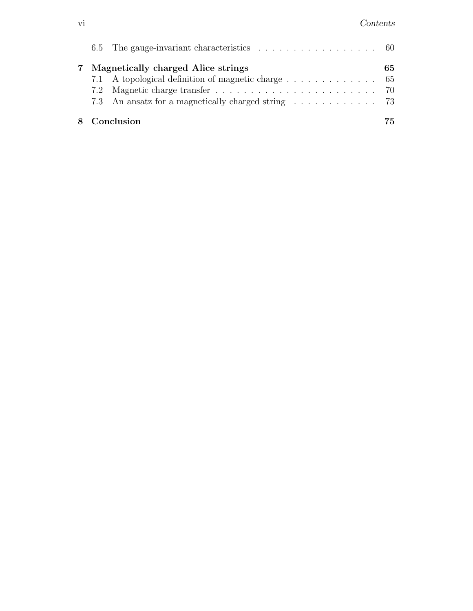|  | 6.5 The gauge-invariant characteristics $\ldots \ldots \ldots \ldots \ldots \ldots$ 60 |     |
|--|----------------------------------------------------------------------------------------|-----|
|  | Magnetically charged Alice strings                                                     | 65. |
|  | 7.1 A topological definition of magnetic charge 65                                     |     |
|  |                                                                                        |     |
|  | 7.3 An ansatz for a magnetically charged string 73                                     |     |
|  | 8 Conclusion                                                                           | 75. |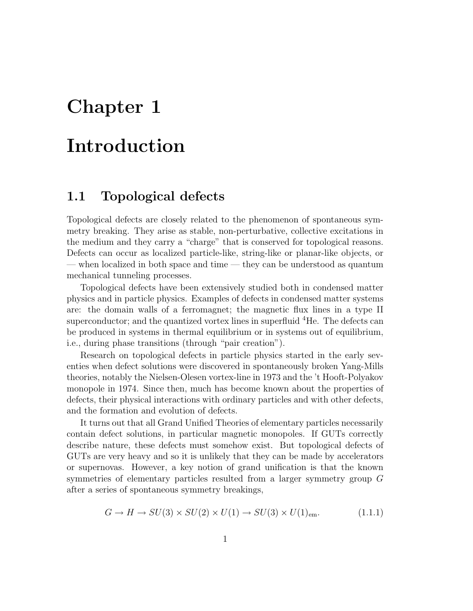## Chapter 1

## Introduction

#### 1.1 Topological defects

Topological defects are closely related to the phenomenon of spontaneous symmetry breaking. They arise as stable, non-perturbative, collective excitations in the medium and they carry a "charge" that is conserved for topological reasons. Defects can occur as localized particle-like, string-like or planar-like objects, or — when localized in both space and time — they can be understood as quantum mechanical tunneling processes.

Topological defects have been extensively studied both in condensed matter physics and in particle physics. Examples of defects in condensed matter systems are: the domain walls of a ferromagnet; the magnetic flux lines in a type II superconductor; and the quantized vortex lines in superfluid <sup>4</sup>He. The defects can be produced in systems in thermal equilibrium or in systems out of equilibrium, i.e., during phase transitions (through "pair creation").

Research on topological defects in particle physics started in the early seventies when defect solutions were discovered in spontaneously broken Yang-Mills theories, notably the Nielsen-Olesen vortex-line in 1973 and the 't Hooft-Polyakov monopole in 1974. Since then, much has become known about the properties of defects, their physical interactions with ordinary particles and with other defects, and the formation and evolution of defects.

It turns out that all Grand Unified Theories of elementary particles necessarily contain defect solutions, in particular magnetic monopoles. If GUTs correctly describe nature, these defects must somehow exist. But topological defects of GUTs are very heavy and so it is unlikely that they can be made by accelerators or supernovas. However, a key notion of grand unification is that the known symmetries of elementary particles resulted from a larger symmetry group G after a series of spontaneous symmetry breakings,

$$
G \to H \to SU(3) \times SU(2) \times U(1) \to SU(3) \times U(1)_{\text{em}}.\tag{1.1.1}
$$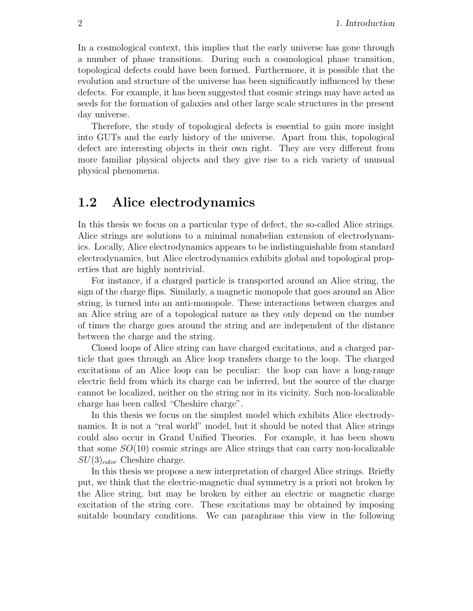In a cosmological context, this implies that the early universe has gone through a number of phase transitions. During such a cosmological phase transition, topological defects could have been formed. Furthermore, it is possible that the evolution and structure of the universe has been significantly influenced by these defects. For example, it has been suggested that cosmic strings may have acted as seeds for the formation of galaxies and other large scale structures in the present day universe.

Therefore, the study of topological defects is essential to gain more insight into GUTs and the early history of the universe. Apart from this, topological defect are interesting objects in their own right. They are very different from more familiar physical objects and they give rise to a rich variety of unusual physical phenomena.

#### 1.2 Alice electrodynamics

In this thesis we focus on a particular type of defect, the so-called Alice strings. Alice strings are solutions to a minimal nonabelian extension of electrodynamics. Locally, Alice electrodynamics appears to be indistinguishable from standard electrodynamics, but Alice electrodynamics exhibits global and topological properties that are highly nontrivial.

For instance, if a charged particle is transported around an Alice string, the sign of the charge flips. Similarly, a magnetic monopole that goes around an Alice string, is turned into an anti-monopole. These interactions between charges and an Alice string are of a topological nature as they only depend on the number of times the charge goes around the string and are independent of the distance between the charge and the string.

Closed loops of Alice string can have charged excitations, and a charged particle that goes through an Alice loop transfers charge to the loop. The charged excitations of an Alice loop can be peculiar: the loop can have a long-range electric field from which its charge can be inferred, but the source of the charge cannot be localized, neither on the string nor in its vicinity. Such non-localizable charge has been called "Cheshire charge".

In this thesis we focus on the simplest model which exhibits Alice electrodynamics. It is not a "real world" model, but it should be noted that Alice strings could also occur in Grand Unified Theories. For example, it has been shown that some  $SO(10)$  cosmic strings are Alice strings that can carry non-localizable  $SU(3)_{color}$  Cheshire charge.

In this thesis we propose a new interpretation of charged Alice strings. Briefly put, we think that the electric-magnetic dual symmetry is a priori not broken by the Alice string, but may be broken by either an electric or magnetic charge excitation of the string core. These excitations may be obtained by imposing suitable boundary conditions. We can paraphrase this view in the following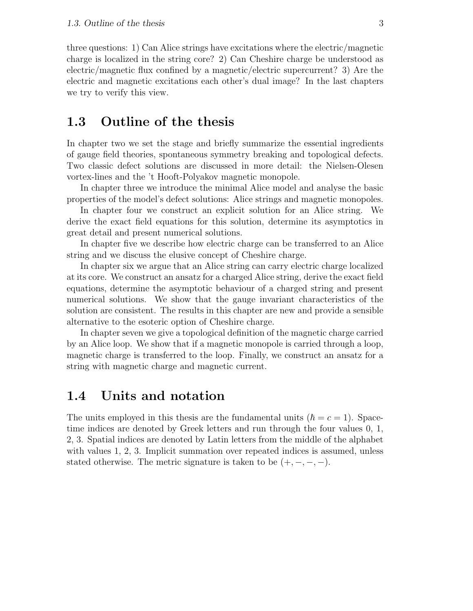three questions: 1) Can Alice strings have excitations where the electric/magnetic charge is localized in the string core? 2) Can Cheshire charge be understood as electric/magnetic flux confined by a magnetic/electric supercurrent? 3) Are the electric and magnetic excitations each other's dual image? In the last chapters we try to verify this view.

### 1.3 Outline of the thesis

In chapter two we set the stage and briefly summarize the essential ingredients of gauge field theories, spontaneous symmetry breaking and topological defects. Two classic defect solutions are discussed in more detail: the Nielsen-Olesen vortex-lines and the 't Hooft-Polyakov magnetic monopole.

In chapter three we introduce the minimal Alice model and analyse the basic properties of the model's defect solutions: Alice strings and magnetic monopoles.

In chapter four we construct an explicit solution for an Alice string. We derive the exact field equations for this solution, determine its asymptotics in great detail and present numerical solutions.

In chapter five we describe how electric charge can be transferred to an Alice string and we discuss the elusive concept of Cheshire charge.

In chapter six we argue that an Alice string can carry electric charge localized at its core. We construct an ansatz for a charged Alice string, derive the exact field equations, determine the asymptotic behaviour of a charged string and present numerical solutions. We show that the gauge invariant characteristics of the solution are consistent. The results in this chapter are new and provide a sensible alternative to the esoteric option of Cheshire charge.

In chapter seven we give a topological definition of the magnetic charge carried by an Alice loop. We show that if a magnetic monopole is carried through a loop, magnetic charge is transferred to the loop. Finally, we construct an ansatz for a string with magnetic charge and magnetic current.

#### 1.4 Units and notation

The units employed in this thesis are the fundamental units  $(\hbar = c = 1)$ . Spacetime indices are denoted by Greek letters and run through the four values 0, 1, 2, 3. Spatial indices are denoted by Latin letters from the middle of the alphabet with values 1, 2, 3. Implicit summation over repeated indices is assumed, unless stated otherwise. The metric signature is taken to be  $(+, -, -, -)$ .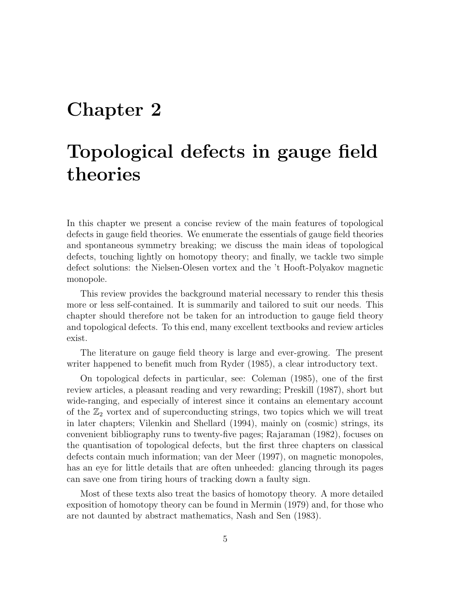## Chapter 2

## Topological defects in gauge field theories

In this chapter we present a concise review of the main features of topological defects in gauge field theories. We enumerate the essentials of gauge field theories and spontaneous symmetry breaking; we discuss the main ideas of topological defects, touching lightly on homotopy theory; and finally, we tackle two simple defect solutions: the Nielsen-Olesen vortex and the 't Hooft-Polyakov magnetic monopole.

This review provides the background material necessary to render this thesis more or less self-contained. It is summarily and tailored to suit our needs. This chapter should therefore not be taken for an introduction to gauge field theory and topological defects. To this end, many excellent textbooks and review articles exist.

The literature on gauge field theory is large and ever-growing. The present writer happened to benefit much from Ryder (1985), a clear introductory text.

On topological defects in particular, see: Coleman (1985), one of the first review articles, a pleasant reading and very rewarding; Preskill (1987), short but wide-ranging, and especially of interest since it contains an elementary account of the  $\mathbb{Z}_2$  vortex and of superconducting strings, two topics which we will treat in later chapters; Vilenkin and Shellard (1994), mainly on (cosmic) strings, its convenient bibliography runs to twenty-five pages; Rajaraman (1982), focuses on the quantisation of topological defects, but the first three chapters on classical defects contain much information; van der Meer (1997), on magnetic monopoles, has an eye for little details that are often unheeded: glancing through its pages can save one from tiring hours of tracking down a faulty sign.

Most of these texts also treat the basics of homotopy theory. A more detailed exposition of homotopy theory can be found in Mermin (1979) and, for those who are not daunted by abstract mathematics, Nash and Sen (1983).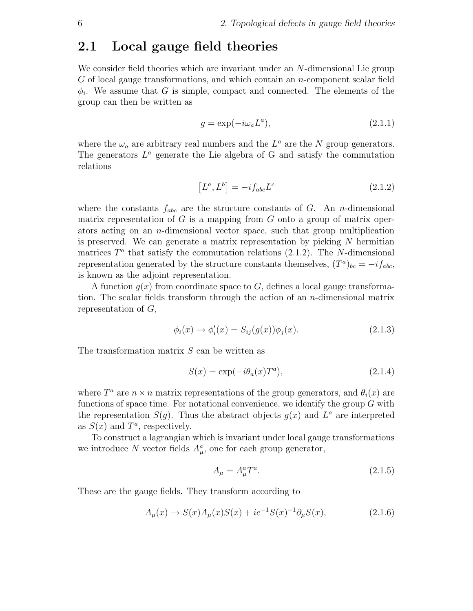#### 2.1 Local gauge field theories

We consider field theories which are invariant under an N-dimensional Lie group G of local gauge transformations, and which contain an n-component scalar field  $\phi_i$ . We assume that G is simple, compact and connected. The elements of the group can then be written as

$$
g = \exp(-i\omega_a L^a),\tag{2.1.1}
$$

where the  $\omega_a$  are arbitrary real numbers and the  $L^a$  are the N group generators. The generators  $L^a$  generate the Lie algebra of G and satisfy the commutation relations

$$
[L^a, L^b] = -i f_{abc} L^c \tag{2.1.2}
$$

where the constants  $f_{abc}$  are the structure constants of G. An n-dimensional matrix representation of  $G$  is a mapping from  $G$  onto a group of matrix operators acting on an n-dimensional vector space, such that group multiplication is preserved. We can generate a matrix representation by picking  $N$  hermitian matrices  $T^a$  that satisfy the commutation relations (2.1.2). The N-dimensional representation generated by the structure constants themselves,  $(T^a)_{bc} = -i f_{abc}$ , is known as the adjoint representation.

A function  $g(x)$  from coordinate space to G, defines a local gauge transformation. The scalar fields transform through the action of an *n*-dimensional matrix representation of  $G$ ,

$$
\phi_i(x) \to \phi'_i(x) = S_{ij}(g(x))\phi_j(x). \tag{2.1.3}
$$

The transformation matrix S can be written as

$$
S(x) = \exp(-i\theta_a(x)T^a),\tag{2.1.4}
$$

where  $T^a$  are  $n \times n$  matrix representations of the group generators, and  $\theta_i(x)$  are functions of space time. For notational convenience, we identify the group  $G$  with the representation  $S(g)$ . Thus the abstract objects  $g(x)$  and  $L^a$  are interpreted as  $S(x)$  and  $T^a$ , respectively.

To construct a lagrangian which is invariant under local gauge transformations we introduce N vector fields  $A^a_\mu$ , one for each group generator,

$$
A_{\mu} = A_{\mu}^{a} T^{a}.
$$
\n
$$
(2.1.5)
$$

These are the gauge fields. They transform according to

$$
A_{\mu}(x) \to S(x)A_{\mu}(x)S(x) + ie^{-1}S(x)^{-1}\partial_{\mu}S(x), \tag{2.1.6}
$$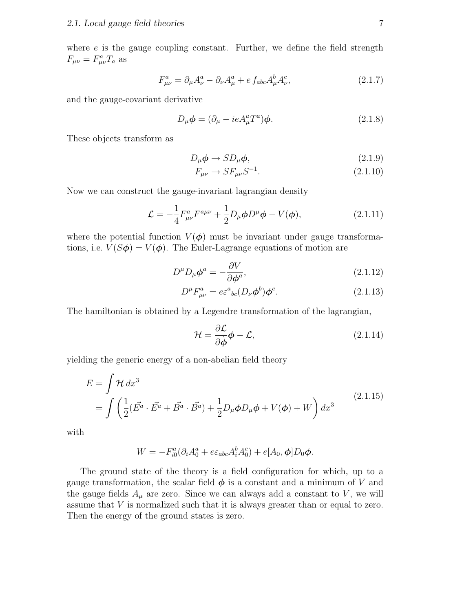where  $e$  is the gauge coupling constant. Further, we define the field strength  $F_{\mu\nu} = F^a_{\mu\nu} T_a$  as

$$
F^{a}_{\mu\nu} = \partial_{\mu}A^{a}_{\nu} - \partial_{\nu}A^{a}_{\mu} + e f_{abc}A^{b}_{\mu}A^{c}_{\nu},
$$
\n(2.1.7)

and the gauge-covariant derivative

$$
D_{\mu}\phi = (\partial_{\mu} - ieA_{\mu}^{a}T^{a})\phi.
$$
 (2.1.8)

These objects transform as

$$
D_{\mu}\phi \to SD_{\mu}\phi, \tag{2.1.9}
$$

$$
F_{\mu\nu} \to SF_{\mu\nu}S^{-1}.\tag{2.1.10}
$$

Now we can construct the gauge-invariant lagrangian density

$$
\mathcal{L} = -\frac{1}{4} F^{a}_{\mu\nu} F^{a\mu\nu} + \frac{1}{2} D_{\mu} \phi D^{\mu} \phi - V(\phi), \qquad (2.1.11)
$$

where the potential function  $V(\phi)$  must be invariant under gauge transformations, i.e.  $V(S\phi) = V(\phi)$ . The Euler-Lagrange equations of motion are

$$
D^{\mu}D_{\mu}\phi^{a} = -\frac{\partial V}{\partial \phi^{a}},\tag{2.1.12}
$$

$$
D^{\mu}F^{a}_{\mu\nu} = e\varepsilon^{a}{}_{bc}(D_{\nu}\phi^{b})\phi^{c}.
$$
 (2.1.13)

The hamiltonian is obtained by a Legendre transformation of the lagrangian,

$$
\mathcal{H} = \frac{\partial \mathcal{L}}{\partial \dot{\phi}} \phi - \mathcal{L},\tag{2.1.14}
$$

yielding the generic energy of a non-abelian field theory

$$
E = \int \mathcal{H} dx^3
$$
  
= 
$$
\int \left( \frac{1}{2} (\vec{E^a} \cdot \vec{E^a} + \vec{B^a} \cdot \vec{B^a}) + \frac{1}{2} D_\mu \phi D_\mu \phi + V(\phi) + W \right) dx^3
$$
 (2.1.15)

with

$$
W = -F_{i0}^a(\partial_i A_0^a + e\varepsilon_{abc} A_i^b A_0^c) + e[A_0, \phi] D_0 \phi.
$$

The ground state of the theory is a field configuration for which, up to a gauge transformation, the scalar field  $\phi$  is a constant and a minimum of V and the gauge fields  $A_\mu$  are zero. Since we can always add a constant to V, we will assume that V is normalized such that it is always greater than or equal to zero. Then the energy of the ground states is zero.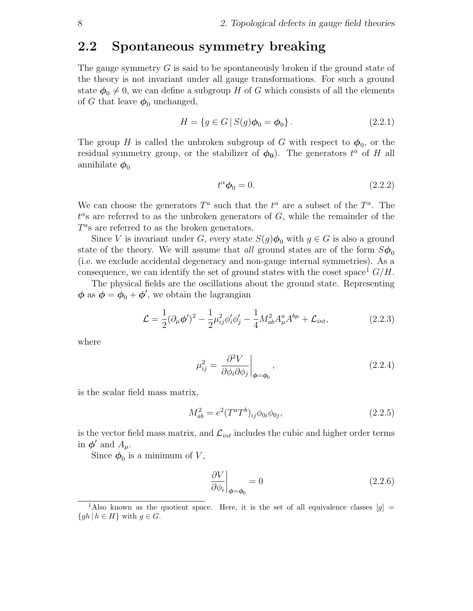#### 2.2 Spontaneous symmetry breaking

The gauge symmetry  $G$  is said to be spontaneously broken if the ground state of the theory is not invariant under all gauge transformations. For such a ground state  $\phi_0 \neq 0$ , we can define a subgroup H of G which consists of all the elements of G that leave  $\phi_0$  unchanged,

$$
H = \{ g \in G \, | \, S(g)\phi_0 = \phi_0 \}. \tag{2.2.1}
$$

The group H is called the unbroken subgroup of G with respect to  $\phi_0$ , or the residual symmetry group, or the stabilizer of  $\phi_0$ ). The generators  $t^{\alpha}$  of H all annihilate  $\phi_0$ 

$$
t^{\alpha}\phi_0 = 0. \tag{2.2.2}
$$

We can choose the generators  $T^a$  such that the  $t^{\alpha}$  are a subset of the  $T^a$ . The  $t^{\alpha}$ s are referred to as the unbroken generators of G, while the remainder of the  $T^a$ s are referred to as the broken generators.

Since V is invariant under G, every state  $S(g)\phi_0$  with  $g \in G$  is also a ground state of the theory. We will assume that all ground states are of the form  $S\phi_0$ (i.e. we exclude accidental degeneracy and non-gauge internal symmetries). As a consequence, we can identify the set of ground states with the coset space  $\frac{1}{2} G/H$ .

The physical fields are the oscillations about the ground state. Representing  $\phi$  as  $\phi = \phi_0 + \phi'$ , we obtain the lagrangian

$$
\mathcal{L} = \frac{1}{2} (\partial_{\mu} \phi')^2 - \frac{1}{2} \mu_{ij}^2 \phi'_i \phi'_j - \frac{1}{4} M_{ab}^2 A_{\mu}^a A^{b\mu} + \mathcal{L}_{int},
$$
 (2.2.3)

where

$$
\mu_{ij}^2 = \left. \frac{\partial^2 V}{\partial \phi_i \partial \phi_j} \right|_{\phi = \phi_0},\tag{2.2.4}
$$

is the scalar field mass matrix,

$$
M_{ab}^2 = e^2 (T^a T^b)_{ij} \phi_{0i} \phi_{0j}, \qquad (2.2.5)
$$

is the vector field mass matrix, and  $\mathcal{L}_{int}$  includes the cubic and higher order terms in  $\phi'$  and  $A_\mu$ .

Since  $\phi_0$  is a minimum of V,

$$
\left. \frac{\partial V}{\partial \phi_i} \right|_{\phi = \phi_0} = 0 \tag{2.2.6}
$$

<sup>&</sup>lt;sup>1</sup>Also known as the quotient space. Here, it is the set of all equivalence classes  $[g]$  =  ${gh | h \in H}$  with  $g \in G$ .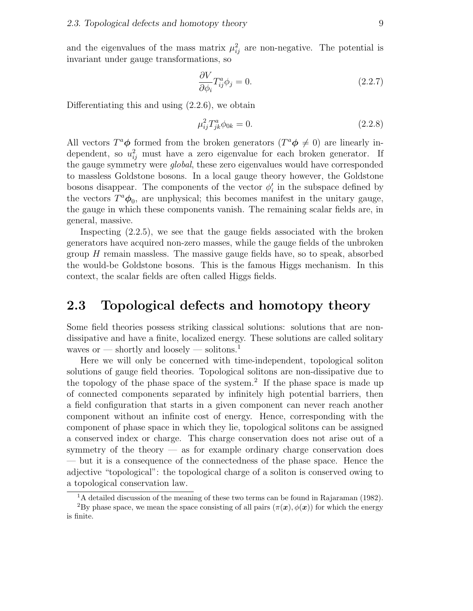and the eigenvalues of the mass matrix  $\mu_{ij}^2$  are non-negative. The potential is invariant under gauge transformations, so

$$
\frac{\partial V}{\partial \phi_i} T_{ij}^a \phi_j = 0. \tag{2.2.7}
$$

Differentiating this and using (2.2.6), we obtain

$$
\mu_{ij}^2 T_{jk}^a \phi_{0k} = 0. \tag{2.2.8}
$$

All vectors  $T^a \phi$  formed from the broken generators  $(T^a \phi \neq 0)$  are linearly independent, so  $u_{ij}^2$  must have a zero eigenvalue for each broken generator. If the gauge symmetry were global, these zero eigenvalues would have corresponded to massless Goldstone bosons. In a local gauge theory however, the Goldstone bosons disappear. The components of the vector  $\phi_i'$  in the subspace defined by the vectors  $T^a \phi_0$ , are unphysical; this becomes manifest in the unitary gauge, the gauge in which these components vanish. The remaining scalar fields are, in general, massive.

Inspecting (2.2.5), we see that the gauge fields associated with the broken generators have acquired non-zero masses, while the gauge fields of the unbroken group  $H$  remain massless. The massive gauge fields have, so to speak, absorbed the would-be Goldstone bosons. This is the famous Higgs mechanism. In this context, the scalar fields are often called Higgs fields.

#### 2.3 Topological defects and homotopy theory

Some field theories possess striking classical solutions: solutions that are nondissipative and have a finite, localized energy. These solutions are called solitary waves or — shortly and loosely — solitons.<sup>1</sup>

Here we will only be concerned with time-independent, topological soliton solutions of gauge field theories. Topological solitons are non-dissipative due to the topology of the phase space of the system.<sup>2</sup> If the phase space is made up of connected components separated by infinitely high potential barriers, then a field configuration that starts in a given component can never reach another component without an infinite cost of energy. Hence, corresponding with the component of phase space in which they lie, topological solitons can be assigned a conserved index or charge. This charge conservation does not arise out of a symmetry of the theory — as for example ordinary charge conservation does — but it is a consequence of the connectedness of the phase space. Hence the adjective "topological": the topological charge of a soliton is conserved owing to a topological conservation law.

<sup>&</sup>lt;sup>1</sup>A detailed discussion of the meaning of these two terms can be found in Rajaraman (1982). <sup>2</sup>By phase space, we mean the space consisting of all pairs  $(\pi(\bm{x}), \phi(\bm{x}))$  for which the energy is finite.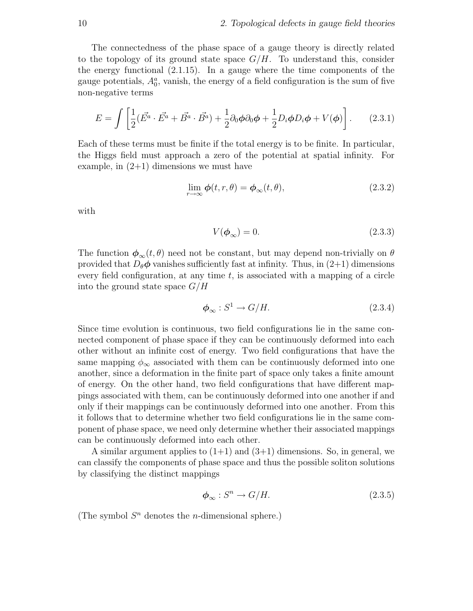The connectedness of the phase space of a gauge theory is directly related to the topology of its ground state space  $G/H$ . To understand this, consider the energy functional (2.1.15). In a gauge where the time components of the gauge potentials,  $A_0^a$ , vanish, the energy of a field configuration is the sum of five non-negative terms

$$
E = \int \left[ \frac{1}{2} (\vec{E^a} \cdot \vec{E^a} + \vec{B^a} \cdot \vec{B^a}) + \frac{1}{2} \partial_0 \phi \partial_0 \phi + \frac{1}{2} D_i \phi D_i \phi + V(\phi) \right]. \tag{2.3.1}
$$

Each of these terms must be finite if the total energy is to be finite. In particular, the Higgs field must approach a zero of the potential at spatial infinity. For example, in  $(2+1)$  dimensions we must have

$$
\lim_{r \to \infty} \phi(t, r, \theta) = \phi_{\infty}(t, \theta), \tag{2.3.2}
$$

with

$$
V(\phi_{\infty}) = 0. \tag{2.3.3}
$$

The function  $\phi_{\infty}(t,\theta)$  need not be constant, but may depend non-trivially on  $\theta$ provided that  $D_{\theta} \phi$  vanishes sufficiently fast at infinity. Thus, in  $(2+1)$  dimensions every field configuration, at any time  $t$ , is associated with a mapping of a circle into the ground state space  $G/H$ 

$$
\phi_{\infty}: S^1 \to G/H. \tag{2.3.4}
$$

Since time evolution is continuous, two field configurations lie in the same connected component of phase space if they can be continuously deformed into each other without an infinite cost of energy. Two field configurations that have the same mapping  $\phi_{\infty}$  associated with them can be continuously deformed into one another, since a deformation in the finite part of space only takes a finite amount of energy. On the other hand, two field configurations that have different mappings associated with them, can be continuously deformed into one another if and only if their mappings can be continuously deformed into one another. From this it follows that to determine whether two field configurations lie in the same component of phase space, we need only determine whether their associated mappings can be continuously deformed into each other.

A similar argument applies to  $(1+1)$  and  $(3+1)$  dimensions. So, in general, we can classify the components of phase space and thus the possible soliton solutions by classifying the distinct mappings

$$
\phi_{\infty}: S^n \to G/H. \tag{2.3.5}
$$

(The symbol  $S<sup>n</sup>$  denotes the *n*-dimensional sphere.)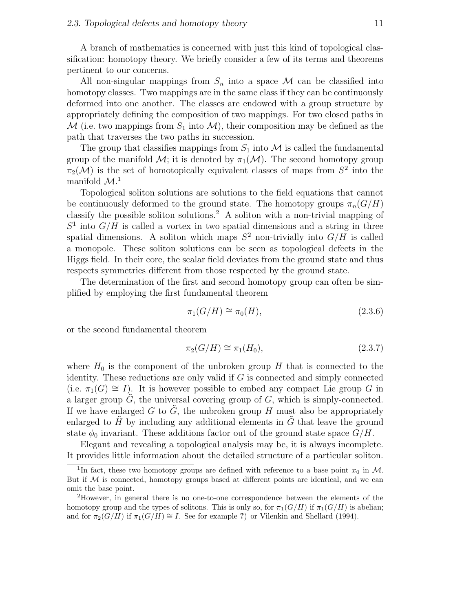A branch of mathematics is concerned with just this kind of topological classification: homotopy theory. We briefly consider a few of its terms and theorems pertinent to our concerns.

All non-singular mappings from  $S_n$  into a space M can be classified into homotopy classes. Two mappings are in the same class if they can be continuously deformed into one another. The classes are endowed with a group structure by appropriately defining the composition of two mappings. For two closed paths in  $\mathcal M$  (i.e. two mappings from  $S_1$  into  $\mathcal M$ ), their composition may be defined as the path that traverses the two paths in succession.

The group that classifies mappings from  $S_1$  into M is called the fundamental group of the manifold  $\mathcal{M}$ ; it is denoted by  $\pi_1(\mathcal{M})$ . The second homotopy group  $\pi_2(\mathcal{M})$  is the set of homotopically equivalent classes of maps from  $S^2$  into the manifold  $\mathcal{M}$ <sup>1</sup>

Topological soliton solutions are solutions to the field equations that cannot be continuously deformed to the ground state. The homotopy groups  $\pi_n(G/H)$ classify the possible soliton solutions.<sup>2</sup> A soliton with a non-trivial mapping of  $S<sup>1</sup>$  into  $G/H$  is called a vortex in two spatial dimensions and a string in three spatial dimensions. A soliton which maps  $S^2$  non-trivially into  $G/H$  is called a monopole. These soliton solutions can be seen as topological defects in the Higgs field. In their core, the scalar field deviates from the ground state and thus respects symmetries different from those respected by the ground state.

The determination of the first and second homotopy group can often be simplified by employing the first fundamental theorem

$$
\pi_1(G/H) \cong \pi_0(H),\tag{2.3.6}
$$

or the second fundamental theorem

$$
\pi_2(G/H) \cong \pi_1(H_0),\tag{2.3.7}
$$

where  $H_0$  is the component of the unbroken group H that is connected to the identity. These reductions are only valid if G is connected and simply connected (i.e.  $\pi_1(G) \cong I$ ). It is however possible to embed any compact Lie group G in a larger group  $G$ , the universal covering group of  $G$ , which is simply-connected. If we have enlarged G to  $\tilde{G}$ , the unbroken group H must also be appropriately enlarged to  $\hat{H}$  by including any additional elements in  $\hat{G}$  that leave the ground state  $\phi_0$  invariant. These additions factor out of the ground state space  $G/H$ .

Elegant and revealing a topological analysis may be, it is always incomplete. It provides little information about the detailed structure of a particular soliton.

<sup>&</sup>lt;sup>1</sup>In fact, these two homotopy groups are defined with reference to a base point  $x_0$  in M. But if  $M$  is connected, homotopy groups based at different points are identical, and we can omit the base point.

<sup>2</sup>However, in general there is no one-to-one correspondence between the elements of the homotopy group and the types of solitons. This is only so, for  $\pi_1(G/H)$  if  $\pi_1(G/H)$  is abelian; and for  $\pi_2(G/H)$  if  $\pi_1(G/H) \cong I$ . See for example ?) or Vilenkin and Shellard (1994).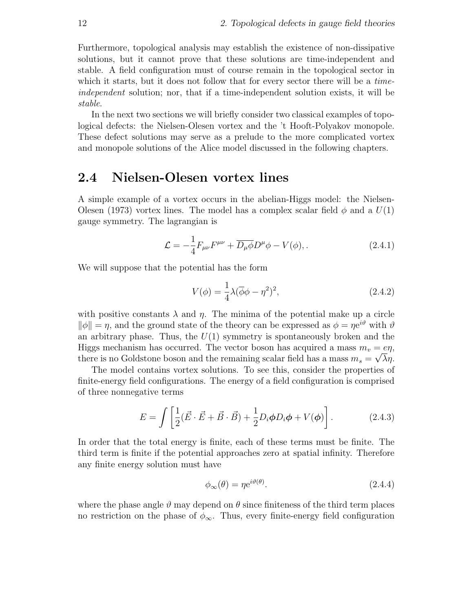Furthermore, topological analysis may establish the existence of non-dissipative solutions, but it cannot prove that these solutions are time-independent and stable. A field configuration must of course remain in the topological sector in which it starts, but it does not follow that for every sector there will be a *time*independent solution; nor, that if a time-independent solution exists, it will be stable.

In the next two sections we will briefly consider two classical examples of topological defects: the Nielsen-Olesen vortex and the 't Hooft-Polyakov monopole. These defect solutions may serve as a prelude to the more complicated vortex and monopole solutions of the Alice model discussed in the following chapters.

#### 2.4 Nielsen-Olesen vortex lines

A simple example of a vortex occurs in the abelian-Higgs model: the Nielsen-Olesen (1973) vortex lines. The model has a complex scalar field  $\phi$  and a  $U(1)$ gauge symmetry. The lagrangian is

$$
\mathcal{L} = -\frac{1}{4}F_{\mu\nu}F^{\mu\nu} + \overline{D_{\mu}\phi}D^{\mu}\phi - V(\phi), \qquad (2.4.1)
$$

We will suppose that the potential has the form

$$
V(\phi) = \frac{1}{4}\lambda(\overline{\phi}\phi - \eta^2)^2,
$$
\n(2.4.2)

with positive constants  $\lambda$  and  $\eta$ . The minima of the potential make up a circle  $\|\phi\| = \eta$ , and the ground state of the theory can be expressed as  $\phi = \eta e^{i\theta}$  with  $\theta$ an arbitrary phase. Thus, the  $U(1)$  symmetry is spontaneously broken and the Higgs mechanism has occurred. The vector boson has acquired a mass  $m_v = e\eta$ , there is no Goldstone boson and the remaining scalar field has a mass  $m_s = \sqrt{\lambda} \eta$ .

The model contains vortex solutions. To see this, consider the properties of finite-energy field configurations. The energy of a field configuration is comprised of three nonnegative terms

$$
E = \int \left[ \frac{1}{2} (\vec{E} \cdot \vec{E} + \vec{B} \cdot \vec{B}) + \frac{1}{2} D_i \phi D_i \phi + V(\phi) \right].
$$
 (2.4.3)

In order that the total energy is finite, each of these terms must be finite. The third term is finite if the potential approaches zero at spatial infinity. Therefore any finite energy solution must have

$$
\phi_{\infty}(\theta) = \eta e^{i\vartheta(\theta)}.
$$
\n(2.4.4)

where the phase angle  $\vartheta$  may depend on  $\theta$  since finiteness of the third term places no restriction on the phase of  $\phi_{\infty}$ . Thus, every finite-energy field configuration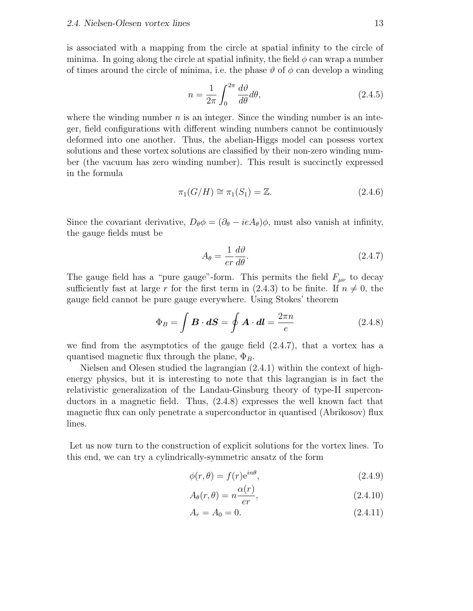is associated with a mapping from the circle at spatial infinity to the circle of minima. In going along the circle at spatial infinity, the field  $\phi$  can wrap a number of times around the circle of minima, i.e. the phase  $\vartheta$  of  $\phi$  can develop a winding

$$
n = \frac{1}{2\pi} \int_0^{2\pi} \frac{d\vartheta}{d\theta} d\theta, \qquad (2.4.5)
$$

where the winding number  $n$  is an integer. Since the winding number is an integer, field configurations with different winding numbers cannot be continuously deformed into one another. Thus, the abelian-Higgs model can possess vortex solutions and these vortex solutions are classified by their non-zero winding number (the vacuum has zero winding number). This result is succinctly expressed in the formula

$$
\pi_1(G/H) \cong \pi_1(S_1) = \mathbb{Z}.\tag{2.4.6}
$$

Since the covariant derivative,  $D_{\theta} \phi = (\partial_{\theta} - ieA_{\theta})\phi$ , must also vanish at infinity, the gauge fields must be

$$
A_{\theta} = \frac{1}{er} \frac{d\vartheta}{d\theta}.
$$
\n(2.4.7)

The gauge field has a "pure gauge"-form. This permits the field  $F_{\mu\nu}$  to decay sufficiently fast at large r for the first term in (2.4.3) to be finite. If  $n \neq 0$ , the gauge field cannot be pure gauge everywhere. Using Stokes' theorem

$$
\Phi_B = \int \boldsymbol{B} \cdot d\boldsymbol{S} = \oint \boldsymbol{A} \cdot d\boldsymbol{l} = \frac{2\pi n}{e} \tag{2.4.8}
$$

we find from the asymptotics of the gauge field  $(2.4.7)$ , that a vortex has a quantised magnetic flux through the plane,  $\Phi_B$ .

Nielsen and Olesen studied the lagrangian (2.4.1) within the context of highenergy physics, but it is interesting to note that this lagrangian is in fact the relativistic generalization of the Landau-Ginsburg theory of type-II superconductors in a magnetic field. Thus, (2.4.8) expresses the well known fact that magnetic flux can only penetrate a superconductor in quantised (Abrikosov) flux lines.

Let us now turn to the construction of explicit solutions for the vortex lines. To this end, we can try a cylindrically-symmetric ansatz of the form

$$
\phi(r,\theta) = f(r)e^{in\theta},\tag{2.4.9}
$$

$$
A_{\theta}(r,\theta) = n \frac{\alpha(r)}{er},\tag{2.4.10}
$$

$$
A_r = A_0 = 0. \t\t(2.4.11)
$$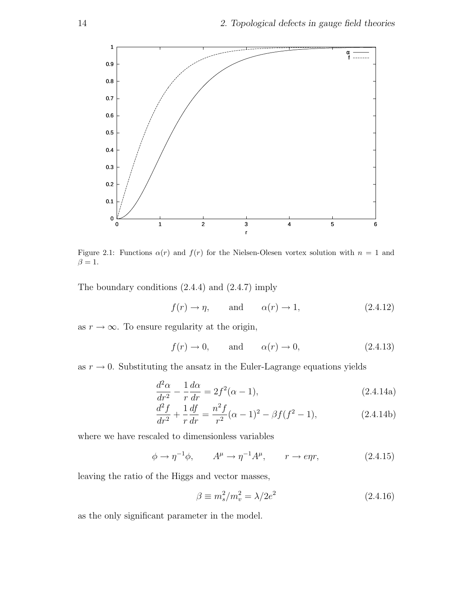

Figure 2.1: Functions  $\alpha(r)$  and  $f(r)$  for the Nielsen-Olesen vortex solution with  $n = 1$  and  $\beta = 1.$ 

The boundary conditions (2.4.4) and (2.4.7) imply

$$
f(r) \to \eta
$$
, and  $\alpha(r) \to 1$ , (2.4.12)

as  $r \to \infty$ . To ensure regularity at the origin,

$$
f(r) \to 0
$$
, and  $\alpha(r) \to 0$ , (2.4.13)

as  $r \to 0$ . Substituting the ansatz in the Euler-Lagrange equations yields

$$
\frac{d^2\alpha}{dr^2} - \frac{1}{r}\frac{d\alpha}{dr} = 2f^2(\alpha - 1),\tag{2.4.14a}
$$

$$
\frac{d^2f}{dr^2} + \frac{1}{r}\frac{df}{dr} = \frac{n^2f}{r^2}(\alpha - 1)^2 - \beta f(f^2 - 1),\tag{2.4.14b}
$$

where we have rescaled to dimensionless variables

$$
\phi \to \eta^{-1}\phi, \qquad A^{\mu} \to \eta^{-1}A^{\mu}, \qquad r \to e\eta r, \tag{2.4.15}
$$

leaving the ratio of the Higgs and vector masses,

$$
\beta \equiv m_s^2/m_v^2 = \lambda/2e^2 \tag{2.4.16}
$$

as the only significant parameter in the model.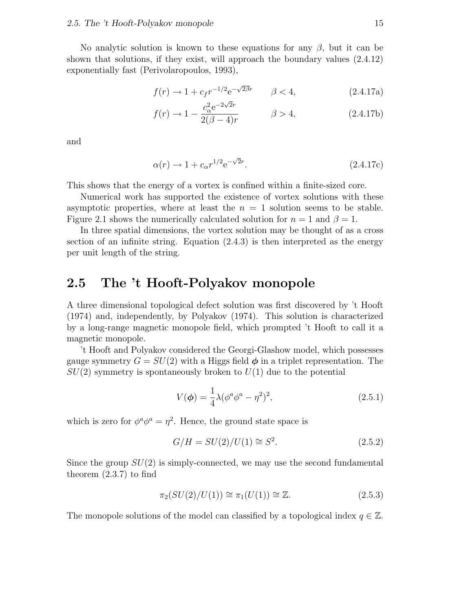No analytic solution is known to these equations for any  $\beta$ , but it can be shown that solutions, if they exist, will approach the boundary values (2.4.12) exponentially fast (Perivolaropoulos, 1993),

$$
f(r) \to 1 + c_f r^{-1/2} e^{-\sqrt{2\beta}r} \qquad \beta < 4,\tag{2.4.17a}
$$

$$
f(r) \to 1 - \frac{c_{\alpha}^2 e^{-2\sqrt{2}r}}{2(\beta - 4)r} \qquad \beta > 4,
$$
 (2.4.17b)

and

$$
\alpha(r) \to 1 + c_{\alpha} r^{1/2} e^{-\sqrt{2}r}.
$$
 (2.4.17c)

This shows that the energy of a vortex is confined within a finite-sized core.

Numerical work has supported the existence of vortex solutions with these asymptotic properties, where at least the  $n = 1$  solution seems to be stable. Figure 2.1 shows the numerically calculated solution for  $n = 1$  and  $\beta = 1$ .

In three spatial dimensions, the vortex solution may be thought of as a cross section of an infinite string. Equation (2.4.3) is then interpreted as the energy per unit length of the string.

### 2.5 The 't Hooft-Polyakov monopole

A three dimensional topological defect solution was first discovered by 't Hooft (1974) and, independently, by Polyakov (1974). This solution is characterized by a long-range magnetic monopole field, which prompted 't Hooft to call it a magnetic monopole.

't Hooft and Polyakov considered the Georgi-Glashow model, which possesses gauge symmetry  $G = SU(2)$  with a Higgs field  $\phi$  in a triplet representation. The  $SU(2)$  symmetry is spontaneously broken to  $U(1)$  due to the potential

$$
V(\phi) = \frac{1}{4}\lambda(\phi^a \phi^a - \eta^2)^2,
$$
\n(2.5.1)

which is zero for  $\phi^a \phi^a = \eta^2$ . Hence, the ground state space is

$$
G/H = SU(2)/U(1) \cong S^2. \tag{2.5.2}
$$

Since the group  $SU(2)$  is simply-connected, we may use the second fundamental theorem (2.3.7) to find

$$
\pi_2(SU(2)/U(1)) \cong \pi_1(U(1)) \cong \mathbb{Z}.
$$
\n(2.5.3)

The monopole solutions of the model can classified by a topological index  $q \in \mathbb{Z}$ .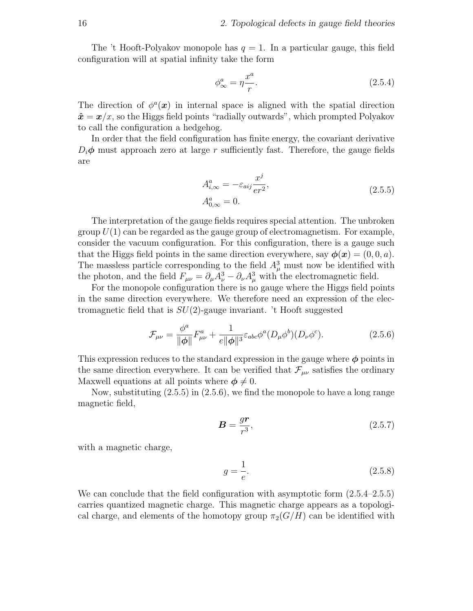The 't Hooft-Polyakov monopole has  $q = 1$ . In a particular gauge, this field configuration will at spatial infinity take the form

$$
\phi^a_{\infty} = \eta \frac{x^a}{r}.\tag{2.5.4}
$$

The direction of  $\phi^a(x)$  in internal space is aligned with the spatial direction  $\hat{\mathbf{x}} = \mathbf{x}/x$ , so the Higgs field points "radially outwards", which prompted Polyakov to call the configuration a hedgehog.

In order that the field configuration has finite energy, the covariant derivative  $D_i\phi$  must approach zero at large r sufficiently fast. Therefore, the gauge fields are

$$
A_{i,\infty}^a = -\varepsilon_{aij} \frac{x^j}{er^2},
$$
  
\n
$$
A_{0,\infty}^a = 0.
$$
\n(2.5.5)

The interpretation of the gauge fields requires special attention. The unbroken group  $U(1)$  can be regarded as the gauge group of electromagnetism. For example, consider the vacuum configuration. For this configuration, there is a gauge such that the Higgs field points in the same direction everywhere, say  $\phi(\mathbf{x}) = (0, 0, a)$ . The massless particle corresponding to the field  $A^3_\mu$  must now be identified with the photon, and the field  $F_{\mu\nu} = \partial_{\mu}A_{\nu}^3 - \partial_{\nu}A_{\mu}^3$  with the electromagnetic field.

For the monopole configuration there is no gauge where the Higgs field points in the same direction everywhere. We therefore need an expression of the electromagnetic field that is  $SU(2)$ -gauge invariant. 't Hooft suggested

$$
\mathcal{F}_{\mu\nu} = \frac{\phi^a}{\|\phi\|} F^a_{\mu\nu} + \frac{1}{e\|\phi\|^3} \varepsilon_{abc} \phi^a (D_\mu \phi^b) (D_\nu \phi^c). \tag{2.5.6}
$$

This expression reduces to the standard expression in the gauge where  $\phi$  points in the same direction everywhere. It can be verified that  $\mathcal{F}_{\mu\nu}$  satisfies the ordinary Maxwell equations at all points where  $\phi \neq 0$ .

Now, substituting (2.5.5) in (2.5.6), we find the monopole to have a long range magnetic field,

$$
B = \frac{gr}{r^3},\tag{2.5.7}
$$

with a magnetic charge,

$$
g = \frac{1}{e}.\tag{2.5.8}
$$

We can conclude that the field configuration with asymptotic form  $(2.5.4-2.5.5)$ carries quantized magnetic charge. This magnetic charge appears as a topological charge, and elements of the homotopy group  $\pi_2(G/H)$  can be identified with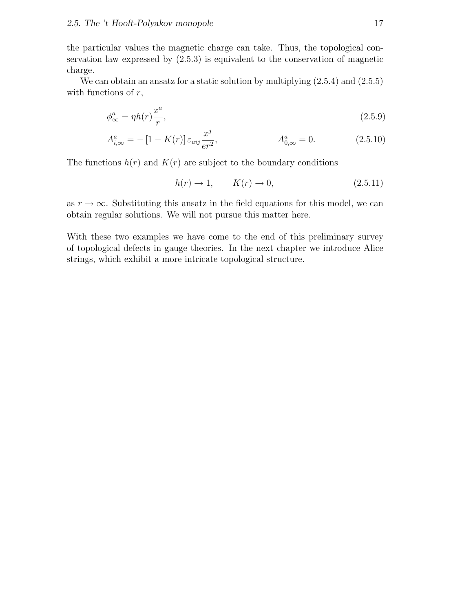the particular values the magnetic charge can take. Thus, the topological conservation law expressed by (2.5.3) is equivalent to the conservation of magnetic charge.

We can obtain an ansatz for a static solution by multiplying  $(2.5.4)$  and  $(2.5.5)$ with functions of  $r$ ,

$$
\phi^a_{\infty} = \eta h(r) \frac{x^a}{r},\tag{2.5.9}
$$

$$
A^{a}_{i,\infty} = -[1 - K(r)] \varepsilon_{aij} \frac{x^{j}}{er^{2}}, \qquad A^{a}_{0,\infty} = 0.
$$
 (2.5.10)

The functions  $h(r)$  and  $K(r)$  are subject to the boundary conditions

$$
h(r) \to 1, \qquad K(r) \to 0,\tag{2.5.11}
$$

as  $r \to \infty$ . Substituting this ansatz in the field equations for this model, we can obtain regular solutions. We will not pursue this matter here.

With these two examples we have come to the end of this preliminary survey of topological defects in gauge theories. In the next chapter we introduce Alice strings, which exhibit a more intricate topological structure.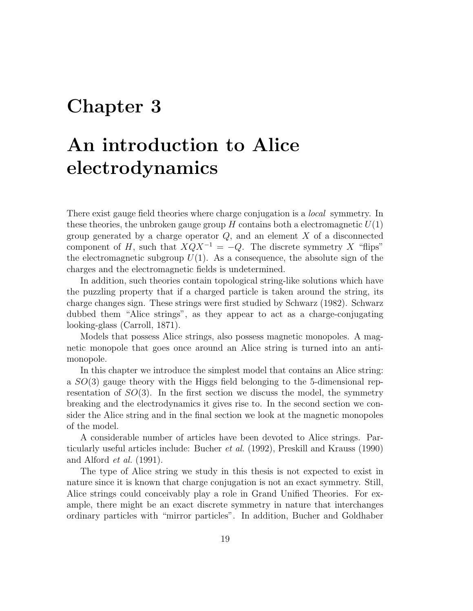## Chapter 3

## An introduction to Alice electrodynamics

There exist gauge field theories where charge conjugation is a *local* symmetry. In these theories, the unbroken gauge group  $H$  contains both a electromagnetic  $U(1)$ group generated by a charge operator  $Q$ , and an element  $X$  of a disconnected component of H, such that  $XQX^{-1} = -Q$ . The discrete symmetry X "flips" the electromagnetic subgroup  $U(1)$ . As a consequence, the absolute sign of the charges and the electromagnetic fields is undetermined.

In addition, such theories contain topological string-like solutions which have the puzzling property that if a charged particle is taken around the string, its charge changes sign. These strings were first studied by Schwarz (1982). Schwarz dubbed them "Alice strings", as they appear to act as a charge-conjugating looking-glass (Carroll, 1871).

Models that possess Alice strings, also possess magnetic monopoles. A magnetic monopole that goes once around an Alice string is turned into an antimonopole.

In this chapter we introduce the simplest model that contains an Alice string: a SO(3) gauge theory with the Higgs field belonging to the 5-dimensional representation of  $SO(3)$ . In the first section we discuss the model, the symmetry breaking and the electrodynamics it gives rise to. In the second section we consider the Alice string and in the final section we look at the magnetic monopoles of the model.

A considerable number of articles have been devoted to Alice strings. Particularly useful articles include: Bucher et al. (1992), Preskill and Krauss (1990) and Alford et al. (1991).

The type of Alice string we study in this thesis is not expected to exist in nature since it is known that charge conjugation is not an exact symmetry. Still, Alice strings could conceivably play a role in Grand Unified Theories. For example, there might be an exact discrete symmetry in nature that interchanges ordinary particles with "mirror particles". In addition, Bucher and Goldhaber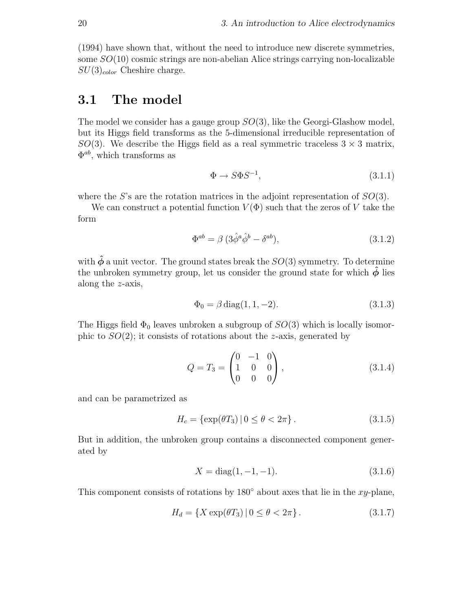(1994) have shown that, without the need to introduce new discrete symmetries, some SO(10) cosmic strings are non-abelian Alice strings carrying non-localizable  $SU(3)_{color}$  Cheshire charge.

### 3.1 The model

The model we consider has a gauge group  $SO(3)$ , like the Georgi-Glashow model, but its Higgs field transforms as the 5-dimensional irreducible representation of  $SO(3)$ . We describe the Higgs field as a real symmetric traceless  $3 \times 3$  matrix,  $\Phi^{ab}$ , which transforms as

$$
\Phi \to S\Phi S^{-1},\tag{3.1.1}
$$

where the S's are the rotation matrices in the adjoint representation of  $SO(3)$ .

We can construct a potential function  $V(\Phi)$  such that the zeros of V take the form

$$
\Phi^{ab} = \beta \left( 3\hat{\phi}^a \hat{\phi}^b - \delta^{ab} \right),\tag{3.1.2}
$$

with  $\hat{\phi}$  a unit vector. The ground states break the  $SO(3)$  symmetry. To determine the unbroken symmetry group, let us consider the ground state for which  $\ddot{\phi}$  lies along the z-axis,

$$
\Phi_0 = \beta \operatorname{diag}(1, 1, -2). \tag{3.1.3}
$$

The Higgs field  $\Phi_0$  leaves unbroken a subgroup of  $SO(3)$  which is locally isomorphic to  $SO(2)$ ; it consists of rotations about the *z*-axis, generated by

$$
Q = T_3 = \begin{pmatrix} 0 & -1 & 0 \\ 1 & 0 & 0 \\ 0 & 0 & 0 \end{pmatrix}, \tag{3.1.4}
$$

and can be parametrized as

$$
H_c = \{ \exp(\theta T_3) \, | \, 0 \le \theta < 2\pi \}. \tag{3.1.5}
$$

But in addition, the unbroken group contains a disconnected component generated by

$$
X = diag(1, -1, -1).
$$
 (3.1.6)

This component consists of rotations by  $180^\circ$  about axes that lie in the xy-plane,

$$
H_d = \{ X \exp(\theta T_3) | 0 \le \theta < 2\pi \}.
$$
 (3.1.7)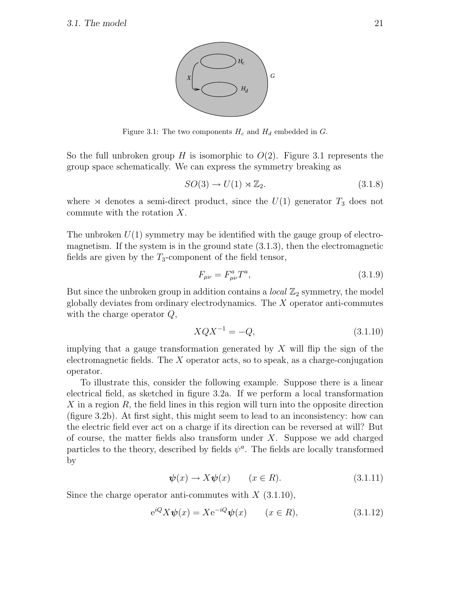

Figure 3.1: The two components  $H_c$  and  $H_d$  embedded in  $G$ .

So the full unbroken group H is isomorphic to  $O(2)$ . Figure 3.1 represents the group space schematically. We can express the symmetry breaking as

$$
SO(3) \to U(1) \rtimes \mathbb{Z}_2. \tag{3.1.8}
$$

where  $\infty$  denotes a semi-direct product, since the  $U(1)$  generator  $T_3$  does not commute with the rotation X.

The unbroken  $U(1)$  symmetry may be identified with the gauge group of electromagnetism. If the system is in the ground state (3.1.3), then the electromagnetic fields are given by the  $T_3$ -component of the field tensor,

$$
F_{\mu\nu} = F_{\mu\nu}^a T^a, \tag{3.1.9}
$$

But since the unbroken group in addition contains a *local*  $\mathbb{Z}_2$  symmetry, the model globally deviates from ordinary electrodynamics. The X operator anti-commutes with the charge operator Q,

$$
XQX^{-1} = -Q,\t\t(3.1.10)
$$

implying that a gauge transformation generated by  $X$  will flip the sign of the electromagnetic fields. The  $X$  operator acts, so to speak, as a charge-conjugation operator.

To illustrate this, consider the following example. Suppose there is a linear electrical field, as sketched in figure 3.2a. If we perform a local transformation  $X$  in a region  $R$ , the field lines in this region will turn into the opposite direction (figure 3.2b). At first sight, this might seem to lead to an inconsistency: how can the electric field ever act on a charge if its direction can be reversed at will? But of course, the matter fields also transform under  $X$ . Suppose we add charged particles to the theory, described by fields  $\psi^a$ . The fields are locally transformed by

$$
\psi(x) \to X\psi(x) \qquad (x \in R). \tag{3.1.11}
$$

Since the charge operator anti-commutes with  $X$  (3.1.10),

$$
e^{iQ}X\psi(x) = Xe^{-iQ}\psi(x) \qquad (x \in R), \tag{3.1.12}
$$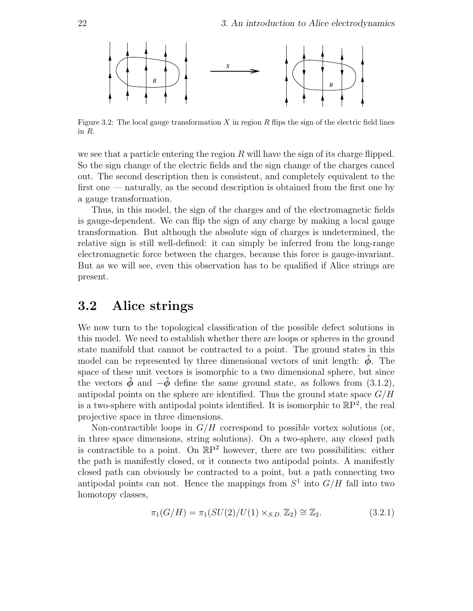

Figure 3.2: The local gauge transformation  $X$  in region  $R$  flips the sign of the electric field lines in R.

we see that a particle entering the region  $R$  will have the sign of its charge flipped. So the sign change of the electric fields and the sign change of the charges cancel out. The second description then is consistent, and completely equivalent to the first one — naturally, as the second description is obtained from the first one by a gauge transformation.

Thus, in this model, the sign of the charges and of the electromagnetic fields is gauge-dependent. We can flip the sign of any charge by making a local gauge transformation. But although the absolute sign of charges is undetermined, the relative sign is still well-defined: it can simply be inferred from the long-range electromagnetic force between the charges, because this force is gauge-invariant. But as we will see, even this observation has to be qualified if Alice strings are present.

#### 3.2 Alice strings

We now turn to the topological classification of the possible defect solutions in this model. We need to establish whether there are loops or spheres in the ground state manifold that cannot be contracted to a point. The ground states in this model can be represented by three dimensional vectors of unit length:  $\hat{\phi}$ . The space of these unit vectors is isomorphic to a two dimensional sphere, but since the vectors  $\hat{\phi}$  and  $-\hat{\phi}$  define the same ground state, as follows from (3.1.2), antipodal points on the sphere are identified. Thus the ground state space  $G/H$ is a two-sphere with antipodal points identified. It is isomorphic to  $\mathbb{R}P^2$ , the real projective space in three dimensions.

Non-contractible loops in  $G/H$  correspond to possible vortex solutions (or, in three space dimensions, string solutions). On a two-sphere, any closed path is contractible to a point. On  $\mathbb{R}P^2$  however, there are two possibilities: either the path is manifestly closed, or it connects two antipodal points. A manifestly closed path can obviously be contracted to a point, but a path connecting two antipodal points can not. Hence the mappings from  $S^1$  into  $G/H$  fall into two homotopy classes,

$$
\pi_1(G/H) = \pi_1(SU(2)/U(1) \times_{S.D.} \mathbb{Z}_2) \cong \mathbb{Z}_2. \tag{3.2.1}
$$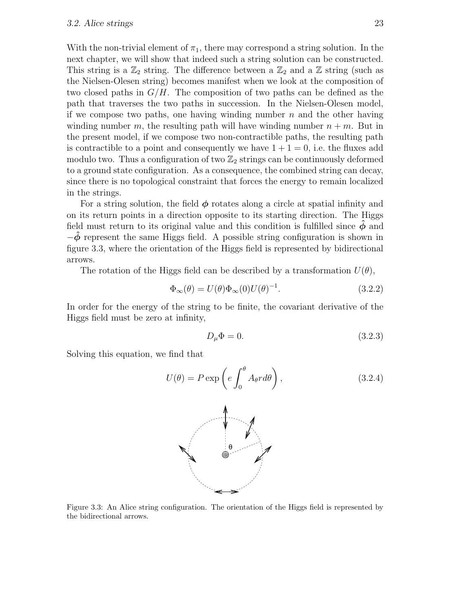With the non-trivial element of  $\pi_1$ , there may correspond a string solution. In the next chapter, we will show that indeed such a string solution can be constructed. This string is a  $\mathbb{Z}_2$  string. The difference between a  $\mathbb{Z}_2$  and a  $\mathbb{Z}$  string (such as the Nielsen-Olesen string) becomes manifest when we look at the composition of two closed paths in  $G/H$ . The composition of two paths can be defined as the path that traverses the two paths in succession. In the Nielsen-Olesen model, if we compose two paths, one having winding number  $n$  and the other having winding number m, the resulting path will have winding number  $n + m$ . But in the present model, if we compose two non-contractible paths, the resulting path is contractible to a point and consequently we have  $1 + 1 = 0$ , i.e. the fluxes add modulo two. Thus a configuration of two  $\mathbb{Z}_2$  strings can be continuously deformed to a ground state configuration. As a consequence, the combined string can decay, since there is no topological constraint that forces the energy to remain localized in the strings.

For a string solution, the field  $\phi$  rotates along a circle at spatial infinity and on its return points in a direction opposite to its starting direction. The Higgs field must return to its original value and this condition is fulfilled since  $\ddot{\phi}$  and  $-\phi$  represent the same Higgs field. A possible string configuration is shown in figure 3.3, where the orientation of the Higgs field is represented by bidirectional arrows.

The rotation of the Higgs field can be described by a transformation  $U(\theta)$ ,

$$
\Phi_{\infty}(\theta) = U(\theta)\Phi_{\infty}(0)U(\theta)^{-1}.
$$
\n(3.2.2)

In order for the energy of the string to be finite, the covariant derivative of the Higgs field must be zero at infinity,

$$
D_{\mu}\Phi = 0.\t\t(3.2.3)
$$

Solving this equation, we find that

$$
U(\theta) = P \exp\left(e \int_0^{\theta} A_{\theta} r d\theta\right), \qquad (3.2.4)
$$



Figure 3.3: An Alice string configuration. The orientation of the Higgs field is represented by the bidirectional arrows.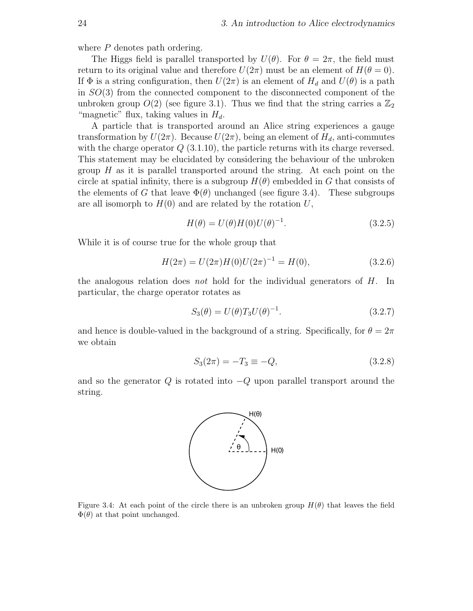where P denotes path ordering.

The Higgs field is parallel transported by  $U(\theta)$ . For  $\theta = 2\pi$ , the field must return to its original value and therefore  $U(2\pi)$  must be an element of  $H(\theta = 0)$ . If  $\Phi$  is a string configuration, then  $U(2\pi)$  is an element of  $H_d$  and  $U(\theta)$  is a path in SO(3) from the connected component to the disconnected component of the unbroken group  $O(2)$  (see figure 3.1). Thus we find that the string carries a  $\mathbb{Z}_2$ "magnetic" flux, taking values in  $H_d$ .

A particle that is transported around an Alice string experiences a gauge transformation by  $U(2\pi)$ . Because  $U(2\pi)$ , being an element of  $H_d$ , anti-commutes with the charge operator  $Q(3.1.10)$ , the particle returns with its charge reversed. This statement may be elucidated by considering the behaviour of the unbroken group  $H$  as it is parallel transported around the string. At each point on the circle at spatial infinity, there is a subgroup  $H(\theta)$  embedded in G that consists of the elements of G that leave  $\Phi(\theta)$  unchanged (see figure 3.4). These subgroups are all isomorph to  $H(0)$  and are related by the rotation U,

$$
H(\theta) = U(\theta)H(0)U(\theta)^{-1}.
$$
\n(3.2.5)

While it is of course true for the whole group that

$$
H(2\pi) = U(2\pi)H(0)U(2\pi)^{-1} = H(0),\tag{3.2.6}
$$

the analogous relation does *not* hold for the individual generators of  $H$ . In particular, the charge operator rotates as

$$
S_3(\theta) = U(\theta) T_3 U(\theta)^{-1}.
$$
\n(3.2.7)

and hence is double-valued in the background of a string. Specifically, for  $\theta = 2\pi$ we obtain

$$
S_3(2\pi) = -T_3 \equiv -Q,\t\t(3.2.8)
$$

and so the generator  $Q$  is rotated into  $-Q$  upon parallel transport around the string.



Figure 3.4: At each point of the circle there is an unbroken group  $H(\theta)$  that leaves the field  $\Phi(\theta)$  at that point unchanged.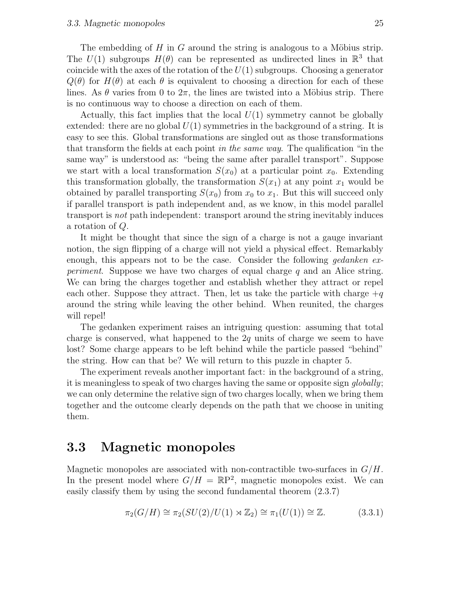The embedding of  $H$  in  $G$  around the string is analogous to a Möbius strip. The  $U(1)$  subgroups  $H(\theta)$  can be represented as undirected lines in  $\mathbb{R}^3$  that coincide with the axes of the rotation of the  $U(1)$  subgroups. Choosing a generator  $Q(\theta)$  for  $H(\theta)$  at each  $\theta$  is equivalent to choosing a direction for each of these lines. As  $\theta$  varies from 0 to  $2\pi$ , the lines are twisted into a Möbius strip. There is no continuous way to choose a direction on each of them.

Actually, this fact implies that the local  $U(1)$  symmetry cannot be globally extended: there are no global  $U(1)$  symmetries in the background of a string. It is easy to see this. Global transformations are singled out as those transformations that transform the fields at each point in the same way. The qualification "in the same way" is understood as: "being the same after parallel transport". Suppose we start with a local transformation  $S(x_0)$  at a particular point  $x_0$ . Extending this transformation globally, the transformation  $S(x_1)$  at any point  $x_1$  would be obtained by parallel transporting  $S(x_0)$  from  $x_0$  to  $x_1$ . But this will succeed only if parallel transport is path independent and, as we know, in this model parallel transport is not path independent: transport around the string inevitably induces a rotation of Q.

It might be thought that since the sign of a charge is not a gauge invariant notion, the sign flipping of a charge will not yield a physical effect. Remarkably enough, this appears not to be the case. Consider the following *gedanken experiment.* Suppose we have two charges of equal charge  $q$  and an Alice string. We can bring the charges together and establish whether they attract or repel each other. Suppose they attract. Then, let us take the particle with charge  $+q$ around the string while leaving the other behind. When reunited, the charges will repel!

The gedanken experiment raises an intriguing question: assuming that total charge is conserved, what happened to the  $2q$  units of charge we seem to have lost? Some charge appears to be left behind while the particle passed "behind" the string. How can that be? We will return to this puzzle in chapter 5.

The experiment reveals another important fact: in the background of a string, it is meaningless to speak of two charges having the same or opposite sign globally; we can only determine the relative sign of two charges locally, when we bring them together and the outcome clearly depends on the path that we choose in uniting them.

#### 3.3 Magnetic monopoles

Magnetic monopoles are associated with non-contractible two-surfaces in  $G/H$ . In the present model where  $G/H = \mathbb{R}P^2$ , magnetic monopoles exist. We can easily classify them by using the second fundamental theorem (2.3.7)

$$
\pi_2(G/H) \cong \pi_2(SU(2)/U(1) \rtimes \mathbb{Z}_2) \cong \pi_1(U(1)) \cong \mathbb{Z}.
$$
 (3.3.1)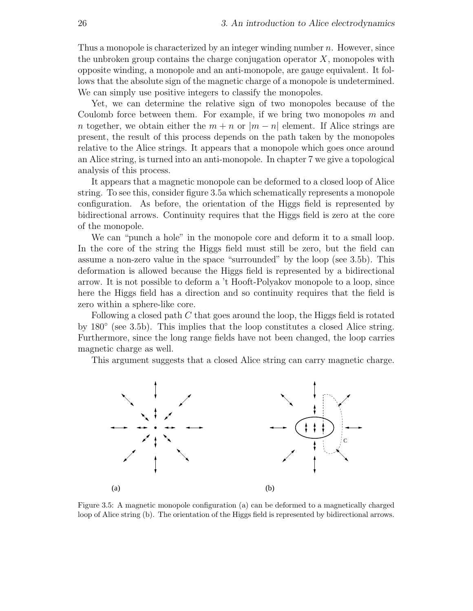Thus a monopole is characterized by an integer winding number  $n$ . However, since the unbroken group contains the charge conjugation operator  $X$ , monopoles with opposite winding, a monopole and an anti-monopole, are gauge equivalent. It follows that the absolute sign of the magnetic charge of a monopole is undetermined. We can simply use positive integers to classify the monopoles.

Yet, we can determine the relative sign of two monopoles because of the Coulomb force between them. For example, if we bring two monopoles  $m$  and n together, we obtain either the  $m + n$  or  $|m - n|$  element. If Alice strings are present, the result of this process depends on the path taken by the monopoles relative to the Alice strings. It appears that a monopole which goes once around an Alice string, is turned into an anti-monopole. In chapter 7 we give a topological analysis of this process.

It appears that a magnetic monopole can be deformed to a closed loop of Alice string. To see this, consider figure 3.5a which schematically represents a monopole configuration. As before, the orientation of the Higgs field is represented by bidirectional arrows. Continuity requires that the Higgs field is zero at the core of the monopole.

We can "punch a hole" in the monopole core and deform it to a small loop. In the core of the string the Higgs field must still be zero, but the field can assume a non-zero value in the space "surrounded" by the loop (see 3.5b). This deformation is allowed because the Higgs field is represented by a bidirectional arrow. It is not possible to deform a 't Hooft-Polyakov monopole to a loop, since here the Higgs field has a direction and so continuity requires that the field is zero within a sphere-like core.

Following a closed path  $C$  that goes around the loop, the Higgs field is rotated by 180◦ (see 3.5b). This implies that the loop constitutes a closed Alice string. Furthermore, since the long range fields have not been changed, the loop carries magnetic charge as well.

This argument suggests that a closed Alice string can carry magnetic charge.



Figure 3.5: A magnetic monopole configuration (a) can be deformed to a magnetically charged loop of Alice string (b). The orientation of the Higgs field is represented by bidirectional arrows.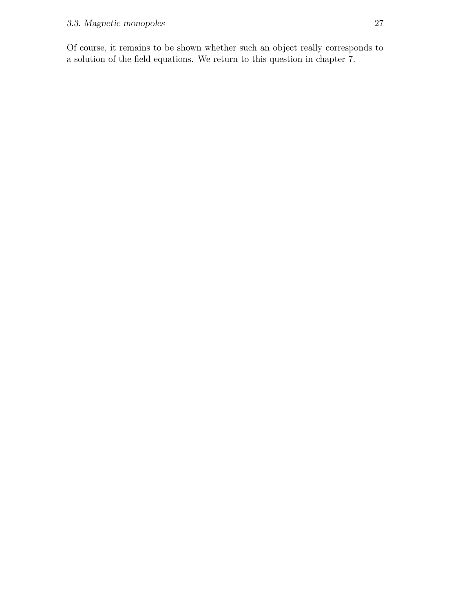Of course, it remains to be shown whether such an object really corresponds to a solution of the field equations. We return to this question in chapter 7.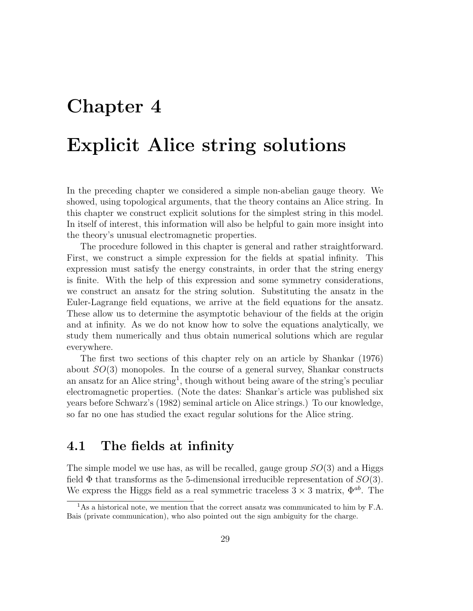### Chapter 4

### Explicit Alice string solutions

In the preceding chapter we considered a simple non-abelian gauge theory. We showed, using topological arguments, that the theory contains an Alice string. In this chapter we construct explicit solutions for the simplest string in this model. In itself of interest, this information will also be helpful to gain more insight into the theory's unusual electromagnetic properties.

The procedure followed in this chapter is general and rather straightforward. First, we construct a simple expression for the fields at spatial infinity. This expression must satisfy the energy constraints, in order that the string energy is finite. With the help of this expression and some symmetry considerations, we construct an ansatz for the string solution. Substituting the ansatz in the Euler-Lagrange field equations, we arrive at the field equations for the ansatz. These allow us to determine the asymptotic behaviour of the fields at the origin and at infinity. As we do not know how to solve the equations analytically, we study them numerically and thus obtain numerical solutions which are regular everywhere.

The first two sections of this chapter rely on an article by Shankar (1976) about  $SO(3)$  monopoles. In the course of a general survey, Shankar constructs an ansatz for an Alice string<sup>1</sup>, though without being aware of the string's peculiar electromagnetic properties. (Note the dates: Shankar's article was published six years before Schwarz's (1982) seminal article on Alice strings.) To our knowledge, so far no one has studied the exact regular solutions for the Alice string.

#### 4.1 The fields at infinity

The simple model we use has, as will be recalled, gauge group  $SO(3)$  and a Higgs field  $\Phi$  that transforms as the 5-dimensional irreducible representation of  $SO(3)$ . We express the Higgs field as a real symmetric traceless  $3 \times 3$  matrix,  $\Phi^{ab}$ . The

<sup>&</sup>lt;sup>1</sup>As a historical note, we mention that the correct ansatz was communicated to him by F.A. Bais (private communication), who also pointed out the sign ambiguity for the charge.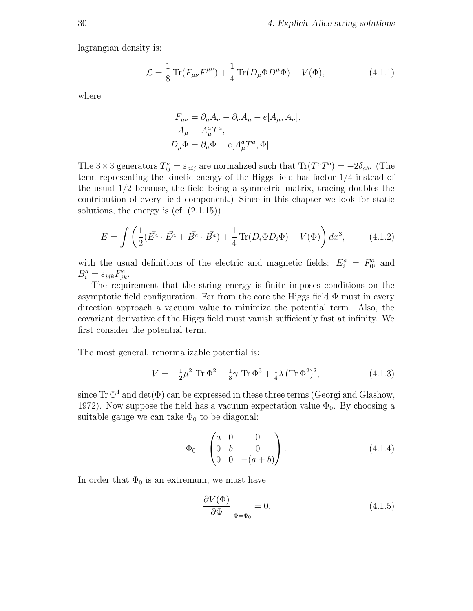lagrangian density is:

$$
\mathcal{L} = \frac{1}{8} \text{Tr}(F_{\mu\nu}F^{\mu\nu}) + \frac{1}{4} \text{Tr}(D_{\mu}\Phi D^{\mu}\Phi) - V(\Phi), \tag{4.1.1}
$$

where

$$
F_{\mu\nu} = \partial_{\mu}A_{\nu} - \partial_{\nu}A_{\mu} - e[A_{\mu}, A_{\nu}],
$$
  
\n
$$
A_{\mu} = A_{\mu}^{a}T^{a},
$$
  
\n
$$
D_{\mu}\Phi = \partial_{\mu}\Phi - e[A_{\mu}^{a}T^{a}, \Phi].
$$

The  $3 \times 3$  generators  $T_{ij}^a = \varepsilon_{aij}$  are normalized such that  $\text{Tr}(T^a T^b) = -2\delta_{ab}$ . (The term representing the kinetic energy of the Higgs field has factor 1/4 instead of the usual 1/2 because, the field being a symmetric matrix, tracing doubles the contribution of every field component.) Since in this chapter we look for static solutions, the energy is  $(cf. (2.1.15))$ 

$$
E = \int \left( \frac{1}{2} (\vec{E^a} \cdot \vec{E^a} + \vec{B^a} \cdot \vec{B^a}) + \frac{1}{4} \text{Tr}(D_i \Phi D_i \Phi) + V(\Phi) \right) dx^3, \tag{4.1.2}
$$

with the usual definitions of the electric and magnetic fields:  $E_i^a = F_{0i}^a$  and  $B_i^a = \varepsilon_{ijk} F_{jk}^a.$ 

The requirement that the string energy is finite imposes conditions on the asymptotic field configuration. Far from the core the Higgs field  $\Phi$  must in every direction approach a vacuum value to minimize the potential term. Also, the covariant derivative of the Higgs field must vanish sufficiently fast at infinity. We first consider the potential term.

The most general, renormalizable potential is:

$$
V = -\frac{1}{2}\mu^2 \text{ Tr } \Phi^2 - \frac{1}{3}\gamma \text{ Tr } \Phi^3 + \frac{1}{4}\lambda (\text{Tr } \Phi^2)^2,
$$
 (4.1.3)

since  $\text{Tr }\Phi^4$  and  $\det(\Phi)$  can be expressed in these three terms (Georgi and Glashow, 1972). Now suppose the field has a vacuum expectation value  $\Phi_0$ . By choosing a suitable gauge we can take  $\Phi_0$  to be diagonal:

$$
\Phi_0 = \begin{pmatrix} a & 0 & 0 \\ 0 & b & 0 \\ 0 & 0 & -(a+b) \end{pmatrix} . \tag{4.1.4}
$$

In order that  $\Phi_0$  is an extremum, we must have

$$
\left. \frac{\partial V(\Phi)}{\partial \Phi} \right|_{\Phi = \Phi_0} = 0. \tag{4.1.5}
$$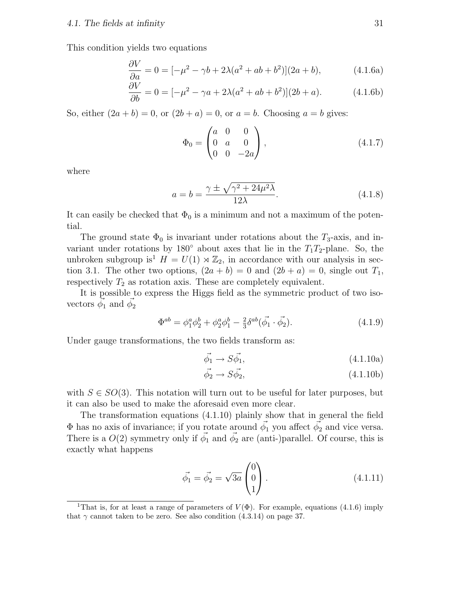This condition yields two equations

$$
\frac{\partial V}{\partial a} = 0 = [-\mu^2 - \gamma b + 2\lambda(a^2 + ab + b^2)](2a + b), \qquad (4.1.6a)
$$

$$
\frac{\partial V}{\partial b} = 0 = [-\mu^2 - \gamma a + 2\lambda(a^2 + ab + b^2)](2b + a). \tag{4.1.6b}
$$

So, either  $(2a + b) = 0$ , or  $(2b + a) = 0$ , or  $a = b$ . Choosing  $a = b$  gives:

$$
\Phi_0 = \begin{pmatrix} a & 0 & 0 \\ 0 & a & 0 \\ 0 & 0 & -2a \end{pmatrix}, \tag{4.1.7}
$$

where

$$
a = b = \frac{\gamma \pm \sqrt{\gamma^2 + 24\mu^2 \lambda}}{12\lambda}.
$$
 (4.1.8)

It can easily be checked that  $\Phi_0$  is a minimum and not a maximum of the potential.

The ground state  $\Phi_0$  is invariant under rotations about the  $T_3$ -axis, and invariant under rotations by 180 $\degree$  about axes that lie in the  $T_1T_2$ -plane. So, the unbroken subgroup is<sup>1</sup>  $H = U(1) \rtimes \mathbb{Z}_2$ , in accordance with our analysis in section 3.1. The other two options,  $(2a + b) = 0$  and  $(2b + a) = 0$ , single out  $T_1$ , respectively  $T_2$  as rotation axis. These are completely equivalent.

It is possible to express the Higgs field as the symmetric product of two isovectors  $\vec{\phi}_1$  and  $\vec{\phi}_2$ 

$$
\Phi^{ab} = \phi_1^a \phi_2^b + \phi_2^a \phi_1^b - \frac{2}{3} \delta^{ab} (\vec{\phi_1} \cdot \vec{\phi_2}). \tag{4.1.9}
$$

Under gauge transformations, the two fields transform as:

$$
\vec{\phi_1} \to S\vec{\phi_1},\tag{4.1.10a}
$$

$$
\vec{\phi_2} \to S\vec{\phi_2},\tag{4.1.10b}
$$

with  $S \in SO(3)$ . This notation will turn out to be useful for later purposes, but it can also be used to make the aforesaid even more clear.

The transformation equations (4.1.10) plainly show that in general the field  $\Phi$  has no axis of invariance; if you rotate around  $\vec{\phi_1}$  you affect  $\vec{\phi_2}$  and vice versa. There is a  $O(2)$  symmetry only if  $\vec{\phi_1}$  and  $\vec{\phi_2}$  are (anti-)parallel. Of course, this is exactly what happens

$$
\vec{\phi}_1 = \vec{\phi}_2 = \sqrt{3a} \begin{pmatrix} 0 \\ 0 \\ 1 \end{pmatrix} . \tag{4.1.11}
$$

<sup>&</sup>lt;sup>1</sup>That is, for at least a range of parameters of  $V(\Phi)$ . For example, equations (4.1.6) imply that  $\gamma$  cannot taken to be zero. See also condition (4.3.14) on page 37.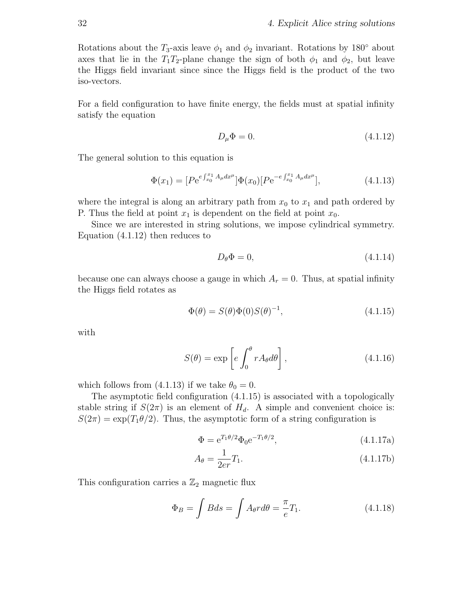Rotations about the  $T_3$ -axis leave  $\phi_1$  and  $\phi_2$  invariant. Rotations by 180 $\degree$  about axes that lie in the  $T_1T_2$ -plane change the sign of both  $\phi_1$  and  $\phi_2$ , but leave the Higgs field invariant since since the Higgs field is the product of the two iso-vectors.

For a field configuration to have finite energy, the fields must at spatial infinity satisfy the equation

$$
D_{\mu}\Phi = 0.\tag{4.1.12}
$$

The general solution to this equation is

$$
\Phi(x_1) = [P e^{e \int_{x_0}^{x_1} A_\mu dx^\mu}] \Phi(x_0) [P e^{-e \int_{x_0}^{x_1} A_\mu dx^\mu}], \qquad (4.1.13)
$$

where the integral is along an arbitrary path from  $x_0$  to  $x_1$  and path ordered by P. Thus the field at point  $x_1$  is dependent on the field at point  $x_0$ .

Since we are interested in string solutions, we impose cylindrical symmetry. Equation (4.1.12) then reduces to

$$
D_{\theta} \Phi = 0, \tag{4.1.14}
$$

because one can always choose a gauge in which  $A_r = 0$ . Thus, at spatial infinity the Higgs field rotates as

$$
\Phi(\theta) = S(\theta)\Phi(0)S(\theta)^{-1},\tag{4.1.15}
$$

with

$$
S(\theta) = \exp\left[e \int_0^{\theta} r A_{\theta} d\theta\right],
$$
\n(4.1.16)

which follows from (4.1.13) if we take  $\theta_0 = 0$ .

The asymptotic field configuration (4.1.15) is associated with a topologically stable string if  $S(2\pi)$  is an element of  $H_d$ . A simple and convenient choice is:  $S(2\pi) = \exp(T_1\theta/2)$ . Thus, the asymptotic form of a string configuration is

$$
\Phi = e^{T_1 \theta/2} \Phi_0 e^{-T_1 \theta/2}, \qquad (4.1.17a)
$$

$$
A_{\theta} = \frac{1}{2er} T_1.
$$
\n(4.1.17b)

This configuration carries a  $\mathbb{Z}_2$  magnetic flux

$$
\Phi_B = \int B ds = \int A_\theta r d\theta = \frac{\pi}{e} T_1.
$$
\n(4.1.18)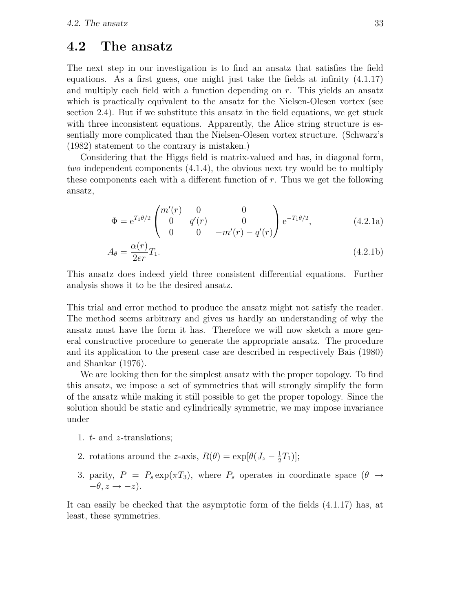#### 4.2 The ansatz

The next step in our investigation is to find an ansatz that satisfies the field equations. As a first guess, one might just take the fields at infinity (4.1.17) and multiply each field with a function depending on r. This yields an ansatz which is practically equivalent to the ansatz for the Nielsen-Olesen vortex (see section 2.4). But if we substitute this ansatz in the field equations, we get stuck with three inconsistent equations. Apparently, the Alice string structure is essentially more complicated than the Nielsen-Olesen vortex structure. (Schwarz's (1982) statement to the contrary is mistaken.)

Considering that the Higgs field is matrix-valued and has, in diagonal form, two independent components (4.1.4), the obvious next try would be to multiply these components each with a different function of r. Thus we get the following ansatz,

$$
\Phi = e^{T_1 \theta/2} \begin{pmatrix} m'(r) & 0 & 0 \\ 0 & q'(r) & 0 \\ 0 & 0 & -m'(r) - q'(r) \end{pmatrix} e^{-T_1 \theta/2}, \qquad (4.2.1a)
$$

$$
A_{\theta} = \frac{\alpha(r)}{2er} T_1.
$$
\n(4.2.1b)

This ansatz does indeed yield three consistent differential equations. Further analysis shows it to be the desired ansatz.

This trial and error method to produce the ansatz might not satisfy the reader. The method seems arbitrary and gives us hardly an understanding of why the ansatz must have the form it has. Therefore we will now sketch a more general constructive procedure to generate the appropriate ansatz. The procedure and its application to the present case are described in respectively Bais (1980) and Shankar (1976).

We are looking then for the simplest ansatz with the proper topology. To find this ansatz, we impose a set of symmetries that will strongly simplify the form of the ansatz while making it still possible to get the proper topology. Since the solution should be static and cylindrically symmetric, we may impose invariance under

- 1. t- and z-translations;
- 2. rotations around the z-axis,  $R(\theta) = \exp[\theta(J_z \frac{1}{2})]$  $\frac{1}{2}T_1$ )];
- 3. parity,  $P = P_s \exp(\pi T_3)$ , where  $P_s$  operates in coordinate space  $(\theta \rightarrow$  $-\theta$ ,  $z \rightarrow -z$ ).

It can easily be checked that the asymptotic form of the fields (4.1.17) has, at least, these symmetries.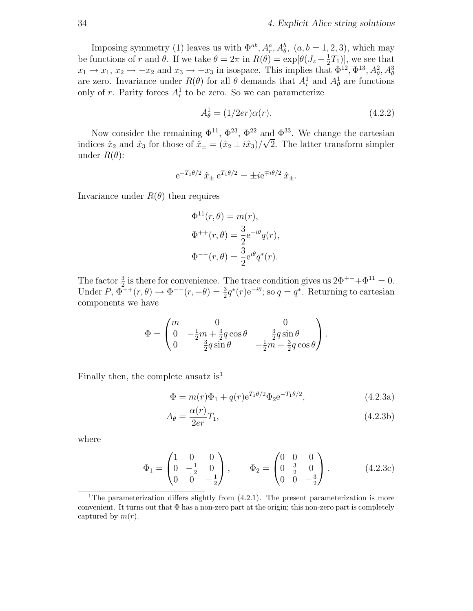Imposing symmetry (1) leaves us with  $\Phi^{ab}$ ,  $A_r^a$ ,  $A_\theta^b$ ,  $(a, b = 1, 2, 3)$ , which may be functions of r and  $\theta$ . If we take  $\theta = 2\pi$  in  $R(\theta) = \exp[\theta (J_z - \frac{1}{2}T_1)]$ , we see that  $x_1 \rightarrow x_1, x_2 \rightarrow -x_2$  and  $x_3 \rightarrow -x_3$  in isospace. This implies that  $\Phi^{12}$ ,  $\Phi^{13}$ ,  $A_\theta^2$ ,  $A_\theta^3$ are zero. Invariance under  $R(\theta)$  for all  $\theta$  demands that  $A_r^1$  and  $A_\theta^1$  are functions only of r. Parity forces  $A_r^1$  to be zero. So we can parameterize

$$
A_{\theta}^{1} = (1/2er)\alpha(r). \tag{4.2.2}
$$

Now consider the remaining  $\Phi^{11}$ ,  $\Phi^{23}$ ,  $\Phi^{22}$  and  $\Phi^{33}$ . We change the cartesian indices  $\hat{x}_2$  and  $\hat{x}_3$  for those of  $\hat{x}_\pm = (\hat{x}_2 \pm i\hat{x}_3)/\sqrt{2}$ . The latter transform simpler under  $R(\theta)$ :

$$
e^{-T_1\theta/2}\hat{x}_{\pm}e^{T_1\theta/2} = \pm i e^{\mp i\theta/2}\hat{x}_{\pm}.
$$

Invariance under  $R(\theta)$  then requires

$$
\Phi^{11}(r,\theta) = m(r),
$$
  

$$
\Phi^{++}(r,\theta) = \frac{3}{2}e^{-i\theta}q(r),
$$
  

$$
\Phi^{--}(r,\theta) = \frac{3}{2}e^{i\theta}q^*(r).
$$

The factor  $\frac{3}{2}$  is there for convenience. The trace condition gives us  $2\Phi^{+-}+\Phi^{11}=0$ . Under  $P, \Phi^{++}(r, \theta) \rightarrow \Phi^{--}(r, -\theta) = \frac{3}{2}$  $\frac{3}{2}q^*(r)e^{-i\theta}$ ; so  $q = q^*$ . Returning to cartesian components we have

$$
\Phi = \begin{pmatrix} m & 0 & 0 \\ 0 & -\frac{1}{2}m + \frac{3}{2}q\cos\theta & \frac{3}{2}q\sin\theta \\ 0 & \frac{3}{2}q\sin\theta & -\frac{1}{2}m - \frac{3}{2}q\cos\theta \end{pmatrix}.
$$

Finally then, the complete ansatz is<sup>1</sup>

$$
\Phi = m(r)\Phi_1 + q(r)e^{T_1\theta/2}\Phi_2 e^{-T_1\theta/2},\tag{4.2.3a}
$$

$$
A_{\theta} = \frac{\alpha(r)}{2er} T_1,\tag{4.2.3b}
$$

where

$$
\Phi_1 = \begin{pmatrix} 1 & 0 & 0 \\ 0 & -\frac{1}{2} & 0 \\ 0 & 0 & -\frac{1}{2} \end{pmatrix}, \qquad \Phi_2 = \begin{pmatrix} 0 & 0 & 0 \\ 0 & \frac{3}{2} & 0 \\ 0 & 0 & -\frac{3}{2} \end{pmatrix}.
$$
 (4.2.3c)

<sup>&</sup>lt;sup>1</sup>The parameterization differs slightly from  $(4.2.1)$ . The present parameterization is more convenient. It turns out that  $\Phi$  has a non-zero part at the origin; this non-zero part is completely captured by  $m(r)$ .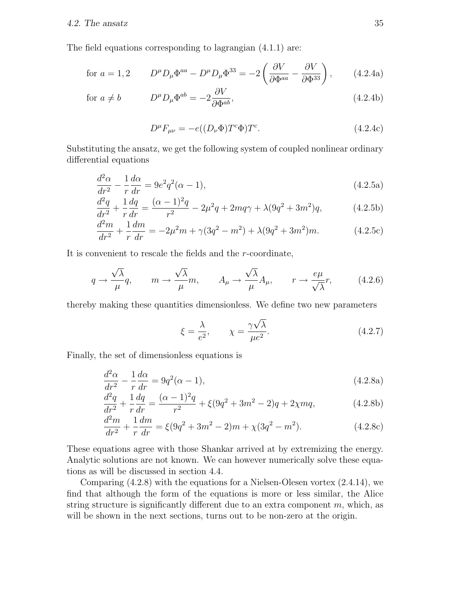The field equations corresponding to lagrangian (4.1.1) are:

for 
$$
a = 1, 2
$$
 
$$
D^{\mu}D_{\mu}\Phi^{aa} - D^{\mu}D_{\mu}\Phi^{33} = -2\left(\frac{\partial V}{\partial \Phi^{aa}} - \frac{\partial V}{\partial \Phi^{33}}\right), \qquad (4.2.4a)
$$

for 
$$
a \neq b
$$
 
$$
D^{\mu}D_{\mu}\Phi^{ab} = -2\frac{\partial V}{\partial \Phi^{ab}}, \qquad (4.2.4b)
$$

$$
D^{\mu}F_{\mu\nu} = -e((D_{\nu}\Phi)T^{c}\Phi)T^{c}.
$$
\n(4.2.4c)

Substituting the ansatz, we get the following system of coupled nonlinear ordinary differential equations

$$
\frac{d^2\alpha}{dr^2} - \frac{1}{r}\frac{d\alpha}{dr} = 9e^2q^2(\alpha - 1),\tag{4.2.5a}
$$

$$
\frac{d^2q}{dr^2} + \frac{1}{r}\frac{dq}{dr} = \frac{(\alpha - 1)^2q}{r^2} - 2\mu^2 q + 2mq\gamma + \lambda(9q^2 + 3m^2)q,\tag{4.2.5b}
$$

$$
\frac{d^2m}{dr^2} + \frac{1}{r}\frac{dm}{dr} = -2\mu^2m + \gamma(3q^2 - m^2) + \lambda(9q^2 + 3m^2)m.
$$
 (4.2.5c)

It is convenient to rescale the fields and the r-coordinate,

$$
q \to \frac{\sqrt{\lambda}}{\mu} q, \qquad m \to \frac{\sqrt{\lambda}}{\mu} m, \qquad A_{\mu} \to \frac{\sqrt{\lambda}}{\mu} A_{\mu}, \qquad r \to \frac{e\mu}{\sqrt{\lambda}} r, \tag{4.2.6}
$$

thereby making these quantities dimensionless. We define two new parameters

$$
\xi = \frac{\lambda}{e^2}, \qquad \chi = \frac{\gamma \sqrt{\lambda}}{\mu e^2}.
$$
\n(4.2.7)

Finally, the set of dimensionless equations is

$$
\frac{d^2\alpha}{dr^2} - \frac{1}{r}\frac{d\alpha}{dr} = 9q^2(\alpha - 1),\tag{4.2.8a}
$$

$$
\frac{d^2q}{dr^2} + \frac{1}{r}\frac{dq}{dr} = \frac{(\alpha - 1)^2q}{r^2} + \xi(9q^2 + 3m^2 - 2)q + 2\chi mq,\tag{4.2.8b}
$$

$$
\frac{d^2m}{dr^2} + \frac{1}{r}\frac{dm}{dr} = \xi(9q^2 + 3m^2 - 2)m + \chi(3q^2 - m^2).
$$
 (4.2.8c)

These equations agree with those Shankar arrived at by extremizing the energy. Analytic solutions are not known. We can however numerically solve these equations as will be discussed in section 4.4.

Comparing (4.2.8) with the equations for a Nielsen-Olesen vortex (2.4.14), we find that although the form of the equations is more or less similar, the Alice string structure is significantly different due to an extra component  $m$ , which, as will be shown in the next sections, turns out to be non-zero at the origin.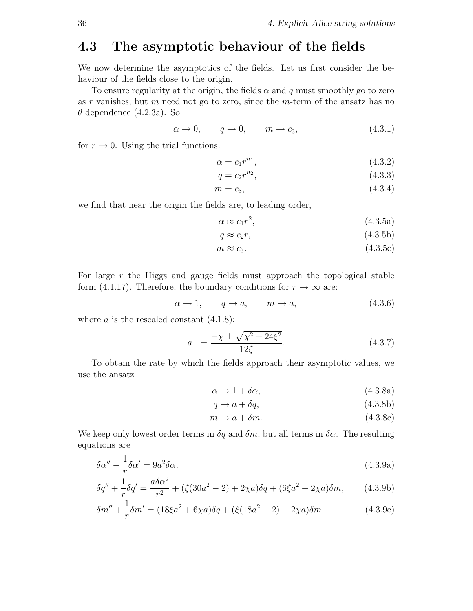#### 4.3 The asymptotic behaviour of the fields

We now determine the asymptotics of the fields. Let us first consider the behaviour of the fields close to the origin.

To ensure regularity at the origin, the fields  $\alpha$  and q must smoothly go to zero as r vanishes; but m need not go to zero, since the m-term of the ansatz has no  $\theta$  dependence (4.2.3a). So

$$
\alpha \to 0, \qquad q \to 0, \qquad m \to c_3, \tag{4.3.1}
$$

for  $r \to 0$ . Using the trial functions:

$$
\alpha = c_1 r^{n_1},\tag{4.3.2}
$$

$$
q = c_2 r^{n_2}, \t\t(4.3.3)
$$

$$
m = c_3,\tag{4.3.4}
$$

we find that near the origin the fields are, to leading order,

$$
\alpha \approx c_1 r^2,\tag{4.3.5a}
$$

$$
q \approx c_2 r,\tag{4.3.5b}
$$

$$
m \approx c_3. \tag{4.3.5c}
$$

For large  $r$  the Higgs and gauge fields must approach the topological stable form (4.1.17). Therefore, the boundary conditions for  $r \to \infty$  are:

$$
\alpha \to 1, \qquad q \to a, \qquad m \to a,\tag{4.3.6}
$$

where  $a$  is the rescaled constant  $(4.1.8)$ :

$$
a_{\pm} = \frac{-\chi \pm \sqrt{\chi^2 + 24\xi^2}}{12\xi}.
$$
 (4.3.7)

To obtain the rate by which the fields approach their asymptotic values, we use the ansatz

$$
\alpha \to 1 + \delta \alpha, \tag{4.3.8a}
$$

$$
q \to a + \delta q,\tag{4.3.8b}
$$

$$
m \to a + \delta m. \tag{4.3.8c}
$$

We keep only lowest order terms in  $\delta q$  and  $\delta m$ , but all terms in  $\delta \alpha$ . The resulting equations are

$$
\delta \alpha'' - \frac{1}{r} \delta \alpha' = 9a^2 \delta \alpha, \tag{4.3.9a}
$$

$$
\delta q'' + \frac{1}{r} \delta q' = \frac{a\delta\alpha^2}{r^2} + (\xi(30a^2 - 2) + 2\chi a)\delta q + (6\xi a^2 + 2\chi a)\delta m, \qquad (4.3.9b)
$$

$$
\delta m'' + \frac{1}{r} \delta m' = (18\xi a^2 + 6\chi a)\delta q + (\xi(18a^2 - 2) - 2\chi a)\delta m.
$$
 (4.3.9c)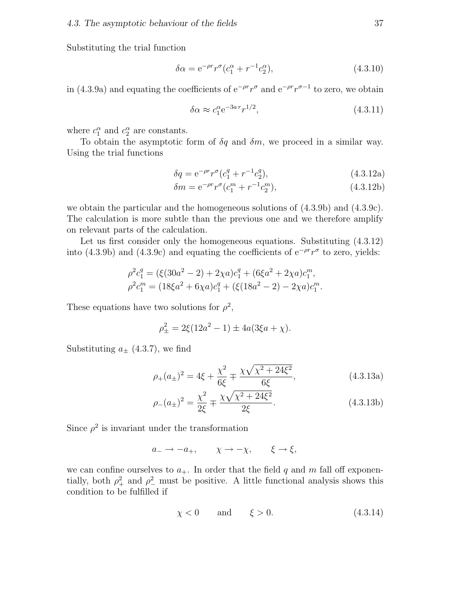Substituting the trial function

$$
\delta \alpha = e^{-\rho r} r^{\sigma} (c_1^{\alpha} + r^{-1} c_2^{\alpha}), \qquad (4.3.10)
$$

in (4.3.9a) and equating the coefficients of  $e^{-\rho r}r^{\sigma}$  and  $e^{-\rho r}r^{\sigma-1}$  to zero, we obtain

$$
\delta \alpha \approx c_1^{\alpha} e^{-3ar} r^{1/2},\tag{4.3.11}
$$

where  $c_1^{\alpha}$  and  $c_2^{\alpha}$  are constants.

To obtain the asymptotic form of  $\delta q$  and  $\delta m$ , we proceed in a similar way. Using the trial functions

$$
\delta q = e^{-\rho r} r^{\sigma} (c_1^q + r^{-1} c_2^q), \qquad (4.3.12a)
$$

$$
\delta m = e^{-\rho r} r^{\sigma} (c_1^m + r^{-1} c_2^m), \tag{4.3.12b}
$$

we obtain the particular and the homogeneous solutions of (4.3.9b) and (4.3.9c). The calculation is more subtle than the previous one and we therefore amplify on relevant parts of the calculation.

Let us first consider only the homogeneous equations. Substituting  $(4.3.12)$ into (4.3.9b) and (4.3.9c) and equating the coefficients of  $e^{-\rho r}r^{\sigma}$  to zero, yields:

$$
\rho^2 c_1^q = (\xi(30a^2 - 2) + 2\chi a)c_1^q + (6\xi a^2 + 2\chi a)c_1^m,
$$
  

$$
\rho^2 c_1^m = (18\xi a^2 + 6\chi a)c_1^q + (\xi(18a^2 - 2) - 2\chi a)c_1^m.
$$

These equations have two solutions for  $\rho^2$ ,

$$
\rho_{\pm}^2 = 2\xi(12a^2 - 1) \pm 4a(3\xi a + \chi).
$$

Substituting  $a_{\pm}$  (4.3.7), we find

$$
\rho_{+}(a_{\pm})^{2} = 4\xi + \frac{\chi^{2}}{6\xi} \mp \frac{\chi\sqrt{\chi^{2} + 24\xi^{2}}}{6\xi},
$$
\n(4.3.13a)

$$
\rho_{-}(a_{\pm})^2 = \frac{\chi^2}{2\xi} \mp \frac{\chi\sqrt{\chi^2 + 24\xi^2}}{2\xi}.
$$
\n(4.3.13b)

Since  $\rho^2$  is invariant under the transformation

$$
a_- \to -a_+, \qquad \chi \to -\chi, \qquad \xi \to \xi,
$$

we can confine ourselves to  $a_+$ . In order that the field q and m fall off exponentially, both  $\rho^2_+$  and  $\rho^2_-$  must be positive. A little functional analysis shows this condition to be fulfilled if

$$
\chi < 0 \qquad \text{and} \qquad \xi > 0. \tag{4.3.14}
$$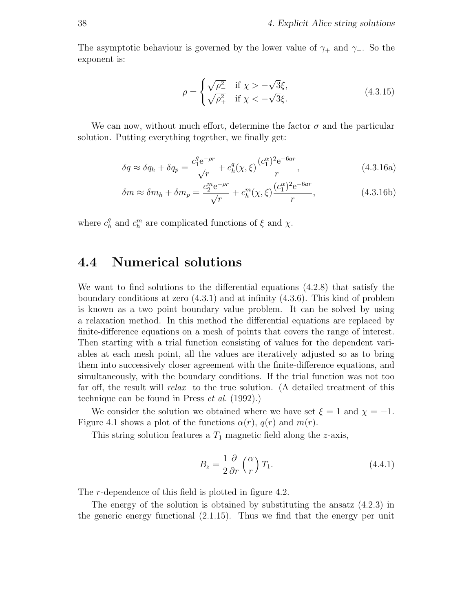The asymptotic behaviour is governed by the lower value of  $\gamma_+$  and  $\gamma_-$ . So the exponent is:

$$
\rho = \begin{cases} \sqrt{\rho_{-}^{2}} & \text{if } \chi > -\sqrt{3}\xi, \\ \sqrt{\rho_{+}^{2}} & \text{if } \chi < -\sqrt{3}\xi. \end{cases}
$$
(4.3.15)

We can now, without much effort, determine the factor  $\sigma$  and the particular solution. Putting everything together, we finally get:

$$
\delta q \approx \delta q_h + \delta q_p = \frac{c_1^q e^{-\rho r}}{\sqrt{r}} + c_h^q(\chi, \xi) \frac{(c_1^\alpha)^2 e^{-6ar}}{r},\tag{4.3.16a}
$$

$$
\delta m \approx \delta m_h + \delta m_p = \frac{c_2^m e^{-\rho r}}{\sqrt{r}} + c_h^m(\chi, \xi) \frac{(c_1^\alpha)^2 e^{-6ar}}{r},\tag{4.3.16b}
$$

where  $c_h^q$  $h_h^q$  and  $c_h^m$  are complicated functions of  $\xi$  and  $\chi$ .

#### 4.4 Numerical solutions

We want to find solutions to the differential equations (4.2.8) that satisfy the boundary conditions at zero (4.3.1) and at infinity (4.3.6). This kind of problem is known as a two point boundary value problem. It can be solved by using a relaxation method. In this method the differential equations are replaced by finite-difference equations on a mesh of points that covers the range of interest. Then starting with a trial function consisting of values for the dependent variables at each mesh point, all the values are iteratively adjusted so as to bring them into successively closer agreement with the finite-difference equations, and simultaneously, with the boundary conditions. If the trial function was not too far off, the result will relax to the true solution. (A detailed treatment of this technique can be found in Press et al. (1992).)

We consider the solution we obtained where we have set  $\xi = 1$  and  $\chi = -1$ . Figure 4.1 shows a plot of the functions  $\alpha(r)$ ,  $q(r)$  and  $m(r)$ .

This string solution features a  $T_1$  magnetic field along the z-axis,

$$
B_z = \frac{1}{2} \frac{\partial}{\partial r} \left(\frac{\alpha}{r}\right) T_1. \tag{4.4.1}
$$

The *r*-dependence of this field is plotted in figure 4.2.

The energy of the solution is obtained by substituting the ansatz  $(4.2.3)$  in the generic energy functional (2.1.15). Thus we find that the energy per unit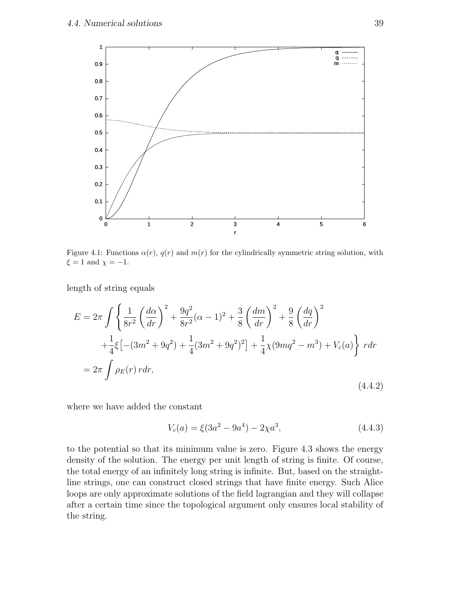

Figure 4.1: Functions  $\alpha(r)$ ,  $q(r)$  and  $m(r)$  for the cylindrically symmetric string solution, with  $\xi = 1$  and  $\chi = -1$ .

length of string equals

$$
E = 2\pi \int \left\{ \frac{1}{8r^2} \left( \frac{d\alpha}{dr} \right)^2 + \frac{9q^2}{8r^2} (\alpha - 1)^2 + \frac{3}{8} \left( \frac{dm}{dr} \right)^2 + \frac{9}{8} \left( \frac{dq}{dr} \right)^2 + \frac{1}{4} \xi \left[ -(3m^2 + 9q^2) + \frac{1}{4} (3m^2 + 9q^2)^2 \right] + \frac{1}{4} \chi (9mq^2 - m^3) + V_c(a) \right\} r dr
$$
  
=  $2\pi \int \rho_E(r) r dr,$  (4.4.2)

where we have added the constant

$$
V_c(a) = \xi(3a^2 - 9a^4) - 2\chi a^3,
$$
\n(4.4.3)

to the potential so that its minimum value is zero. Figure 4.3 shows the energy density of the solution. The energy per unit length of string is finite. Of course, the total energy of an infinitely long string is infinite. But, based on the straightline strings, one can construct closed strings that have finite energy. Such Alice loops are only approximate solutions of the field lagrangian and they will collapse after a certain time since the topological argument only ensures local stability of the string.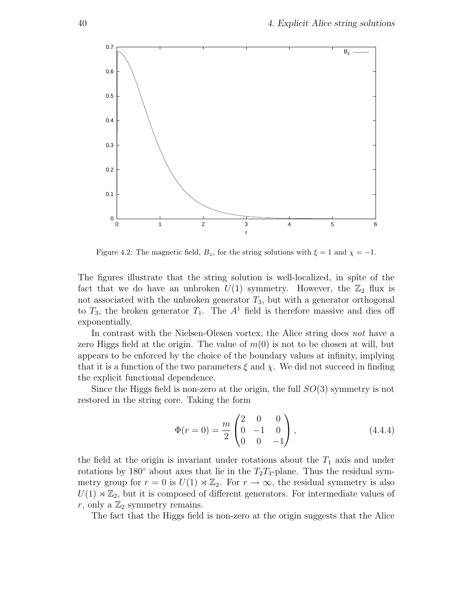

Figure 4.2: The magnetic field,  $B_z$ , for the string solutions with  $\xi = 1$  and  $\chi = -1$ .

The figures illustrate that the string solution is well-localized, in spite of the fact that we do have an unbroken  $U(1)$  symmetry. However, the  $\mathbb{Z}_2$  flux is not associated with the unbroken generator  $T_3$ , but with a generator orthogonal to  $T_3$ , the broken generator  $T_1$ . The  $A<sup>1</sup>$  field is therefore massive and dies off exponentially.

In contrast with the Nielsen-Olesen vortex, the Alice string does not have a zero Higgs field at the origin. The value of  $m(0)$  is not to be chosen at will, but appears to be enforced by the choice of the boundary values at infinity, implying that it is a function of the two parameters  $\xi$  and  $\chi$ . We did not succeed in finding the explicit functional dependence.

Since the Higgs field is non-zero at the origin, the full  $SO(3)$  symmetry is not restored in the string core. Taking the form

$$
\Phi(r=0) = \frac{m}{2} \begin{pmatrix} 2 & 0 & 0 \\ 0 & -1 & 0 \\ 0 & 0 & -1 \end{pmatrix}, \qquad (4.4.4)
$$

the field at the origin is invariant under rotations about the  $T_1$  axis and under rotations by 180 $\degree$  about axes that lie in the  $T_2T_3$ -plane. Thus the residual symmetry group for  $r = 0$  is  $U(1) \rtimes \mathbb{Z}_2$ . For  $r \to \infty$ , the residual symmetry is also  $U(1) \rtimes \mathbb{Z}_2$ , but it is composed of different generators. For intermediate values of r, only a  $\mathbb{Z}_2$  symmetry remains.

The fact that the Higgs field is non-zero at the origin suggests that the Alice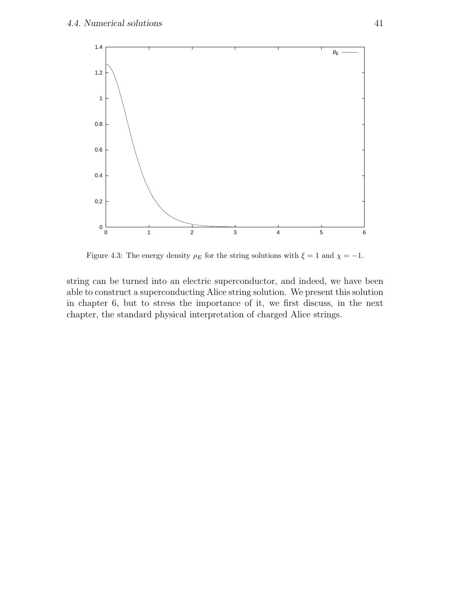

Figure 4.3: The energy density  $\rho_E$  for the string solutions with  $\xi = 1$  and  $\chi = -1$ .

string can be turned into an electric superconductor, and indeed, we have been able to construct a superconducting Alice string solution. We present this solution in chapter 6, but to stress the importance of it, we first discuss, in the next chapter, the standard physical interpretation of charged Alice strings.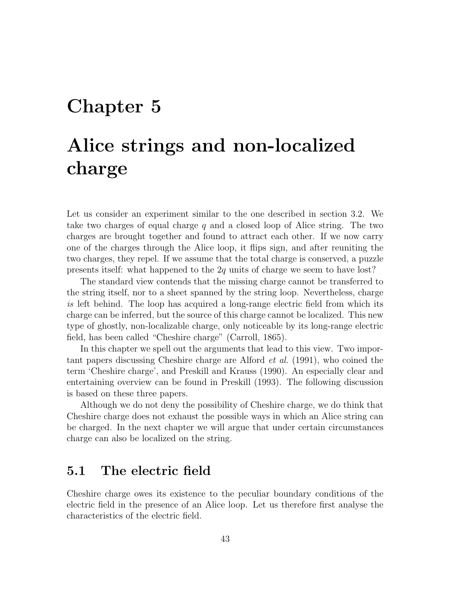## Chapter 5

# Alice strings and non-localized charge

Let us consider an experiment similar to the one described in section 3.2. We take two charges of equal charge  $q$  and a closed loop of Alice string. The two charges are brought together and found to attract each other. If we now carry one of the charges through the Alice loop, it flips sign, and after reuniting the two charges, they repel. If we assume that the total charge is conserved, a puzzle presents itself: what happened to the 2q units of charge we seem to have lost?

The standard view contends that the missing charge cannot be transferred to the string itself, nor to a sheet spanned by the string loop. Nevertheless, charge is left behind. The loop has acquired a long-range electric field from which its charge can be inferred, but the source of this charge cannot be localized. This new type of ghostly, non-localizable charge, only noticeable by its long-range electric field, has been called "Cheshire charge" (Carroll, 1865).

In this chapter we spell out the arguments that lead to this view. Two important papers discussing Cheshire charge are Alford et al. (1991), who coined the term 'Cheshire charge', and Preskill and Krauss (1990). An especially clear and entertaining overview can be found in Preskill (1993). The following discussion is based on these three papers.

Although we do not deny the possibility of Cheshire charge, we do think that Cheshire charge does not exhaust the possible ways in which an Alice string can be charged. In the next chapter we will argue that under certain circumstances charge can also be localized on the string.

#### 5.1 The electric field

Cheshire charge owes its existence to the peculiar boundary conditions of the electric field in the presence of an Alice loop. Let us therefore first analyse the characteristics of the electric field.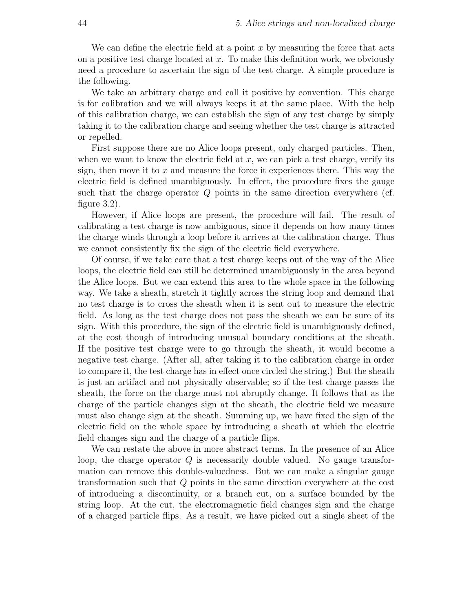We can define the electric field at a point  $x$  by measuring the force that acts on a positive test charge located at  $x$ . To make this definition work, we obviously need a procedure to ascertain the sign of the test charge. A simple procedure is the following.

We take an arbitrary charge and call it positive by convention. This charge is for calibration and we will always keeps it at the same place. With the help of this calibration charge, we can establish the sign of any test charge by simply taking it to the calibration charge and seeing whether the test charge is attracted or repelled.

First suppose there are no Alice loops present, only charged particles. Then, when we want to know the electric field at  $x$ , we can pick a test charge, verify its sign, then move it to  $x$  and measure the force it experiences there. This way the electric field is defined unambiguously. In effect, the procedure fixes the gauge such that the charge operator Q points in the same direction everywhere (cf. figure 3.2).

However, if Alice loops are present, the procedure will fail. The result of calibrating a test charge is now ambiguous, since it depends on how many times the charge winds through a loop before it arrives at the calibration charge. Thus we cannot consistently fix the sign of the electric field everywhere.

Of course, if we take care that a test charge keeps out of the way of the Alice loops, the electric field can still be determined unambiguously in the area beyond the Alice loops. But we can extend this area to the whole space in the following way. We take a sheath, stretch it tightly across the string loop and demand that no test charge is to cross the sheath when it is sent out to measure the electric field. As long as the test charge does not pass the sheath we can be sure of its sign. With this procedure, the sign of the electric field is unambiguously defined, at the cost though of introducing unusual boundary conditions at the sheath. If the positive test charge were to go through the sheath, it would become a negative test charge. (After all, after taking it to the calibration charge in order to compare it, the test charge has in effect once circled the string.) But the sheath is just an artifact and not physically observable; so if the test charge passes the sheath, the force on the charge must not abruptly change. It follows that as the charge of the particle changes sign at the sheath, the electric field we measure must also change sign at the sheath. Summing up, we have fixed the sign of the electric field on the whole space by introducing a sheath at which the electric field changes sign and the charge of a particle flips.

We can restate the above in more abstract terms. In the presence of an Alice loop, the charge operator  $Q$  is necessarily double valued. No gauge transformation can remove this double-valuedness. But we can make a singular gauge transformation such that Q points in the same direction everywhere at the cost of introducing a discontinuity, or a branch cut, on a surface bounded by the string loop. At the cut, the electromagnetic field changes sign and the charge of a charged particle flips. As a result, we have picked out a single sheet of the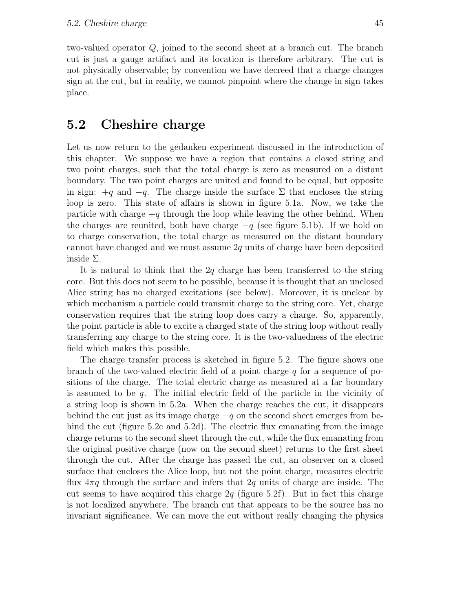two-valued operator Q, joined to the second sheet at a branch cut. The branch cut is just a gauge artifact and its location is therefore arbitrary. The cut is not physically observable; by convention we have decreed that a charge changes sign at the cut, but in reality, we cannot pinpoint where the change in sign takes place.

### 5.2 Cheshire charge

Let us now return to the gedanken experiment discussed in the introduction of this chapter. We suppose we have a region that contains a closed string and two point charges, such that the total charge is zero as measured on a distant boundary. The two point charges are united and found to be equal, but opposite in sign:  $+q$  and  $-q$ . The charge inside the surface  $\Sigma$  that encloses the string loop is zero. This state of affairs is shown in figure 5.1a. Now, we take the particle with charge  $+q$  through the loop while leaving the other behind. When the charges are reunited, both have charge  $-q$  (see figure 5.1b). If we hold on to charge conservation, the total charge as measured on the distant boundary cannot have changed and we must assume 2q units of charge have been deposited inside Σ.

It is natural to think that the  $2q$  charge has been transferred to the string core. But this does not seem to be possible, because it is thought that an unclosed Alice string has no charged excitations (see below). Moreover, it is unclear by which mechanism a particle could transmit charge to the string core. Yet, charge conservation requires that the string loop does carry a charge. So, apparently, the point particle is able to excite a charged state of the string loop without really transferring any charge to the string core. It is the two-valuedness of the electric field which makes this possible.

The charge transfer process is sketched in figure 5.2. The figure shows one branch of the two-valued electric field of a point charge  $q$  for a sequence of positions of the charge. The total electric charge as measured at a far boundary is assumed to be  $q$ . The initial electric field of the particle in the vicinity of a string loop is shown in 5.2a. When the charge reaches the cut, it disappears behind the cut just as its image charge  $-q$  on the second sheet emerges from behind the cut (figure 5.2c and 5.2d). The electric flux emanating from the image charge returns to the second sheet through the cut, while the flux emanating from the original positive charge (now on the second sheet) returns to the first sheet through the cut. After the charge has passed the cut, an observer on a closed surface that encloses the Alice loop, but not the point charge, measures electric flux  $4\pi q$  through the surface and infers that  $2q$  units of charge are inside. The cut seems to have acquired this charge  $2q$  (figure 5.2f). But in fact this charge is not localized anywhere. The branch cut that appears to be the source has no invariant significance. We can move the cut without really changing the physics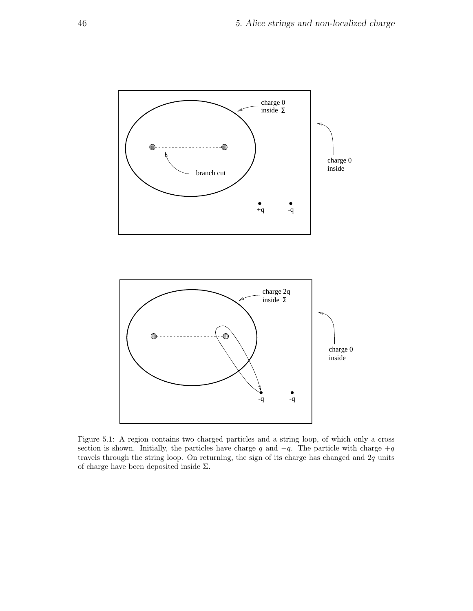

Figure 5.1: A region contains two charged particles and a string loop, of which only a cross section is shown. Initially, the particles have charge q and  $-q$ . The particle with charge  $+q$ travels through the string loop. On returning, the sign of its charge has changed and  $2q$  units of charge have been deposited inside  $\Sigma.$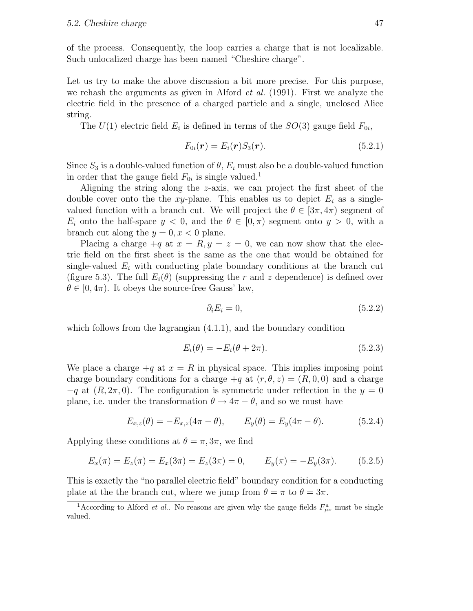of the process. Consequently, the loop carries a charge that is not localizable. Such unlocalized charge has been named "Cheshire charge".

Let us try to make the above discussion a bit more precise. For this purpose, we rehash the arguments as given in Alford *et al.* (1991). First we analyze the electric field in the presence of a charged particle and a single, unclosed Alice string.

The  $U(1)$  electric field  $E_i$  is defined in terms of the  $SO(3)$  gauge field  $F_{0i}$ ,

$$
F_{0i}(\boldsymbol{r}) = E_i(\boldsymbol{r}) S_3(\boldsymbol{r}). \qquad (5.2.1)
$$

Since  $S_3$  is a double-valued function of  $\theta$ ,  $E_i$  must also be a double-valued function in order that the gauge field  $F_{0i}$  is single valued.<sup>1</sup>

Aligning the string along the z-axis, we can project the first sheet of the double cover onto the the xy-plane. This enables us to depict  $E_i$  as a singlevalued function with a branch cut. We will project the  $\theta \in [3\pi, 4\pi)$  segment of  $E_i$  onto the half-space  $y < 0$ , and the  $\theta \in [0, \pi)$  segment onto  $y > 0$ , with a branch cut along the  $y = 0, x < 0$  plane.

Placing a charge  $+q$  at  $x = R$ ,  $y = z = 0$ , we can now show that the electric field on the first sheet is the same as the one that would be obtained for single-valued  $E_i$  with conducting plate boundary conditions at the branch cut (figure 5.3). The full  $E_i(\theta)$  (suppressing the r and z dependence) is defined over  $\theta \in [0, 4\pi)$ . It obeys the source-free Gauss' law,

$$
\partial_i E_i = 0,\tag{5.2.2}
$$

which follows from the lagrangian  $(4.1.1)$ , and the boundary condition

$$
E_i(\theta) = -E_i(\theta + 2\pi). \tag{5.2.3}
$$

We place a charge  $+q$  at  $x = R$  in physical space. This implies imposing point charge boundary conditions for a charge  $+q$  at  $(r, \theta, z) = (R, 0, 0)$  and a charge  $-q$  at  $(R, 2\pi, 0)$ . The configuration is symmetric under reflection in the  $y = 0$ plane, i.e. under the transformation  $\theta \to 4\pi - \theta$ , and so we must have

$$
E_{x,z}(\theta) = -E_{x,z}(4\pi - \theta), \qquad E_y(\theta) = E_y(4\pi - \theta). \tag{5.2.4}
$$

Applying these conditions at  $\theta = \pi, 3\pi$ , we find

$$
E_x(\pi) = E_z(\pi) = E_x(3\pi) = E_z(3\pi) = 0, \qquad E_y(\pi) = -E_y(3\pi). \tag{5.2.5}
$$

This is exactly the "no parallel electric field" boundary condition for a conducting plate at the the branch cut, where we jump from  $\theta = \pi$  to  $\theta = 3\pi$ .

<sup>&</sup>lt;sup>1</sup>According to Alford *et al.*. No reasons are given why the gauge fields  $F^a_{\mu\nu}$  must be single valued.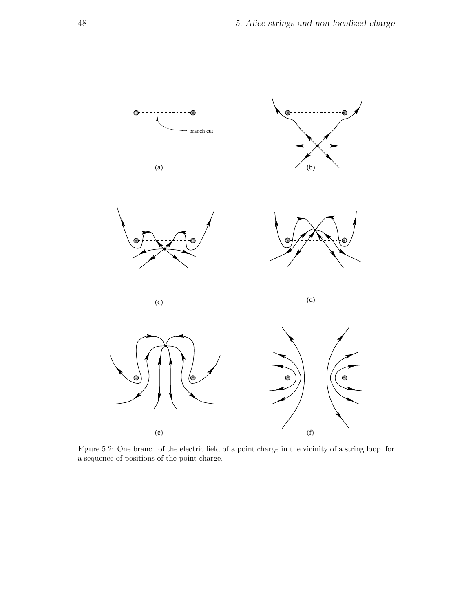

Figure 5.2: One branch of the electric field of a point charge in the vicinity of a string loop, for a sequence of positions of the point charge.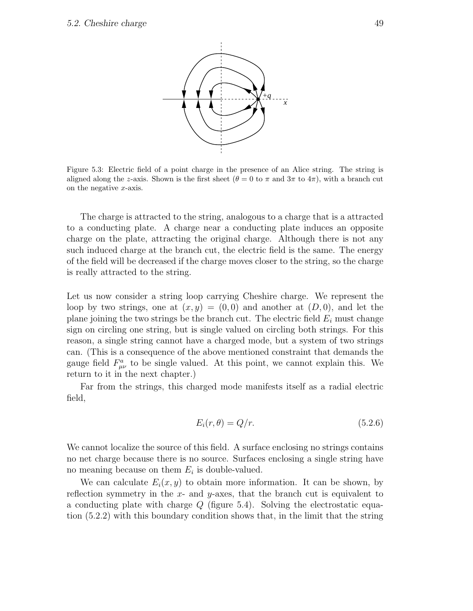

Figure 5.3: Electric field of a point charge in the presence of an Alice string. The string is aligned along the z-axis. Shown is the first sheet ( $\theta = 0$  to  $\pi$  and  $3\pi$  to  $4\pi$ ), with a branch cut on the negative  $x$ -axis.

The charge is attracted to the string, analogous to a charge that is a attracted to a conducting plate. A charge near a conducting plate induces an opposite charge on the plate, attracting the original charge. Although there is not any such induced charge at the branch cut, the electric field is the same. The energy of the field will be decreased if the charge moves closer to the string, so the charge is really attracted to the string.

Let us now consider a string loop carrying Cheshire charge. We represent the loop by two strings, one at  $(x, y) = (0, 0)$  and another at  $(D, 0)$ , and let the plane joining the two strings be the branch cut. The electric field  $E_i$  must change sign on circling one string, but is single valued on circling both strings. For this reason, a single string cannot have a charged mode, but a system of two strings can. (This is a consequence of the above mentioned constraint that demands the gauge field  $F^a_{\mu\nu}$  to be single valued. At this point, we cannot explain this. We return to it in the next chapter.)

Far from the strings, this charged mode manifests itself as a radial electric field,

$$
E_i(r,\theta) = Q/r.
$$
\n<sup>(5.2.6)</sup>

We cannot localize the source of this field. A surface enclosing no strings contains no net charge because there is no source. Surfaces enclosing a single string have no meaning because on them  $E_i$  is double-valued.

We can calculate  $E_i(x, y)$  to obtain more information. It can be shown, by reflection symmetry in the  $x$ - and  $y$ -axes, that the branch cut is equivalent to a conducting plate with charge Q (figure 5.4). Solving the electrostatic equation (5.2.2) with this boundary condition shows that, in the limit that the string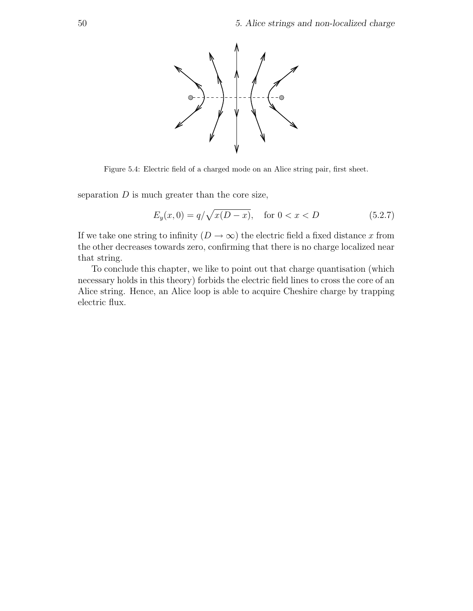

Figure 5.4: Electric field of a charged mode on an Alice string pair, first sheet.

separation  $D$  is much greater than the core size,

$$
E_y(x,0) = q/\sqrt{x(D-x)}, \quad \text{for } 0 < x < D \tag{5.2.7}
$$

If we take one string to infinity  $(D \to \infty)$  the electric field a fixed distance x from the other decreases towards zero, confirming that there is no charge localized near that string.

To conclude this chapter, we like to point out that charge quantisation (which necessary holds in this theory) forbids the electric field lines to cross the core of an Alice string. Hence, an Alice loop is able to acquire Cheshire charge by trapping electric flux.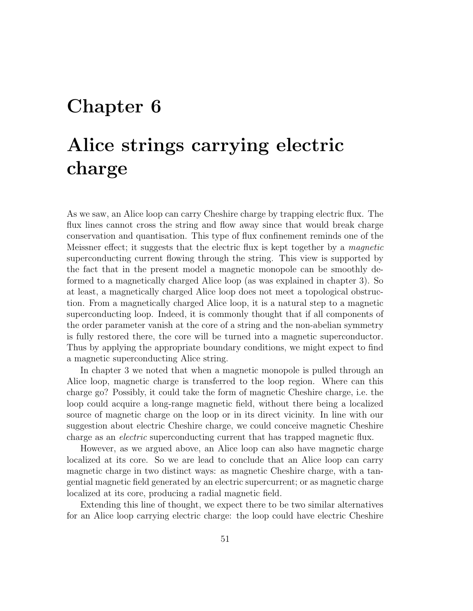## Chapter 6

# Alice strings carrying electric charge

As we saw, an Alice loop can carry Cheshire charge by trapping electric flux. The flux lines cannot cross the string and flow away since that would break charge conservation and quantisation. This type of flux confinement reminds one of the Meissner effect; it suggests that the electric flux is kept together by a magnetic superconducting current flowing through the string. This view is supported by the fact that in the present model a magnetic monopole can be smoothly deformed to a magnetically charged Alice loop (as was explained in chapter 3). So at least, a magnetically charged Alice loop does not meet a topological obstruction. From a magnetically charged Alice loop, it is a natural step to a magnetic superconducting loop. Indeed, it is commonly thought that if all components of the order parameter vanish at the core of a string and the non-abelian symmetry is fully restored there, the core will be turned into a magnetic superconductor. Thus by applying the appropriate boundary conditions, we might expect to find a magnetic superconducting Alice string.

In chapter 3 we noted that when a magnetic monopole is pulled through an Alice loop, magnetic charge is transferred to the loop region. Where can this charge go? Possibly, it could take the form of magnetic Cheshire charge, i.e. the loop could acquire a long-range magnetic field, without there being a localized source of magnetic charge on the loop or in its direct vicinity. In line with our suggestion about electric Cheshire charge, we could conceive magnetic Cheshire charge as an electric superconducting current that has trapped magnetic flux.

However, as we argued above, an Alice loop can also have magnetic charge localized at its core. So we are lead to conclude that an Alice loop can carry magnetic charge in two distinct ways: as magnetic Cheshire charge, with a tangential magnetic field generated by an electric supercurrent; or as magnetic charge localized at its core, producing a radial magnetic field.

Extending this line of thought, we expect there to be two similar alternatives for an Alice loop carrying electric charge: the loop could have electric Cheshire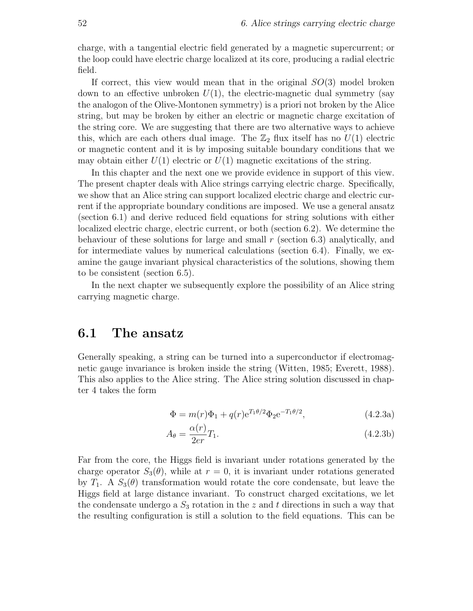charge, with a tangential electric field generated by a magnetic supercurrent; or the loop could have electric charge localized at its core, producing a radial electric field.

If correct, this view would mean that in the original  $SO(3)$  model broken down to an effective unbroken  $U(1)$ , the electric-magnetic dual symmetry (say the analogon of the Olive-Montonen symmetry) is a priori not broken by the Alice string, but may be broken by either an electric or magnetic charge excitation of the string core. We are suggesting that there are two alternative ways to achieve this, which are each others dual image. The  $\mathbb{Z}_2$  flux itself has no  $U(1)$  electric or magnetic content and it is by imposing suitable boundary conditions that we may obtain either  $U(1)$  electric or  $U(1)$  magnetic excitations of the string.

In this chapter and the next one we provide evidence in support of this view. The present chapter deals with Alice strings carrying electric charge. Specifically, we show that an Alice string can support localized electric charge and electric current if the appropriate boundary conditions are imposed. We use a general ansatz (section 6.1) and derive reduced field equations for string solutions with either localized electric charge, electric current, or both (section 6.2). We determine the behaviour of these solutions for large and small  $r$  (section 6.3) analytically, and for intermediate values by numerical calculations (section 6.4). Finally, we examine the gauge invariant physical characteristics of the solutions, showing them to be consistent (section 6.5).

In the next chapter we subsequently explore the possibility of an Alice string carrying magnetic charge.

#### 6.1 The ansatz

Generally speaking, a string can be turned into a superconductor if electromagnetic gauge invariance is broken inside the string (Witten, 1985; Everett, 1988). This also applies to the Alice string. The Alice string solution discussed in chapter 4 takes the form

$$
\Phi = m(r)\Phi_1 + q(r)e^{T_1\theta/2}\Phi_2 e^{-T_1\theta/2},\tag{4.2.3a}
$$

$$
A_{\theta} = \frac{\alpha(r)}{2er} T_1.
$$
\n(4.2.3b)

Far from the core, the Higgs field is invariant under rotations generated by the charge operator  $S_3(\theta)$ , while at  $r=0$ , it is invariant under rotations generated by  $T_1$ . A  $S_3(\theta)$  transformation would rotate the core condensate, but leave the Higgs field at large distance invariant. To construct charged excitations, we let the condensate undergo a  $S_3$  rotation in the z and t directions in such a way that the resulting configuration is still a solution to the field equations. This can be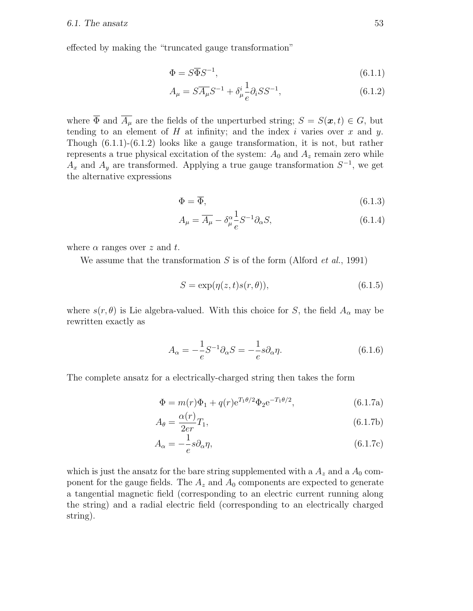effected by making the "truncated gauge transformation"

$$
\Phi = S\overline{\Phi}S^{-1},\tag{6.1.1}
$$

$$
A_{\mu} = S\overline{A_{\mu}}S^{-1} + \delta_{\mu}^{i} \frac{1}{e} \partial_{i} S S^{-1}, \qquad (6.1.2)
$$

where  $\overline{\Phi}$  and  $\overline{A_\mu}$  are the fields of the unperturbed string;  $S = S(\mathbf{x}, t) \in G$ , but tending to an element of  $H$  at infinity; and the index i varies over  $x$  and  $y$ . Though (6.1.1)-(6.1.2) looks like a gauge transformation, it is not, but rather represents a true physical excitation of the system:  $A_0$  and  $A_z$  remain zero while  $A_x$  and  $A_y$  are transformed. Applying a true gauge transformation  $S^{-1}$ , we get the alternative expressions

$$
\Phi = \overline{\Phi},\tag{6.1.3}
$$

$$
A_{\mu} = \overline{A_{\mu}} - \delta_{\mu}^{\alpha} \frac{1}{e} S^{-1} \partial_{\alpha} S, \qquad (6.1.4)
$$

where  $\alpha$  ranges over z and t.

We assume that the transformation  $S$  is of the form (Alford *et al.*, 1991)

$$
S = \exp(\eta(z, t)s(r, \theta)),\tag{6.1.5}
$$

where  $s(r, \theta)$  is Lie algebra-valued. With this choice for S, the field  $A_{\alpha}$  may be rewritten exactly as

$$
A_{\alpha} = -\frac{1}{e}S^{-1}\partial_{\alpha}S = -\frac{1}{e}s\partial_{\alpha}\eta.
$$
 (6.1.6)

The complete ansatz for a electrically-charged string then takes the form

$$
\Phi = m(r)\Phi_1 + q(r)e^{T_1\theta/2}\Phi_2 e^{-T_1\theta/2},\tag{6.1.7a}
$$

$$
A_{\theta} = \frac{\alpha(r)}{2er} T_1,\tag{6.1.7b}
$$

$$
A_{\alpha} = -\frac{1}{e}s\partial_{\alpha}\eta,\tag{6.1.7c}
$$

which is just the ansatz for the bare string supplemented with a  $A_z$  and a  $A_0$  component for the gauge fields. The  $A_z$  and  $A_0$  components are expected to generate a tangential magnetic field (corresponding to an electric current running along the string) and a radial electric field (corresponding to an electrically charged string).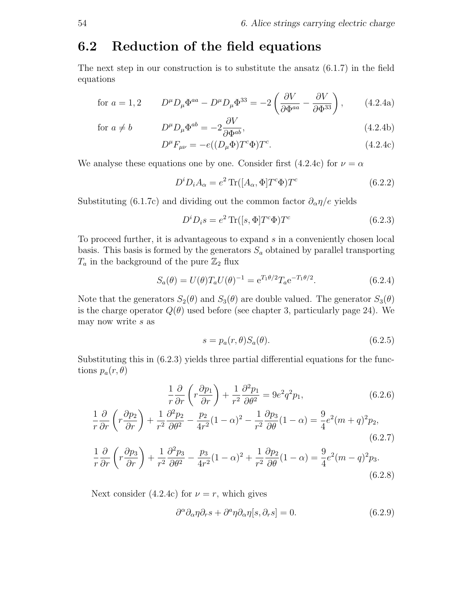#### 6.2 Reduction of the field equations

The next step in our construction is to substitute the ansatz (6.1.7) in the field equations

for 
$$
a = 1, 2
$$
 
$$
D^{\mu}D_{\mu}\Phi^{aa} - D^{\mu}D_{\mu}\Phi^{33} = -2\left(\frac{\partial V}{\partial \Phi^{aa}} - \frac{\partial V}{\partial \Phi^{33}}\right), \qquad (4.2.4a)
$$

$$
\text{for } a \neq b \qquad D^{\mu} D_{\mu} \Phi^{ab} = -2 \frac{\partial V}{\partial \Phi^{ab}}, \qquad (4.2.4b)
$$

$$
D^{\mu}F_{\mu\nu} = -e((D_{\mu}\Phi)T^{c}\Phi)T^{c}.
$$
\n(4.2.4c)

We analyse these equations one by one. Consider first (4.2.4c) for  $\nu = \alpha$ 

$$
D^i D_i A_\alpha = e^2 \operatorname{Tr}([A_\alpha, \Phi] T^c \Phi) T^c \tag{6.2.2}
$$

Substituting (6.1.7c) and dividing out the common factor  $\partial_{\alpha} \eta/e$  yields

$$
D^i D_i s = e^2 \operatorname{Tr}([s, \Phi] T^c \Phi) T^c \tag{6.2.3}
$$

To proceed further, it is advantageous to expand s in a conveniently chosen local basis. This basis is formed by the generators  $S_a$  obtained by parallel transporting  $T_a$  in the background of the pure  $\mathbb{Z}_2$  flux

$$
S_a(\theta) = U(\theta) T_a U(\theta)^{-1} = e^{T_1 \theta/2} T_a e^{-T_1 \theta/2}.
$$
 (6.2.4)

Note that the generators  $S_2(\theta)$  and  $S_3(\theta)$  are double valued. The generator  $S_3(\theta)$ is the charge operator  $Q(\theta)$  used before (see chapter 3, particularly page 24). We may now write s as

$$
s = p_a(r, \theta) S_a(\theta). \tag{6.2.5}
$$

Substituting this in (6.2.3) yields three partial differential equations for the functions  $p_a(r, \theta)$ 

$$
\frac{1}{r}\frac{\partial}{\partial r}\left(r\frac{\partial p_1}{\partial r}\right) + \frac{1}{r^2}\frac{\partial^2 p_1}{\partial \theta^2} = 9e^2q^2p_1,\tag{6.2.6}
$$

$$
\frac{1}{r}\frac{\partial}{\partial r}\left(r\frac{\partial p_2}{\partial r}\right) + \frac{1}{r^2}\frac{\partial^2 p_2}{\partial \theta^2} - \frac{p_2}{4r^2}(1-\alpha)^2 - \frac{1}{r^2}\frac{\partial p_3}{\partial \theta}(1-\alpha) = \frac{9}{4}e^2(m+q)^2 p_2,\tag{6.2.7}
$$

$$
\frac{1}{r}\frac{\partial}{\partial r}\left(r\frac{\partial p_3}{\partial r}\right) + \frac{1}{r^2}\frac{\partial^2 p_3}{\partial \theta^2} - \frac{p_3}{4r^2}(1-\alpha)^2 + \frac{1}{r^2}\frac{\partial p_2}{\partial \theta}(1-\alpha) = \frac{9}{4}e^2(m-q)^2p_3.
$$
\n(6.2.8)

Next consider (4.2.4c) for  $\nu = r$ , which gives

$$
\partial^{\alpha}\partial_{\alpha}\eta \partial_{r}s + \partial^{a}\eta \partial_{\alpha}\eta[s,\partial_{r}s] = 0. \qquad (6.2.9)
$$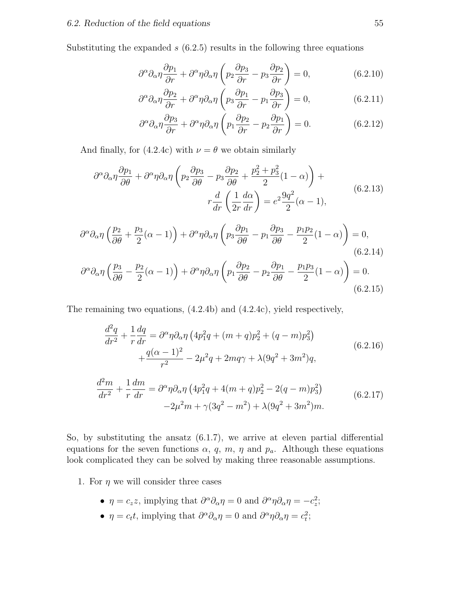Substituting the expanded  $s(6.2.5)$  results in the following three equations

$$
\partial^{\alpha}\partial_{\alpha}\eta \frac{\partial p_1}{\partial r} + \partial^{\alpha}\eta \partial_{\alpha}\eta \left(p_2 \frac{\partial p_3}{\partial r} - p_3 \frac{\partial p_2}{\partial r}\right) = 0, \qquad (6.2.10)
$$

$$
\partial^{\alpha}\partial_{\alpha}\eta \frac{\partial p_2}{\partial r} + \partial^{\alpha}\eta \partial_{\alpha}\eta \left(p_3 \frac{\partial p_1}{\partial r} - p_1 \frac{\partial p_3}{\partial r}\right) = 0, \qquad (6.2.11)
$$

$$
\partial^{\alpha}\partial_{\alpha}\eta \frac{\partial p_3}{\partial r} + \partial^{\alpha}\eta \partial_{\alpha}\eta \left(p_1 \frac{\partial p_2}{\partial r} - p_2 \frac{\partial p_1}{\partial r}\right) = 0. \tag{6.2.12}
$$

And finally, for (4.2.4c) with  $\nu = \theta$  we obtain similarly

$$
\partial^{\alpha}\partial_{\alpha}\eta \frac{\partial p_{1}}{\partial \theta} + \partial^{\alpha}\eta \partial_{\alpha}\eta \left( p_{2} \frac{\partial p_{3}}{\partial \theta} - p_{3} \frac{\partial p_{2}}{\partial \theta} + \frac{p_{2}^{2} + p_{3}^{2}}{2} (1 - \alpha) \right) +
$$
  

$$
r \frac{d}{dr} \left( \frac{1}{2r} \frac{d\alpha}{dr} \right) = e^{2} \frac{9q^{2}}{2} (\alpha - 1),
$$
 (6.2.13)

$$
\partial^{\alpha}\partial_{\alpha}\eta \left(\frac{p_2}{\partial \theta} + \frac{p_3}{2}(\alpha - 1)\right) + \partial^{\alpha}\eta \partial_{\alpha}\eta \left(p_3 \frac{\partial p_1}{\partial \theta} - p_1 \frac{\partial p_3}{\partial \theta} - \frac{p_1 p_2}{2}(1 - \alpha)\right) = 0,
$$
\n
$$
\left(\frac{p_3}{\partial \theta} - \frac{p_2}{2}(\alpha - 1)\right) + \partial^{\alpha}\eta \partial_{\alpha}\eta \left(p_1 \frac{\partial p_2}{\partial \theta} - p_2 \frac{\partial p_1}{\partial \theta} - \frac{p_1 p_3}{2}(1 - \alpha)\right) = 0.
$$
\n
$$
(6.2.15)
$$

The remaining two equations, (4.2.4b) and (4.2.4c), yield respectively,

$$
\frac{d^2q}{dr^2} + \frac{1}{r}\frac{dq}{dr} = \partial^{\alpha}\eta \partial_{\alpha}\eta \left(4p_1^2q + (m+q)p_2^2 + (q-m)p_3^2\right) \n+ \frac{q(\alpha-1)^2}{r^2} - 2\mu^2q + 2mq\gamma + \lambda(9q^2 + 3m^2)q,
$$
\n(6.2.16)

$$
\frac{d^2m}{dr^2} + \frac{1}{r}\frac{dm}{dr} = \partial^{\alpha}\eta\partial_{\alpha}\eta \left(4p_1^2q + 4(m+q)p_2^2 - 2(q-m)p_3^2\right) \n-2\mu^2m + \gamma(3q^2 - m^2) + \lambda(9q^2 + 3m^2)m.
$$
\n(6.2.17)

So, by substituting the ansatz (6.1.7), we arrive at eleven partial differential equations for the seven functions  $\alpha$ , q, m,  $\eta$  and  $p_a$ . Although these equations look complicated they can be solved by making three reasonable assumptions.

- 1. For  $\eta$  we will consider three cases
	- $\eta = c_z z$ , implying that  $\partial^{\alpha} \partial_{\alpha} \eta = 0$  and  $\partial^{\alpha} \eta \partial_{\alpha} \eta = -c_z^2$ ;
	- $\eta = c_t t$ , implying that  $\partial^{\alpha} \partial_{\alpha} \eta = 0$  and  $\partial^{\alpha} \eta \partial_{\alpha} \eta = c_t^2$ ;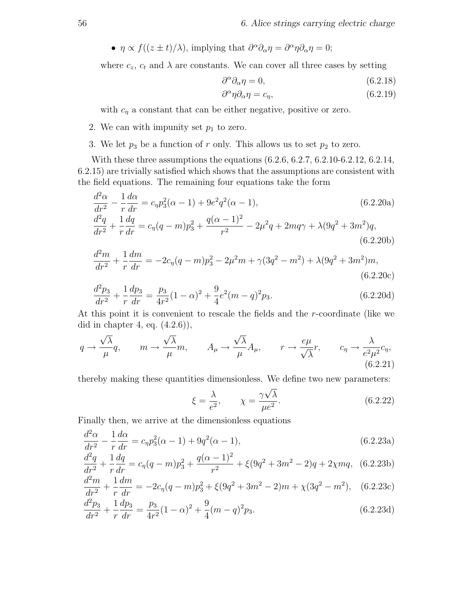•  $\eta \propto f((z \pm t)/\lambda)$ , implying that  $\partial^{\alpha}\partial_{\alpha}\eta = \partial^{\alpha}\eta\partial_{\alpha}\eta = 0$ ;

where  $c_z$ ,  $c_t$  and  $\lambda$  are constants. We can cover all three cases by setting

$$
\partial^{\alpha}\partial_{\alpha}\eta = 0, \qquad (6.2.18)
$$

$$
\partial^{\alpha} \eta \partial_{\alpha} \eta = c_{\eta},\tag{6.2.19}
$$

with  $c_{\eta}$  a constant that can be either negative, positive or zero.

- 2. We can with impunity set  $p_1$  to zero.
- 3. We let  $p_3$  be a function of r only. This allows us to set  $p_2$  to zero.

With these three assumptions the equations (6.2.6, 6.2.7, 6.2.10-6.2.12, 6.2.14, 6.2.15) are trivially satisfied which shows that the assumptions are consistent with the field equations. The remaining four equations take the form

$$
\frac{d^2\alpha}{dr^2} - \frac{1}{r}\frac{d\alpha}{dr} = c_\eta p_3^2(\alpha - 1) + 9e^2 q^2(\alpha - 1),\tag{6.2.20a}
$$
\n
$$
\frac{d^2a}{dr^2} - 1\frac{da}{d\alpha} = c_\eta p_3^2(\alpha - 1) + 9e^2 q^2(\alpha - 1),
$$

$$
\frac{d^2q}{dr^2} + \frac{1}{r}\frac{dq}{dr} = c_{\eta}(q-m)p_3^2 + \frac{q(\alpha-1)^2}{r^2} - 2\mu^2q + 2mq\gamma + \lambda(9q^2 + 3m^2)q,
$$
\n(6.2.20b)

$$
\frac{d^2m}{dr^2} + \frac{1}{r}\frac{dm}{dr} = -2c_{\eta}(q-m)p_3^2 - 2\mu^2m + \gamma(3q^2 - m^2) + \lambda(9q^2 + 3m^2)m,
$$
\n(6.2.20c)

$$
\frac{d^2p_3}{dr^2} + \frac{1}{r}\frac{dp_3}{dr} = \frac{p_3}{4r^2}(1-\alpha)^2 + \frac{9}{4}e^2(m-q)^2p_3.
$$
\n(6.2.20d)

At this point it is convenient to rescale the fields and the r-coordinate (like we did in chapter 4, eq.  $(4.2.6)$ ,

$$
q \to \frac{\sqrt{\lambda}}{\mu} q, \qquad m \to \frac{\sqrt{\lambda}}{\mu} m, \qquad A_{\mu} \to \frac{\sqrt{\lambda}}{\mu} A_{\mu}, \qquad r \to \frac{e\mu}{\sqrt{\lambda}} r, \qquad c_{\eta} \to \frac{\lambda}{e^2 \mu^2} c_{\eta},
$$
\n(6.2.21)

thereby making these quantities dimensionless. We define two new parameters:

$$
\xi = \frac{\lambda}{e^2}, \qquad \chi = \frac{\gamma \sqrt{\lambda}}{\mu e^2}.
$$
\n(6.2.22)

Finally then, we arrive at the dimensionless equations

$$
\frac{d^2\alpha}{dr^2} - \frac{1}{r}\frac{d\alpha}{dr} = c_{\eta}p_3^2(\alpha - 1) + 9q^2(\alpha - 1),\tag{6.2.23a}
$$

$$
\frac{d^2q}{dr^2} + \frac{1}{r}\frac{dq}{dr} = c_\eta(q-m)p_3^2 + \frac{q(\alpha-1)^2}{r^2} + \xi(9q^2+3m^2-2)q + 2\chi mq, \tag{6.2.23b}
$$

$$
\frac{d^2m}{dr^2} + \frac{1}{r}\frac{dm}{dr} = -2c_\eta(q-m)p_3^2 + \xi(9q^2+3m^2-2)m + \chi(3q^2-m^2), \quad (6.2.23c)
$$

$$
\frac{d^2p_3}{dr^2} + \frac{1}{r}\frac{dp_3}{dr} = \frac{p_3}{4r^2}(1-\alpha)^2 + \frac{9}{4}(m-q)^2p_3.
$$
\n(6.2.23d)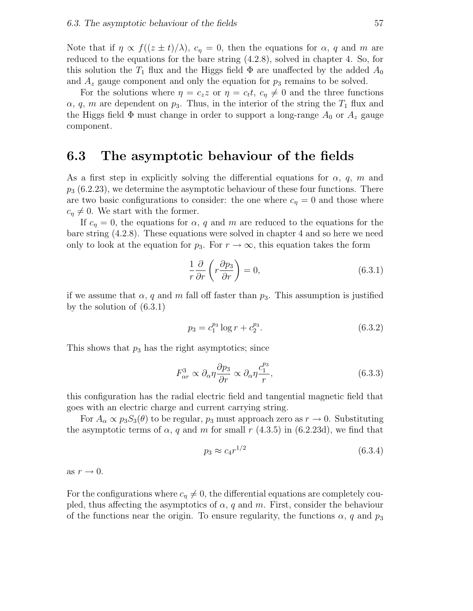Note that if  $\eta \propto f((z \pm t)/\lambda)$ ,  $c_{\eta} = 0$ , then the equations for  $\alpha$ , q and m are reduced to the equations for the bare string (4.2.8), solved in chapter 4. So, for this solution the  $T_1$  flux and the Higgs field  $\Phi$  are unaffected by the added  $A_0$ and  $A_z$  gauge component and only the equation for  $p_3$  remains to be solved.

For the solutions where  $\eta = c_z z$  or  $\eta = c_t t$ ,  $c_{\eta} \neq 0$  and the three functions  $\alpha$ , q, m are dependent on  $p_3$ . Thus, in the interior of the string the  $T_1$  flux and the Higgs field  $\Phi$  must change in order to support a long-range  $A_0$  or  $A_z$  gauge component.

#### 6.3 The asymptotic behaviour of the fields

As a first step in explicitly solving the differential equations for  $\alpha$ , q, m and  $p_3$  (6.2.23), we determine the asymptotic behaviour of these four functions. There are two basic configurations to consider: the one where  $c_n = 0$  and those where  $c_{\eta} \neq 0$ . We start with the former.

If  $c_{\eta} = 0$ , the equations for  $\alpha$ , q and m are reduced to the equations for the bare string (4.2.8). These equations were solved in chapter 4 and so here we need only to look at the equation for  $p_3$ . For  $r \to \infty$ , this equation takes the form

$$
\frac{1}{r}\frac{\partial}{\partial r}\left(r\frac{\partial p_3}{\partial r}\right) = 0,\tag{6.3.1}
$$

if we assume that  $\alpha$ , q and m fall off faster than  $p_3$ . This assumption is justified by the solution of (6.3.1)

$$
p_3 = c_1^{p_3} \log r + c_2^{p_3}.\tag{6.3.2}
$$

This shows that  $p_3$  has the right asymptotics; since

$$
F_{\alpha r}^3 \propto \partial_{\alpha} \eta \frac{\partial p_3}{\partial r} \propto \partial_{\alpha} \eta \frac{c_1^{p_3}}{r},\tag{6.3.3}
$$

this configuration has the radial electric field and tangential magnetic field that goes with an electric charge and current carrying string.

For  $A_{\alpha} \propto p_3 S_3(\theta)$  to be regular,  $p_3$  must approach zero as  $r \to 0$ . Substituting the asymptotic terms of  $\alpha$ , q and m for small r (4.3.5) in (6.2.23d), we find that

$$
p_3 \approx c_4 r^{1/2} \tag{6.3.4}
$$

as  $r \to 0$ .

For the configurations where  $c_{\eta} \neq 0$ , the differential equations are completely coupled, thus affecting the asymptotics of  $\alpha$ , q and m. First, consider the behaviour of the functions near the origin. To ensure regularity, the functions  $\alpha$ , q and  $p_3$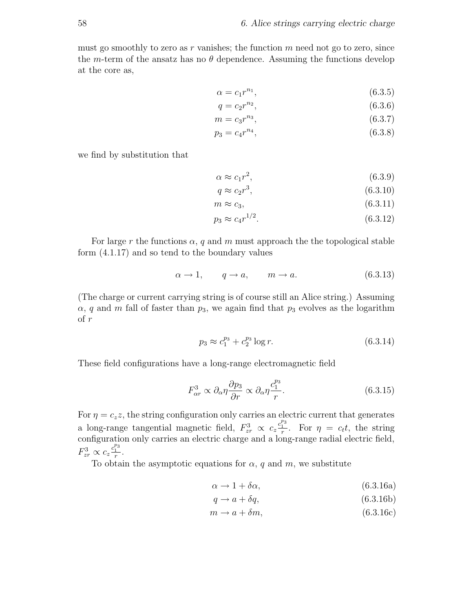must go smoothly to zero as  $r$  vanishes; the function  $m$  need not go to zero, since the m-term of the ansatz has no  $\theta$  dependence. Assuming the functions develop at the core as,

$$
\alpha = c_1 r^{n_1},\tag{6.3.5}
$$

$$
q = c_2 r^{n_2},\tag{6.3.6}
$$

$$
m = c_3 r^{n_3},\tag{6.3.7}
$$

$$
p_3 = c_4 r^{n_4},\tag{6.3.8}
$$

we find by substitution that

$$
\alpha \approx c_1 r^2,\tag{6.3.9}
$$

$$
q \approx c_2 r^3,\tag{6.3.10}
$$

$$
m \approx c_3,\tag{6.3.11}
$$

$$
p_3 \approx c_4 r^{1/2}.\tag{6.3.12}
$$

For large r the functions  $\alpha$ , q and m must approach the the topological stable form (4.1.17) and so tend to the boundary values

$$
\alpha \to 1, \qquad q \to a, \qquad m \to a. \tag{6.3.13}
$$

(The charge or current carrying string is of course still an Alice string.) Assuming  $\alpha$ , q and m fall of faster than  $p_3$ , we again find that  $p_3$  evolves as the logarithm of r

$$
p_3 \approx c_1^{p_3} + c_2^{p_3} \log r. \tag{6.3.14}
$$

These field configurations have a long-range electromagnetic field

$$
F_{\alpha r}^{3} \propto \partial_{\alpha} \eta \frac{\partial p_{3}}{\partial r} \propto \partial_{\alpha} \eta \frac{c_{1}^{p_{3}}}{r}.
$$
 (6.3.15)

For  $\eta = c_z z$ , the string configuration only carries an electric current that generates a long-range tangential magnetic field,  $F_{zr}^3 \propto c_z \frac{c_1^{p_3}}{r}$ . For  $\eta = c_t t$ , the string configuration only carries an electric charge and a long-range radial electric field,  $F_{zr}^3 \propto c_z \frac{c_1^{p_3}}{r}.$ 

To obtain the asymptotic equations for  $\alpha$ , q and m, we substitute

$$
\alpha \to 1 + \delta \alpha, \tag{6.3.16a}
$$

$$
q \to a + \delta q,\tag{6.3.16b}
$$

 $m \rightarrow a + \delta m,$  (6.3.16c)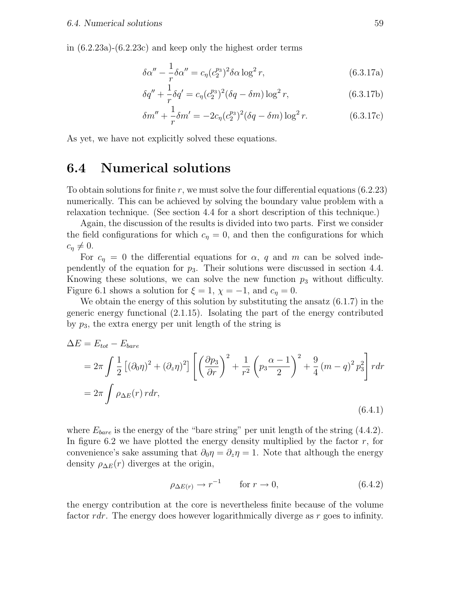in (6.2.23a)-(6.2.23c) and keep only the highest order terms

$$
\delta \alpha'' - \frac{1}{r} \delta \alpha'' = c_{\eta} (c_2^{\mathfrak{B}^3})^2 \delta \alpha \log^2 r,
$$
\n(6.3.17a)

$$
\delta q'' + \frac{1}{r} \delta q' = c_{\eta} (c_2^{p_3})^2 (\delta q - \delta m) \log^2 r,
$$
 (6.3.17b)

$$
\delta m'' + \frac{1}{r} \delta m' = -2c_{\eta} (c_2^{p_3})^2 (\delta q - \delta m) \log^2 r.
$$
 (6.3.17c)

As yet, we have not explicitly solved these equations.

### 6.4 Numerical solutions

To obtain solutions for finite r, we must solve the four differential equations  $(6.2.23)$ numerically. This can be achieved by solving the boundary value problem with a relaxation technique. (See section 4.4 for a short description of this technique.)

Again, the discussion of the results is divided into two parts. First we consider the field configurations for which  $c<sub>n</sub> = 0$ , and then the configurations for which  $c_n \neq 0.$ 

For  $c_n = 0$  the differential equations for  $\alpha$ , q and m can be solved independently of the equation for  $p_3$ . Their solutions were discussed in section 4.4. Knowing these solutions, we can solve the new function  $p_3$  without difficulty. Figure 6.1 shows a solution for  $\xi = 1$ ,  $\chi = -1$ , and  $c_{\eta} = 0$ .

We obtain the energy of this solution by substituting the ansatz  $(6.1.7)$  in the generic energy functional (2.1.15). Isolating the part of the energy contributed by  $p_3$ , the extra energy per unit length of the string is

$$
\Delta E = E_{tot} - E_{bare}
$$
  
=  $2\pi \int \frac{1}{2} \left[ (\partial_0 \eta)^2 + (\partial_z \eta)^2 \right] \left[ \left( \frac{\partial p_3}{\partial r} \right)^2 + \frac{1}{r^2} \left( p_3 \frac{\alpha - 1}{2} \right)^2 + \frac{9}{4} \left( m - q \right)^2 p_3^2 \right] r dr$   
=  $2\pi \int \rho_{\Delta E}(r) r dr,$  (6.4.1)

where  $E_{bare}$  is the energy of the "bare string" per unit length of the string (4.4.2). In figure 6.2 we have plotted the energy density multiplied by the factor  $r$ , for convenience's sake assuming that  $\partial_0 \eta = \partial_z \eta = 1$ . Note that although the energy density  $\rho_{\Delta E}(r)$  diverges at the origin,

$$
\rho_{\Delta E(r)} \to r^{-1} \qquad \text{for } r \to 0,
$$
\n(6.4.2)

the energy contribution at the core is nevertheless finite because of the volume factor rdr. The energy does however logarithmically diverge as r goes to infinity.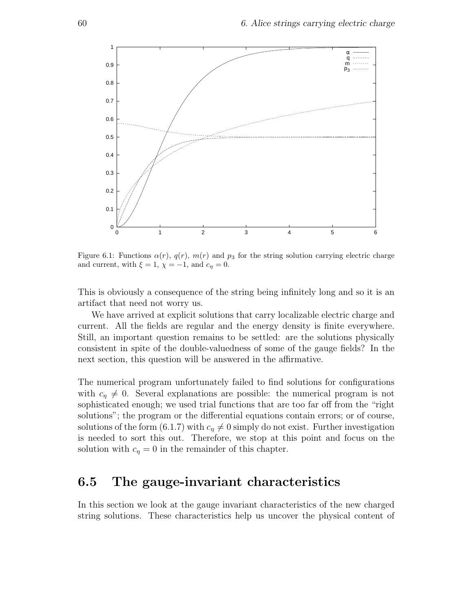

Figure 6.1: Functions  $\alpha(r)$ ,  $q(r)$ ,  $m(r)$  and  $p_3$  for the string solution carrying electric charge and current, with  $\xi = 1$ ,  $\chi = -1$ , and  $c_{\eta} = 0$ .

This is obviously a consequence of the string being infinitely long and so it is an artifact that need not worry us.

We have arrived at explicit solutions that carry localizable electric charge and current. All the fields are regular and the energy density is finite everywhere. Still, an important question remains to be settled: are the solutions physically consistent in spite of the double-valuedness of some of the gauge fields? In the next section, this question will be answered in the affirmative.

The numerical program unfortunately failed to find solutions for configurations with  $c_{\eta} \neq 0$ . Several explanations are possible: the numerical program is not sophisticated enough; we used trial functions that are too far off from the "right solutions"; the program or the differential equations contain errors; or of course, solutions of the form (6.1.7) with  $c<sub>\eta</sub> \neq 0$  simply do not exist. Further investigation is needed to sort this out. Therefore, we stop at this point and focus on the solution with  $c_n = 0$  in the remainder of this chapter.

### 6.5 The gauge-invariant characteristics

In this section we look at the gauge invariant characteristics of the new charged string solutions. These characteristics help us uncover the physical content of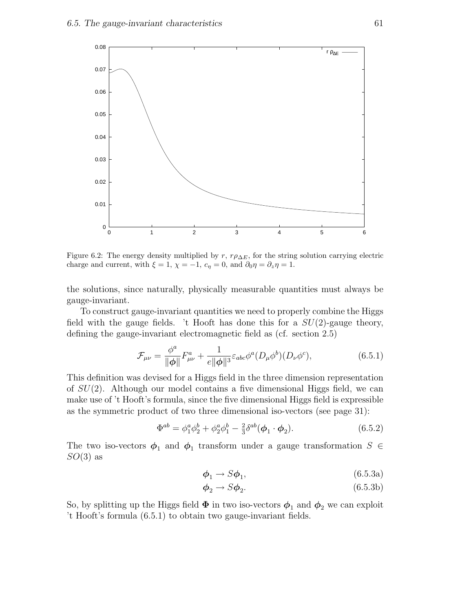

Figure 6.2: The energy density multiplied by  $r$ ,  $r\rho_{\Delta E}$ , for the string solution carrying electric charge and current, with  $\xi = 1$ ,  $\chi = -1$ ,  $c_{\eta} = 0$ , and  $\partial_0 \eta = \partial_z \eta = 1$ .

the solutions, since naturally, physically measurable quantities must always be gauge-invariant.

To construct gauge-invariant quantities we need to properly combine the Higgs field with the gauge fields. 't Hooft has done this for a  $SU(2)$ -gauge theory, defining the gauge-invariant electromagnetic field as (cf. section 2.5)

$$
\mathcal{F}_{\mu\nu} = \frac{\phi^a}{\|\phi\|} F^a_{\mu\nu} + \frac{1}{e\|\phi\|^3} \varepsilon_{abc} \phi^a (D_\mu \phi^b) (D_\nu \phi^c), \tag{6.5.1}
$$

This definition was devised for a Higgs field in the three dimension representation of  $SU(2)$ . Although our model contains a five dimensional Higgs field, we can make use of 't Hooft's formula, since the five dimensional Higgs field is expressible as the symmetric product of two three dimensional iso-vectors (see page 31):

$$
\Phi^{ab} = \phi_1^a \phi_2^b + \phi_2^a \phi_1^b - \frac{2}{3} \delta^{ab} (\phi_1 \cdot \phi_2).
$$
 (6.5.2)

The two iso-vectors  $\phi_1$  and  $\phi_1$  transform under a gauge transformation  $S \in \mathbb{R}$  $SO(3)$  as

$$
\phi_1 \to S\phi_1,\tag{6.5.3a}
$$

$$
\phi_2 \to S\phi_2. \tag{6.5.3b}
$$

So, by splitting up the Higgs field  $\Phi$  in two iso-vectors  $\phi_1$  and  $\phi_2$  we can exploit 't Hooft's formula (6.5.1) to obtain two gauge-invariant fields.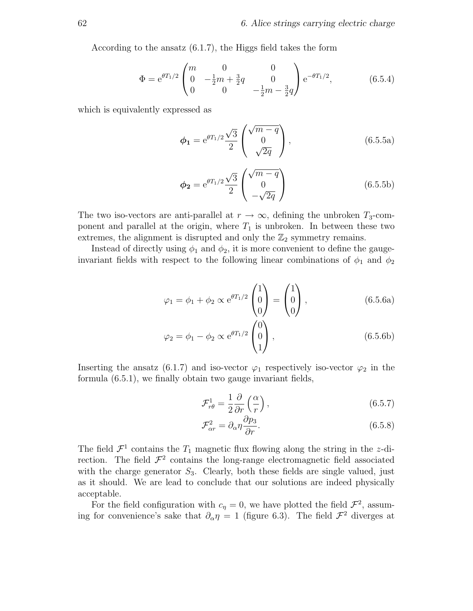According to the ansatz (6.1.7), the Higgs field takes the form

$$
\Phi = e^{\theta T_1/2} \begin{pmatrix} m & 0 & 0 \\ 0 & -\frac{1}{2}m + \frac{3}{2}q & 0 \\ 0 & 0 & -\frac{1}{2}m - \frac{3}{2}q \end{pmatrix} e^{-\theta T_1/2}, \tag{6.5.4}
$$

which is equivalently expressed as

$$
\phi_1 = e^{\theta T_1/2} \frac{\sqrt{3}}{2} \begin{pmatrix} \sqrt{m-q} \\ 0 \\ \sqrt{2q} \end{pmatrix},
$$
\n(6.5.5a)

$$
\phi_2 = e^{\theta T_1/2} \frac{\sqrt{3}}{2} \begin{pmatrix} \sqrt{m-q} \\ 0 \\ -\sqrt{2q} \end{pmatrix}
$$
 (6.5.5b)

The two iso-vectors are anti-parallel at  $r \to \infty$ , defining the unbroken  $T_3$ -component and parallel at the origin, where  $T_1$  is unbroken. In between these two extremes, the alignment is disrupted and only the  $\mathbb{Z}_2$  symmetry remains.

Instead of directly using  $\phi_1$  and  $\phi_2$ , it is more convenient to define the gaugeinvariant fields with respect to the following linear combinations of  $\phi_1$  and  $\phi_2$ 

$$
\varphi_1 = \phi_1 + \phi_2 \propto e^{\theta T_1/2} \begin{pmatrix} 1 \\ 0 \\ 0 \end{pmatrix} = \begin{pmatrix} 1 \\ 0 \\ 0 \end{pmatrix}, \qquad (6.5.6a)
$$

$$
\varphi_2 = \phi_1 - \phi_2 \propto e^{\theta T_1/2} \begin{pmatrix} 0 \\ 0 \\ 1 \end{pmatrix}, \qquad (6.5.6b)
$$

Inserting the ansatz (6.1.7) and iso-vector  $\varphi_1$  respectively iso-vector  $\varphi_2$  in the formula (6.5.1), we finally obtain two gauge invariant fields,

$$
\mathcal{F}_{r\theta}^{1} = \frac{1}{2} \frac{\partial}{\partial r} \left( \frac{\alpha}{r} \right),\tag{6.5.7}
$$

$$
\mathcal{F}_{\alpha r}^2 = \partial_{\alpha} \eta \frac{\partial p_3}{\partial r}.
$$
\n(6.5.8)

The field  $\mathcal{F}^1$  contains the  $T_1$  magnetic flux flowing along the string in the z-direction. The field  $\mathcal{F}^2$  contains the long-range electromagnetic field associated with the charge generator  $S_3$ . Clearly, both these fields are single valued, just as it should. We are lead to conclude that our solutions are indeed physically acceptable.

For the field configuration with  $c_{\eta} = 0$ , we have plotted the field  $\mathcal{F}^2$ , assuming for convenience's sake that  $\partial_{\alpha} \eta = 1$  (figure 6.3). The field  $\mathcal{F}^2$  diverges at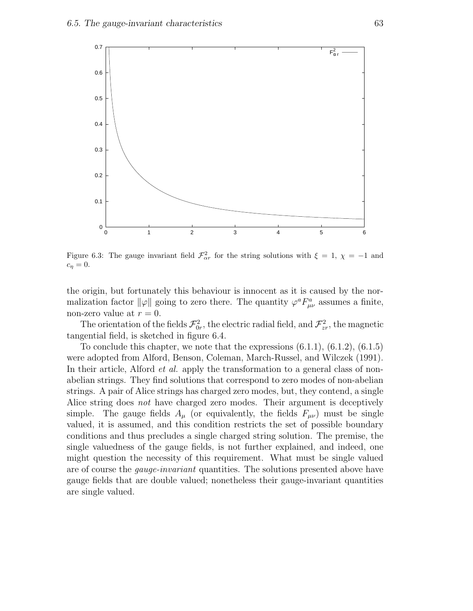

Figure 6.3: The gauge invariant field  $\mathcal{F}_{\alpha r}^2$  for the string solutions with  $\xi = 1, \chi = -1$  and  $c_{\eta}=0.$ 

the origin, but fortunately this behaviour is innocent as it is caused by the normalization factor  $\|\varphi\|$  going to zero there. The quantity  $\varphi^a F^a_{\mu\nu}$  assumes a finite, non-zero value at  $r = 0$ .

The orientation of the fields  $\mathcal{F}_{0r}^2$ , the electric radial field, and  $\mathcal{F}_{zr}^2$ , the magnetic tangential field, is sketched in figure 6.4.

To conclude this chapter, we note that the expressions  $(6.1.1)$ ,  $(6.1.2)$ ,  $(6.1.5)$ were adopted from Alford, Benson, Coleman, March-Russel, and Wilczek (1991). In their article, Alford *et al.* apply the transformation to a general class of nonabelian strings. They find solutions that correspond to zero modes of non-abelian strings. A pair of Alice strings has charged zero modes, but, they contend, a single Alice string does *not* have charged zero modes. Their argument is deceptively simple. The gauge fields  $A_\mu$  (or equivalently, the fields  $F_{\mu\nu}$ ) must be single valued, it is assumed, and this condition restricts the set of possible boundary conditions and thus precludes a single charged string solution. The premise, the single valuedness of the gauge fields, is not further explained, and indeed, one might question the necessity of this requirement. What must be single valued are of course the gauge-invariant quantities. The solutions presented above have gauge fields that are double valued; nonetheless their gauge-invariant quantities are single valued.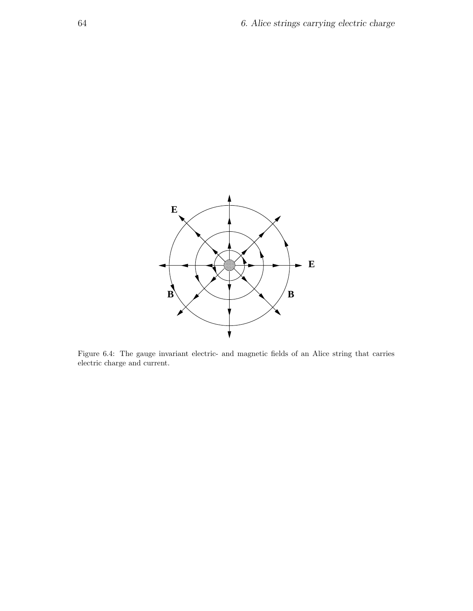

Figure 6.4: The gauge invariant electric- and magnetic fields of an Alice string that carries electric charge and current.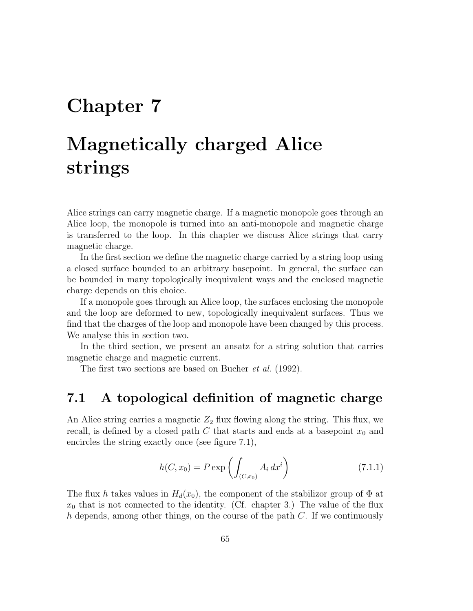## Chapter 7

# Magnetically charged Alice strings

Alice strings can carry magnetic charge. If a magnetic monopole goes through an Alice loop, the monopole is turned into an anti-monopole and magnetic charge is transferred to the loop. In this chapter we discuss Alice strings that carry magnetic charge.

In the first section we define the magnetic charge carried by a string loop using a closed surface bounded to an arbitrary basepoint. In general, the surface can be bounded in many topologically inequivalent ways and the enclosed magnetic charge depends on this choice.

If a monopole goes through an Alice loop, the surfaces enclosing the monopole and the loop are deformed to new, topologically inequivalent surfaces. Thus we find that the charges of the loop and monopole have been changed by this process. We analyse this in section two.

In the third section, we present an ansatz for a string solution that carries magnetic charge and magnetic current.

The first two sections are based on Bucher *et al.* (1992).

## 7.1 A topological definition of magnetic charge

An Alice string carries a magnetic  $Z_2$  flux flowing along the string. This flux, we recall, is defined by a closed path  $C$  that starts and ends at a basepoint  $x_0$  and encircles the string exactly once (see figure 7.1),

$$
h(C, x_0) = P \exp \left( \int_{(C, x_0)} A_i \, dx^i \right) \tag{7.1.1}
$$

The flux h takes values in  $H_d(x_0)$ , the component of the stabilizor group of  $\Phi$  at  $x_0$  that is not connected to the identity. (Cf. chapter 3.) The value of the flux h depends, among other things, on the course of the path  $C$ . If we continuously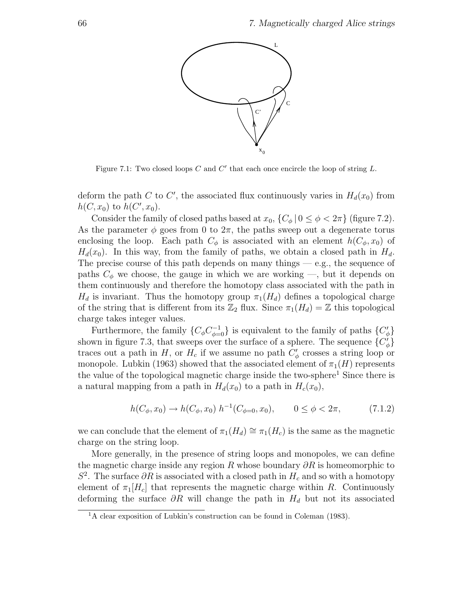

Figure 7.1: Two closed loops  $C$  and  $C'$  that each once encircle the loop of string  $L$ .

deform the path C to C', the associated flux continuously varies in  $H_d(x_0)$  from  $h(C, x_0)$  to  $h(C', x_0)$ .

Consider the family of closed paths based at  $x_0$ ,  $\{C_\phi | 0 \le \phi < 2\pi\}$  (figure 7.2). As the parameter  $\phi$  goes from 0 to  $2\pi$ , the paths sweep out a degenerate torus enclosing the loop. Each path  $C_{\phi}$  is associated with an element  $h(C_{\phi}, x_0)$  of  $H_d(x_0)$ . In this way, from the family of paths, we obtain a closed path in  $H_d$ . The precise course of this path depends on many things  $-$  e.g., the sequence of paths  $C_{\phi}$  we choose, the gauge in which we are working —, but it depends on them continuously and therefore the homotopy class associated with the path in  $H_d$  is invariant. Thus the homotopy group  $\pi_1(H_d)$  defines a topological charge of the string that is different from its  $\mathbb{Z}_2$  flux. Since  $\pi_1(H_d) = \mathbb{Z}$  this topological charge takes integer values.

Furthermore, the family  $\{C_{\phi}C_{\phi=0}^{-1}\}$  is equivalent to the family of paths  $\{C_{\phi}^{\prime}\}$ shown in figure 7.3, that sweeps over the surface of a sphere. The sequence  ${C<sub>\phi</sub>}$ traces out a path in H, or  $H_c$  if we assume no path  $C'_\phi$  crosses a string loop or monopole. Lubkin (1963) showed that the associated element of  $\pi_1(H)$  represents the value of the topological magnetic charge inside the two-sphere<sup>1</sup> Since there is a natural mapping from a path in  $H_d(x_0)$  to a path in  $H_c(x_0)$ ,

$$
h(C_{\phi}, x_0) \to h(C_{\phi}, x_0) \ h^{-1}(C_{\phi=0}, x_0), \qquad 0 \le \phi < 2\pi,\tag{7.1.2}
$$

we can conclude that the element of  $\pi_1(H_d) \cong \pi_1(H_c)$  is the same as the magnetic charge on the string loop.

More generally, in the presence of string loops and monopoles, we can define the magnetic charge inside any region R whose boundary  $\partial R$  is homeomorphic to  $S^2$ . The surface  $\partial R$  is associated with a closed path in  $H_c$  and so with a homotopy element of  $\pi_1[H_c]$  that represents the magnetic charge within R. Continuously deforming the surface  $\partial R$  will change the path in  $H_d$  but not its associated

<sup>1</sup>A clear exposition of Lubkin's construction can be found in Coleman (1983).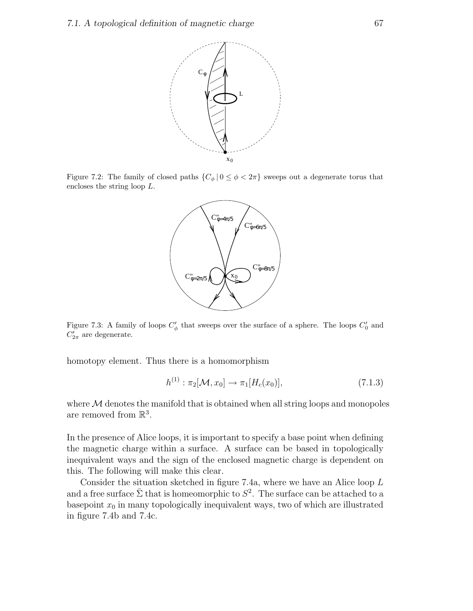

Figure 7.2: The family of closed paths  $\{C_{\phi} | 0 \leq \phi < 2\pi\}$  sweeps out a degenerate torus that encloses the string loop L.



Figure 7.3: A family of loops  $C_d$  $\sigma'_{\phi}$  that sweeps over the surface of a sphere. The loops  $C'_{0}$  and  $C_{2\pi}^{\prime}$  are degenerate.

homotopy element. Thus there is a homomorphism

$$
h^{(1)} : \pi_2[\mathcal{M}, x_0] \to \pi_1[H_c(x_0)], \tag{7.1.3}
$$

where  $M$  denotes the manifold that is obtained when all string loops and monopoles are removed from  $\mathbb{R}^3$ .

In the presence of Alice loops, it is important to specify a base point when defining the magnetic charge within a surface. A surface can be based in topologically inequivalent ways and the sign of the enclosed magnetic charge is dependent on this. The following will make this clear.

Consider the situation sketched in figure 7.4a, where we have an Alice loop L and a free surface  $\bar{\Sigma}$  that is homeomorphic to  $S^2$ . The surface can be attached to a basepoint  $x_0$  in many topologically inequivalent ways, two of which are illustrated in figure 7.4b and 7.4c.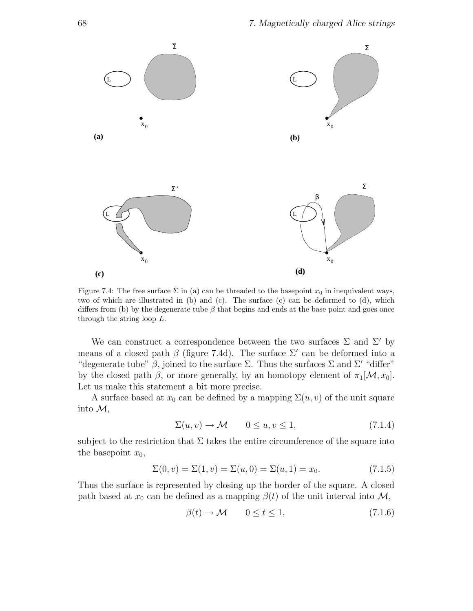

Figure 7.4: The free surface  $\bar{\Sigma}$  in (a) can be threaded to the basepoint  $x_0$  in inequivalent ways, two of which are illustrated in (b) and (c). The surface (c) can be deformed to (d), which differs from (b) by the degenerate tube  $\beta$  that begins and ends at the base point and goes once through the string loop L.

We can construct a correspondence between the two surfaces  $\Sigma$  and  $\Sigma'$  by means of a closed path  $\beta$  (figure 7.4d). The surface  $\Sigma'$  can be deformed into a "degenerate tube"  $\beta$ , joined to the surface  $\Sigma$ . Thus the surfaces  $\Sigma$  and  $\Sigma'$  "differ" by the closed path  $\beta$ , or more generally, by an homotopy element of  $\pi_1[\mathcal{M}, x_0]$ . Let us make this statement a bit more precise.

A surface based at  $x_0$  can be defined by a mapping  $\Sigma(u, v)$  of the unit square into  $\mathcal{M}$ ,

$$
\Sigma(u, v) \to \mathcal{M} \qquad 0 \le u, v \le 1,
$$
\n<sup>(7.1.4)</sup>

subject to the restriction that  $\Sigma$  takes the entire circumference of the square into the basepoint  $x_0$ ,

$$
\Sigma(0, v) = \Sigma(1, v) = \Sigma(u, 0) = \Sigma(u, 1) = x_0.
$$
\n(7.1.5)

Thus the surface is represented by closing up the border of the square. A closed path based at  $x_0$  can be defined as a mapping  $\beta(t)$  of the unit interval into  $\mathcal{M}$ ,

$$
\beta(t) \to \mathcal{M} \qquad 0 \le t \le 1,\tag{7.1.6}
$$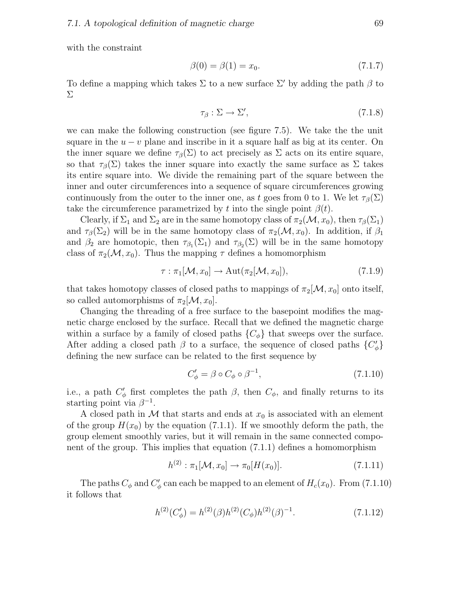with the constraint

$$
\beta(0) = \beta(1) = x_0. \tag{7.1.7}
$$

To define a mapping which takes  $\Sigma$  to a new surface  $\Sigma'$  by adding the path  $\beta$  to Σ

$$
\tau_{\beta} : \Sigma \to \Sigma', \tag{7.1.8}
$$

we can make the following construction (see figure 7.5). We take the the unit square in the  $u - v$  plane and inscribe in it a square half as big at its center. On the inner square we define  $\tau_\beta(\Sigma)$  to act precisely as  $\Sigma$  acts on its entire square, so that  $\tau_\beta(\Sigma)$  takes the inner square into exactly the same surface as  $\Sigma$  takes its entire square into. We divide the remaining part of the square between the inner and outer circumferences into a sequence of square circumferences growing continuously from the outer to the inner one, as t goes from 0 to 1. We let  $\tau_\beta(\Sigma)$ take the circumference parametrized by t into the single point  $\beta(t)$ .

Clearly, if  $\Sigma_1$  and  $\Sigma_2$  are in the same homotopy class of  $\pi_2(\mathcal{M}, x_0)$ , then  $\tau_\beta(\Sigma_1)$ and  $\tau_\beta(\Sigma_2)$  will be in the same homotopy class of  $\pi_2(\mathcal{M}, x_0)$ . In addition, if  $\beta_1$ and  $\beta_2$  are homotopic, then  $\tau_{\beta_1}(\Sigma_1)$  and  $\tau_{\beta_2}(\Sigma)$  will be in the same homotopy class of  $\pi_2(\mathcal{M}, x_0)$ . Thus the mapping  $\tau$  defines a homomorphism

$$
\tau : \pi_1[\mathcal{M}, x_0] \to \text{Aut}(\pi_2[\mathcal{M}, x_0]), \tag{7.1.9}
$$

that takes homotopy classes of closed paths to mappings of  $\pi_2[\mathcal{M}, x_0]$  onto itself, so called automorphisms of  $\pi_2[\mathcal{M}, x_0]$ .

Changing the threading of a free surface to the basepoint modifies the magnetic charge enclosed by the surface. Recall that we defined the magnetic charge within a surface by a family of closed paths  $\{C_{\phi}\}\$  that sweeps over the surface. After adding a closed path  $\beta$  to a surface, the sequence of closed paths  $\{C_{\phi}'\}$ defining the new surface can be related to the first sequence by

$$
C'_{\phi} = \beta \circ C_{\phi} \circ \beta^{-1},\tag{7.1.10}
$$

i.e., a path  $C'_{\phi}$  first completes the path  $\beta$ , then  $C_{\phi}$ , and finally returns to its starting point via  $\beta^{-1}$ .

A closed path in M that starts and ends at  $x_0$  is associated with an element of the group  $H(x_0)$  by the equation (7.1.1). If we smoothly deform the path, the group element smoothly varies, but it will remain in the same connected component of the group. This implies that equation (7.1.1) defines a homomorphism

$$
h^{(2)} : \pi_1[\mathcal{M}, x_0] \to \pi_0[H(x_0)]. \tag{7.1.11}
$$

The paths  $C_{\phi}$  and  $C_{\phi}'$  can each be mapped to an element of  $H_c(x_0)$ . From (7.1.10) it follows that

$$
h^{(2)}(C'_{\phi}) = h^{(2)}(\beta)h^{(2)}(C_{\phi})h^{(2)}(\beta)^{-1}.
$$
\n(7.1.12)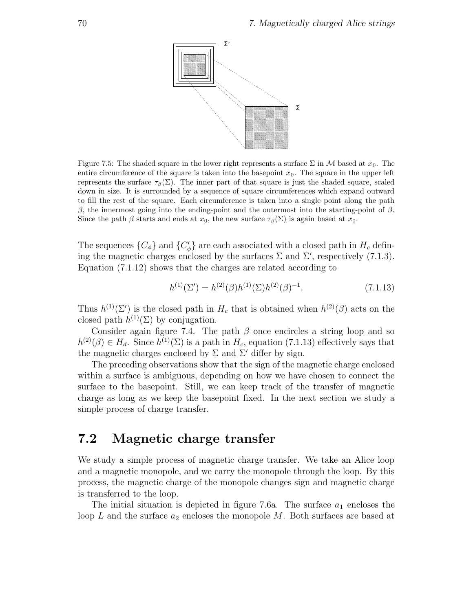

Figure 7.5: The shaded square in the lower right represents a surface  $\Sigma$  in M based at  $x_0$ . The entire circumference of the square is taken into the basepoint  $x<sub>0</sub>$ . The square in the upper left represents the surface  $\tau_{\beta}(\Sigma)$ . The inner part of that square is just the shaded square, scaled down in size. It is surrounded by a sequence of square circumferences which expand outward to fill the rest of the square. Each circumference is taken into a single point along the path β, the innermost going into the ending-point and the outermost into the starting-point of β. Since the path  $\beta$  starts and ends at  $x_0$ , the new surface  $\tau_\beta(\Sigma)$  is again based at  $x_0$ .

The sequences  $\{C_{\phi}\}\$ and  $\{C'_{\phi}\}\$ are each associated with a closed path in  $H_c$  defining the magnetic charges enclosed by the surfaces  $\Sigma$  and  $\Sigma'$ , respectively (7.1.3). Equation (7.1.12) shows that the charges are related according to

$$
h^{(1)}(\Sigma') = h^{(2)}(\beta)h^{(1)}(\Sigma)h^{(2)}(\beta)^{-1}.
$$
\n(7.1.13)

Thus  $h^{(1)}(\Sigma')$  is the closed path in  $H_c$  that is obtained when  $h^{(2)}(\beta)$  acts on the closed path  $h^{(1)}(\Sigma)$  by conjugation.

Consider again figure 7.4. The path  $\beta$  once encircles a string loop and so  $h^{(2)}(\beta) \in H_d$ . Since  $h^{(1)}(\Sigma)$  is a path in  $H_c$ , equation (7.1.13) effectively says that the magnetic charges enclosed by  $\Sigma$  and  $\Sigma'$  differ by sign.

The preceding observations show that the sign of the magnetic charge enclosed within a surface is ambiguous, depending on how we have chosen to connect the surface to the basepoint. Still, we can keep track of the transfer of magnetic charge as long as we keep the basepoint fixed. In the next section we study a simple process of charge transfer.

#### 7.2 Magnetic charge transfer

We study a simple process of magnetic charge transfer. We take an Alice loop and a magnetic monopole, and we carry the monopole through the loop. By this process, the magnetic charge of the monopole changes sign and magnetic charge is transferred to the loop.

The initial situation is depicted in figure 7.6a. The surface  $a_1$  encloses the loop L and the surface  $a_2$  encloses the monopole M. Both surfaces are based at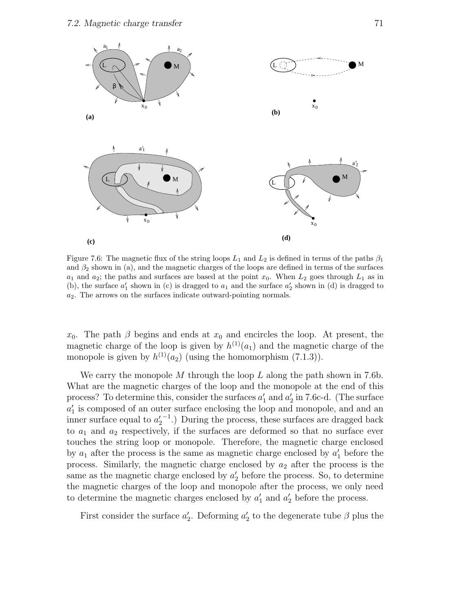

Figure 7.6: The magnetic flux of the string loops  $L_1$  and  $L_2$  is defined in terms of the paths  $\beta_1$ and  $\beta_2$  shown in (a), and the magnetic charges of the loops are defined in terms of the surfaces  $a_1$  and  $a_2$ ; the paths and surfaces are based at the point  $x_0$ . When  $L_2$  goes through  $L_1$  as in (b), the surface  $a'_1$  shown in (c) is dragged to  $a_1$  and the surface  $a'_2$  shown in (d) is dragged to  $a_2$ . The arrows on the surfaces indicate outward-pointing normals.

 $x_0$ . The path  $\beta$  begins and ends at  $x_0$  and encircles the loop. At present, the magnetic charge of the loop is given by  $h^{(1)}(a_1)$  and the magnetic charge of the monopole is given by  $h^{(1)}(a_2)$  (using the homomorphism  $(7.1.3)$ ).

We carry the monopole  $M$  through the loop  $L$  along the path shown in 7.6b. What are the magnetic charges of the loop and the monopole at the end of this process? To determine this, consider the surfaces  $a'_1$  and  $a'_2$  in 7.6c-d. (The surface  $a'_1$  is composed of an outer surface enclosing the loop and monopole, and and an inner surface equal to  $a_2'$ <sup>-1</sup>.) During the process, these surfaces are dragged back to  $a_1$  and  $a_2$  respectively, if the surfaces are deformed so that no surface ever touches the string loop or monopole. Therefore, the magnetic charge enclosed by  $a_1$  after the process is the same as magnetic charge enclosed by  $a'_1$  before the process. Similarly, the magnetic charge enclosed by  $a_2$  after the process is the same as the magnetic charge enclosed by  $a'_2$  before the process. So, to determine the magnetic charges of the loop and monopole after the process, we only need to determine the magnetic charges enclosed by  $a'_1$  and  $a'_2$  before the process.

First consider the surface  $a'_2$ . Deforming  $a'_2$  to the degenerate tube  $\beta$  plus the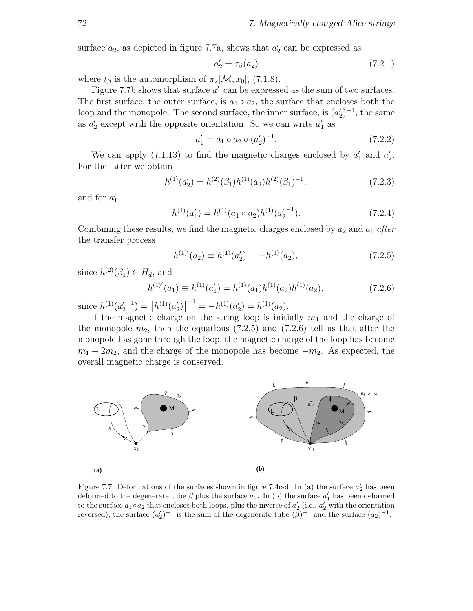surface  $a_2$ , as depicted in figure 7.7a, shows that  $a'_2$  can be expressed as

$$
a_2' = \tau_\beta(a_2) \tag{7.2.1}
$$

where  $t_\beta$  is the automorphism of  $\pi_2[\mathcal{M}, x_0]$ , (7.1.8).

Figure 7.7b shows that surface  $a'_1$  can be expressed as the sum of two surfaces. The first surface, the outer surface, is  $a_1 \circ a_2$ , the surface that encloses both the loop and the monopole. The second surface, the inner surface, is  $(a'_2)^{-1}$ , the same as  $a'_2$  except with the opposite orientation. So we can write  $a'_1$  as

$$
a'_1 = a_1 \circ a_2 \circ (a'_2)^{-1}.
$$
 (7.2.2)

We can apply (7.1.13) to find the magnetic charges enclosed by  $a'_1$  and  $a'_2$ . For the latter we obtain

$$
h^{(1)}(a'_2) = h^{(2)}(\beta_1)h^{(1)}(a_2)h^{(2)}(\beta_1)^{-1},
$$
\n(7.2.3)

and for  $a'_1$ 

$$
h^{(1)}(a'_1) = h^{(1)}(a_1 \circ a_2)h^{(1)}(a'_2{}^{-1}).
$$
\n(7.2.4)

Combining these results, we find the magnetic charges enclosed by  $a_2$  and  $a_1$  after the transfer process

$$
h^{(1)'}(a_2) \equiv h^{(1)}(a'_2) = -h^{(1)}(a_2),\tag{7.2.5}
$$

since  $h^{(2)}(\beta_1) \in H_d$ , and

$$
h^{(1)'}(a_1) \equiv h^{(1)}(a'_1) = h^{(1)}(a_1)h^{(1)}(a_2)h^{(1)}(a_2), \tag{7.2.6}
$$

since  $h^{(1)}(a'_2)^{-1} = [h^{(1)}(a'_2)]^{-1} = -h^{(1)}(a'_2) = h^{(1)}(a_2).$ 

If the magnetic charge on the string loop is initially  $m_1$  and the charge of the monopole  $m_2$ , then the equations (7.2.5) and (7.2.6) tell us that after the monopole has gone through the loop, the magnetic charge of the loop has become  $m_1 + 2m_2$ , and the charge of the monopole has become  $-m_2$ . As expected, the overall magnetic charge is conserved.



Figure 7.7: Deformations of the surfaces shown in figure 7.4c-d. In (a) the surface  $a'_2$  has been deformed to the degenerate tube  $\beta$  plus the surface  $a_2$ . In (b) the surface  $a_1$  has been deformed to the surface  $a_1 \circ a_2$  that encloses both loops, plus the inverse of  $a'_2$  (i.e.,  $a'_2$  with the orientation reversed); the surface  $(a'_2)^{-1}$  is the sum of the degenerate tube  $(\tilde{\beta})^{-1}$  and the surface  $(a_2)^{-1}$ .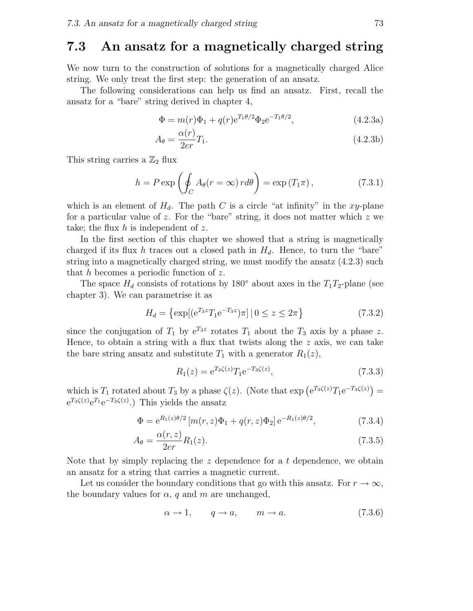#### 7.3 An ansatz for a magnetically charged string

We now turn to the construction of solutions for a magnetically charged Alice string. We only treat the first step: the generation of an ansatz.

The following considerations can help us find an ansatz. First, recall the ansatz for a "bare" string derived in chapter 4,

$$
\Phi = m(r)\Phi_1 + q(r)e^{T_1\theta/2}\Phi_2 e^{-T_1\theta/2},\tag{4.2.3a}
$$

$$
A_{\theta} = \frac{\alpha(r)}{2er} T_1. \tag{4.2.3b}
$$

This string carries a  $\mathbb{Z}_2$  flux

$$
h = P \exp\left(\oint_C A_\theta(r = \infty) r d\theta\right) = \exp(T_1 \pi),\tag{7.3.1}
$$

which is an element of  $H_d$ . The path C is a circle "at infinity" in the xy-plane for a particular value of z. For the "bare" string, it does not matter which z we take; the flux  $h$  is independent of  $z$ .

In the first section of this chapter we showed that a string is magnetically charged if its flux h traces out a closed path in  $H_d$ . Hence, to turn the "bare" string into a magnetically charged string, we must modify the ansatz (4.2.3) such that  $h$  becomes a periodic function of  $z$ .

The space  $H_d$  consists of rotations by 180 $\degree$  about axes in the  $T_1T_2$ -plane (see chapter 3). We can parametrise it as

$$
H_d = \left\{ \exp[(e^{T_3 z} T_1 e^{-T_3 z}) \pi] \, | \, 0 \le z \le 2\pi \right\} \tag{7.3.2}
$$

since the conjugation of  $T_1$  by  $e^{T_3z}$  rotates  $T_1$  about the  $T_3$  axis by a phase z. Hence, to obtain a string with a flux that twists along the  $z$  axis, we can take the bare string ansatz and substitute  $T_1$  with a generator  $R_1(z)$ ,

$$
R_1(z) = e^{T_3 \zeta(z)} T_1 e^{-T_3 \zeta(z)}, \tag{7.3.3}
$$

which is  $T_1$  rotated about  $T_3$  by a phase  $\zeta(z)$ . (Note that  $\exp\left(e^{T_3\zeta(z)}T_1e^{-T_3\zeta(z)}\right)=$  $e^{T_3\zeta(z)}e^{T_1}e^{-T_3\zeta(z)}$ .) This yields the ansatz

$$
\Phi = e^{R_1(z)\theta/2} \left[ m(r,z)\Phi_1 + q(r,z)\Phi_2 \right] e^{-R_1(z)\theta/2},\tag{7.3.4}
$$

$$
A_{\theta} = \frac{\alpha(r, z)}{2er} R_1(z). \tag{7.3.5}
$$

Note that by simply replacing the  $z$  dependence for a t dependence, we obtain an ansatz for a string that carries a magnetic current.

Let us consider the boundary conditions that go with this ansatz. For  $r \to \infty$ , the boundary values for  $\alpha$ , q and m are unchanged,

$$
\alpha \to 1, \qquad q \to a, \qquad m \to a. \tag{7.3.6}
$$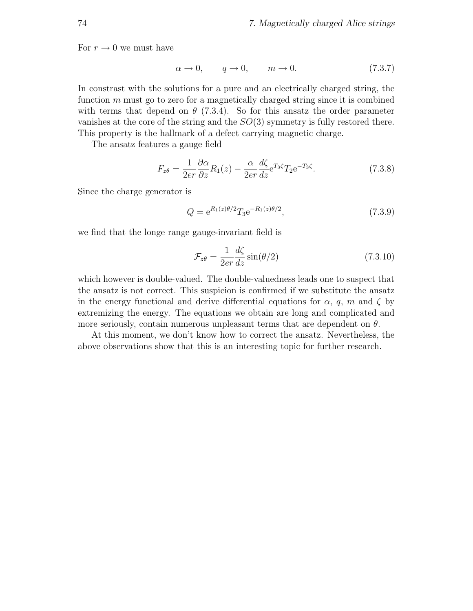For  $r \to 0$  we must have

$$
\alpha \to 0, \qquad q \to 0, \qquad m \to 0. \tag{7.3.7}
$$

In constrast with the solutions for a pure and an electrically charged string, the function  $m$  must go to zero for a magnetically charged string since it is combined with terms that depend on  $\theta$  (7.3.4). So for this ansatz the order parameter vanishes at the core of the string and the SO(3) symmetry is fully restored there. This property is the hallmark of a defect carrying magnetic charge.

The ansatz features a gauge field

$$
F_{z\theta} = \frac{1}{2er} \frac{\partial \alpha}{\partial z} R_1(z) - \frac{\alpha}{2er} \frac{d\zeta}{dz} e^{T_3 \zeta} T_2 e^{-T_3 \zeta}.
$$
 (7.3.8)

Since the charge generator is

$$
Q = e^{R_1(z)\theta/2} T_3 e^{-R_1(z)\theta/2}, \tag{7.3.9}
$$

we find that the longe range gauge-invariant field is

$$
\mathcal{F}_{z\theta} = \frac{1}{2er} \frac{d\zeta}{dz} \sin(\theta/2)
$$
\n(7.3.10)

which however is double-valued. The double-valuedness leads one to suspect that the ansatz is not correct. This suspicion is confirmed if we substitute the ansatz in the energy functional and derive differential equations for  $\alpha$ , q, m and  $\zeta$  by extremizing the energy. The equations we obtain are long and complicated and more seriously, contain numerous unpleasant terms that are dependent on  $\theta$ .

At this moment, we don't know how to correct the ansatz. Nevertheless, the above observations show that this is an interesting topic for further research.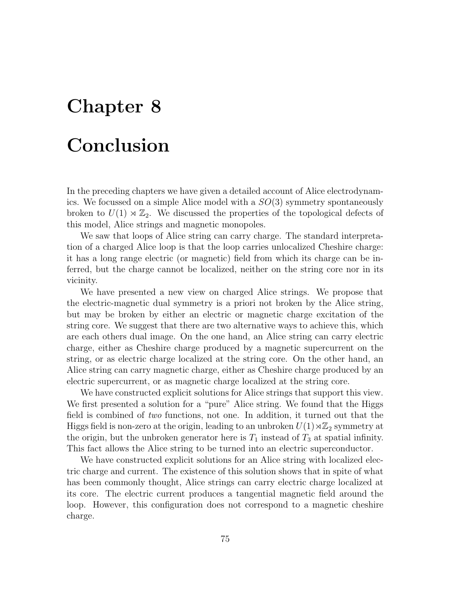## Chapter 8

### Conclusion

In the preceding chapters we have given a detailed account of Alice electrodynamics. We focussed on a simple Alice model with a  $SO(3)$  symmetry spontaneously broken to  $U(1) \rtimes \mathbb{Z}_2$ . We discussed the properties of the topological defects of this model, Alice strings and magnetic monopoles.

We saw that loops of Alice string can carry charge. The standard interpretation of a charged Alice loop is that the loop carries unlocalized Cheshire charge: it has a long range electric (or magnetic) field from which its charge can be inferred, but the charge cannot be localized, neither on the string core nor in its vicinity.

We have presented a new view on charged Alice strings. We propose that the electric-magnetic dual symmetry is a priori not broken by the Alice string, but may be broken by either an electric or magnetic charge excitation of the string core. We suggest that there are two alternative ways to achieve this, which are each others dual image. On the one hand, an Alice string can carry electric charge, either as Cheshire charge produced by a magnetic supercurrent on the string, or as electric charge localized at the string core. On the other hand, an Alice string can carry magnetic charge, either as Cheshire charge produced by an electric supercurrent, or as magnetic charge localized at the string core.

We have constructed explicit solutions for Alice strings that support this view. We first presented a solution for a "pure" Alice string. We found that the Higgs field is combined of two functions, not one. In addition, it turned out that the Higgs field is non-zero at the origin, leading to an unbroken  $U(1)\rtimes\mathbb{Z}_2$  symmetry at the origin, but the unbroken generator here is  $T_1$  instead of  $T_3$  at spatial infinity. This fact allows the Alice string to be turned into an electric superconductor.

We have constructed explicit solutions for an Alice string with localized electric charge and current. The existence of this solution shows that in spite of what has been commonly thought, Alice strings can carry electric charge localized at its core. The electric current produces a tangential magnetic field around the loop. However, this configuration does not correspond to a magnetic cheshire charge.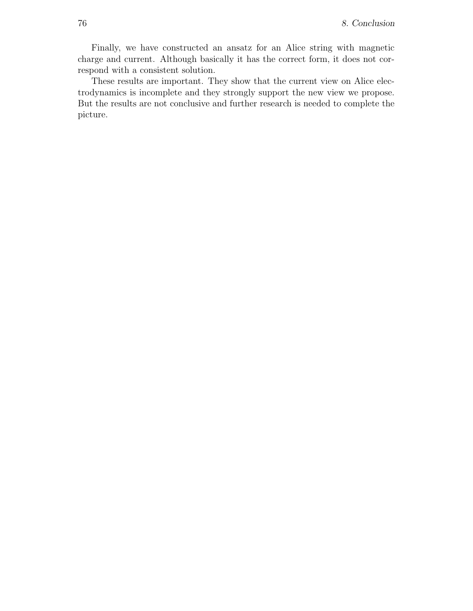Finally, we have constructed an ansatz for an Alice string with magnetic charge and current. Although basically it has the correct form, it does not correspond with a consistent solution.

These results are important. They show that the current view on Alice electrodynamics is incomplete and they strongly support the new view we propose. But the results are not conclusive and further research is needed to complete the picture.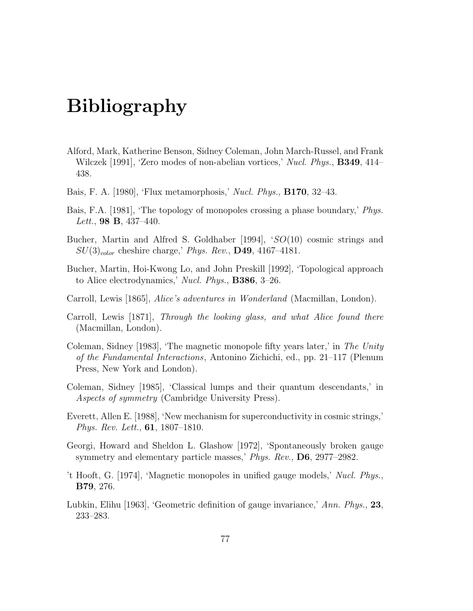# Bibliography

- Alford, Mark, Katherine Benson, Sidney Coleman, John March-Russel, and Frank Wilczek [1991], 'Zero modes of non-abelian vortices,' Nucl. Phys., **B349**, 414– 438.
- Bais, F. A. [1980], 'Flux metamorphosis,' Nucl. Phys., B170, 32–43.
- Bais, F.A. [1981], 'The topology of monopoles crossing a phase boundary,' Phys. Lett., **98 B**, 437–440.
- Bucher, Martin and Alfred S. Goldhaber [1994], 'SO(10) cosmic strings and  $SU(3)_{color}$  cheshire charge,' Phys. Rev., D49, 4167-4181.
- Bucher, Martin, Hoi-Kwong Lo, and John Preskill [1992], 'Topological approach to Alice electrodynamics,' Nucl. Phys., B386, 3–26.
- Carroll, Lewis [1865], Alice's adventures in Wonderland (Macmillan, London).
- Carroll, Lewis [1871], Through the looking glass, and what Alice found there (Macmillan, London).
- Coleman, Sidney [1983], 'The magnetic monopole fifty years later,' in The Unity of the Fundamental Interactions, Antonino Zichichi, ed., pp. 21–117 (Plenum Press, New York and London).
- Coleman, Sidney [1985], 'Classical lumps and their quantum descendants,' in Aspects of symmetry (Cambridge University Press).
- Everett, Allen E. [1988], 'New mechanism for superconductivity in cosmic strings,' Phys. Rev. Lett., 61, 1807–1810.
- Georgi, Howard and Sheldon L. Glashow [1972], 'Spontaneously broken gauge symmetry and elementary particle masses,' Phys. Rev., D6, 2977–2982.
- 't Hooft, G. [1974], 'Magnetic monopoles in unified gauge models,' Nucl. Phys., B79, 276.
- Lubkin, Elihu [1963], 'Geometric definition of gauge invariance,' Ann. Phys., 23, 233–283.